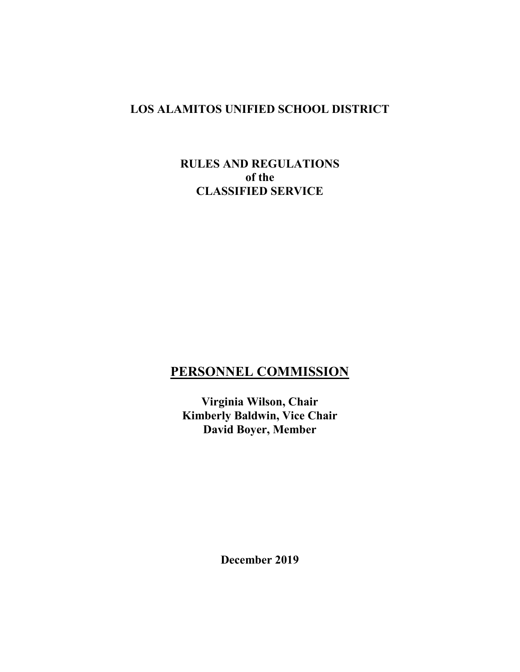## **LOS ALAMITOS UNIFIED SCHOOL DISTRICT**

### **RULES AND REGULATIONS of the CLASSIFIED SERVICE**

# **PERSONNEL COMMISSION**

**Virginia Wilson, Chair Kimberly Baldwin, Vice Chair David Boyer, Member**

**December 2019**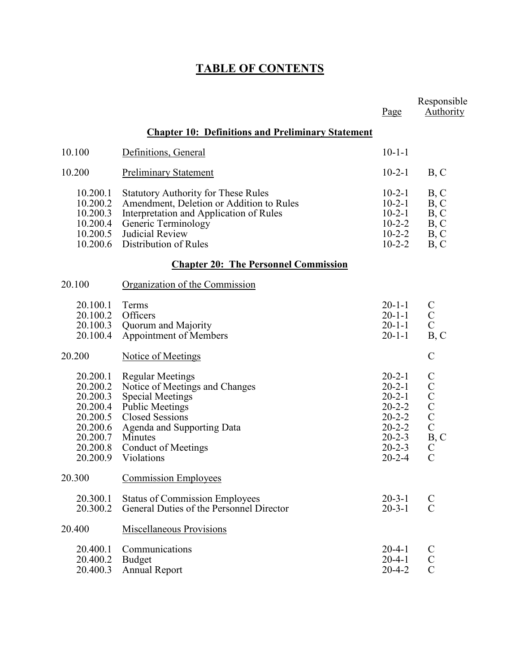# **TABLE OF CONTENTS**

|                                                                                                          |                                                                                                                                                                                                                                      | Page                                                                                                                                         | Responsible<br>Authority                                                                                                              |
|----------------------------------------------------------------------------------------------------------|--------------------------------------------------------------------------------------------------------------------------------------------------------------------------------------------------------------------------------------|----------------------------------------------------------------------------------------------------------------------------------------------|---------------------------------------------------------------------------------------------------------------------------------------|
|                                                                                                          | <b>Chapter 10: Definitions and Preliminary Statement</b>                                                                                                                                                                             |                                                                                                                                              |                                                                                                                                       |
| 10.100                                                                                                   | Definitions, General                                                                                                                                                                                                                 | $10 - 1 - 1$                                                                                                                                 |                                                                                                                                       |
| 10.200                                                                                                   | <b>Preliminary Statement</b>                                                                                                                                                                                                         | $10-2-1$                                                                                                                                     | B, C                                                                                                                                  |
| 10.200.1<br>10.200.2<br>10.200.3<br>10.200.4<br>10.200.5<br>10.200.6                                     | <b>Statutory Authority for These Rules</b><br>Amendment, Deletion or Addition to Rules<br>Interpretation and Application of Rules<br>Generic Terminology<br>Judicial Review<br>Distribution of Rules                                 | $10 - 2 - 1$<br>$10-2-1$<br>$10 - 2 - 1$<br>$10 - 2 - 2$<br>$10 - 2 - 2$<br>$10 - 2 - 2$                                                     | B, C<br>B, C<br>B, C<br>B, C<br>B, C<br>B, C                                                                                          |
|                                                                                                          | <b>Chapter 20: The Personnel Commission</b>                                                                                                                                                                                          |                                                                                                                                              |                                                                                                                                       |
| 20.100                                                                                                   | Organization of the Commission                                                                                                                                                                                                       |                                                                                                                                              |                                                                                                                                       |
| 20.100.1<br>20.100.2<br>20.100.3<br>20.100.4                                                             | Terms<br>Officers<br>Quorum and Majority<br>Appointment of Members                                                                                                                                                                   | $20 - 1 - 1$<br>$20 - 1 - 1$<br>$20 - 1 - 1$<br>$20 - 1 - 1$                                                                                 | $\mathbf C$<br>$\mathbf C$<br>$\overline{C}$<br>B, C                                                                                  |
| 20.200                                                                                                   | Notice of Meetings                                                                                                                                                                                                                   |                                                                                                                                              | $\mathcal{C}$                                                                                                                         |
| 20.200.1<br>20.200.2<br>20.200.3<br>20.200.4<br>20.200.5<br>20.200.6<br>20.200.7<br>20.200.8<br>20.200.9 | <b>Regular Meetings</b><br>Notice of Meetings and Changes<br><b>Special Meetings</b><br><b>Public Meetings</b><br><b>Closed Sessions</b><br><b>Agenda and Supporting Data</b><br>Minutes<br><b>Conduct of Meetings</b><br>Violations | $20 - 2 - 1$<br>$20 - 2 - 1$<br>$20 - 2 - 1$<br>$20 - 2 - 2$<br>$20 - 2 - 2$<br>$20 - 2 - 2$<br>$20 - 2 - 3$<br>$20 - 2 - 3$<br>$20 - 2 - 4$ | $\mathcal{C}$<br>$\mathbf C$<br>$\mathcal{C}$<br>$\mathbf C$<br>$\mathbf C$<br>$\mathbf C$<br>B, C<br>$\mathcal{C}$<br>$\overline{C}$ |
| 20.300                                                                                                   | <b>Commission Employees</b>                                                                                                                                                                                                          |                                                                                                                                              |                                                                                                                                       |
| 20.300.1<br>20.300.2                                                                                     | <b>Status of Commission Employees</b><br>General Duties of the Personnel Director                                                                                                                                                    | $20 - 3 - 1$<br>$20 - 3 - 1$                                                                                                                 | $\mathsf{C}$<br>$\mathbf C$                                                                                                           |
| 20.400                                                                                                   | <b>Miscellaneous Provisions</b>                                                                                                                                                                                                      |                                                                                                                                              |                                                                                                                                       |
| 20.400.1<br>20.400.2<br>20.400.3                                                                         | Communications<br>Budget<br><b>Annual Report</b>                                                                                                                                                                                     | $20 - 4 - 1$<br>$20 - 4 - 1$<br>$20 - 4 - 2$                                                                                                 | $\mathbf C$<br>$\mathbf C$<br>$\overline{C}$                                                                                          |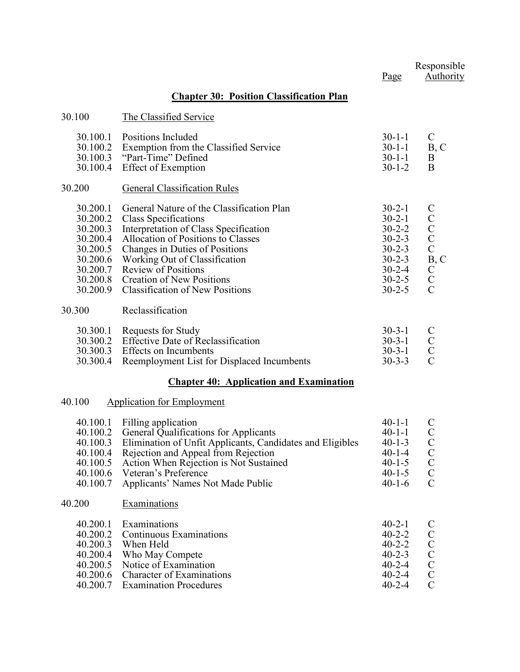|                                                                                                          |                                                                                                                                                                                                                                                                                                                                 | Page                                                                                                                                         | Responsible<br><b>Authority</b>                                                                                                |
|----------------------------------------------------------------------------------------------------------|---------------------------------------------------------------------------------------------------------------------------------------------------------------------------------------------------------------------------------------------------------------------------------------------------------------------------------|----------------------------------------------------------------------------------------------------------------------------------------------|--------------------------------------------------------------------------------------------------------------------------------|
|                                                                                                          | <b>Chapter 30: Position Classification Plan</b>                                                                                                                                                                                                                                                                                 |                                                                                                                                              |                                                                                                                                |
| 30.100                                                                                                   | The Classified Service                                                                                                                                                                                                                                                                                                          |                                                                                                                                              |                                                                                                                                |
| 30.100.1<br>30.100.2<br>30.100.3<br>30.100.4                                                             | Positions Included<br>Exemption from the Classified Service<br>"Part-Time" Defined<br><b>Effect of Exemption</b>                                                                                                                                                                                                                | $30-1-1$<br>$30-1-1$<br>$30 - 1 - 1$<br>$30 - 1 - 2$                                                                                         | $\mathsf{C}$<br>B, C<br>B<br>B                                                                                                 |
| 30.200                                                                                                   | <b>General Classification Rules</b>                                                                                                                                                                                                                                                                                             |                                                                                                                                              |                                                                                                                                |
| 30.200.1<br>30.200.2<br>30.200.3<br>30.200.4<br>30.200.5<br>30.200.6<br>30.200.7<br>30.200.8<br>30.200.9 | General Nature of the Classification Plan<br>Class Specifications<br>Interpretation of Class Specification<br>Allocation of Positions to Classes<br>Changes in Duties of Positions<br>Working Out of Classification<br><b>Review of Positions</b><br><b>Creation of New Positions</b><br><b>Classification of New Positions</b> | $30 - 2 - 1$<br>$30 - 2 - 1$<br>$30 - 2 - 2$<br>$30 - 2 - 3$<br>$30 - 2 - 3$<br>$30 - 2 - 3$<br>$30 - 2 - 4$<br>$30 - 2 - 5$<br>$30 - 2 - 5$ | $\mathbf C$<br>$\mathbf C$<br>$\begin{matrix} 0 \\ 0 \\ 0 \end{matrix}$<br>B, C<br>$\rm\thinspace C$ $\rm C$<br>$\overline{C}$ |
| 30.300                                                                                                   | Reclassification                                                                                                                                                                                                                                                                                                                |                                                                                                                                              |                                                                                                                                |
| 30.300.1<br>30.300.2<br>30.300.3<br>30.300.4                                                             | Requests for Study<br><b>Effective Date of Reclassification</b><br>Effects on Incumbents<br>Reemployment List for Displaced Incumbents                                                                                                                                                                                          | $30-3-1$<br>$30 - 3 - 1$<br>$30 - 3 - 1$<br>$30 - 3 - 3$                                                                                     | $\mathbf C$<br>$\mathbf C$<br>$\mathbf C$<br>$\overline{C}$                                                                    |
|                                                                                                          | <b>Chapter 40: Application and Examination</b>                                                                                                                                                                                                                                                                                  |                                                                                                                                              |                                                                                                                                |
| 40.100                                                                                                   | <b>Application for Employment</b>                                                                                                                                                                                                                                                                                               |                                                                                                                                              |                                                                                                                                |
| 40.100.1<br>40.100.2<br>40.100.3<br>40.100.4<br>40.100.5<br>40.100.6<br>40.100.7                         | Filling application<br>General Qualifications for Applicants<br>Elimination of Unfit Applicants, Candidates and Eligibles<br>Rejection and Appeal from Rejection<br>Action When Rejection is Not Sustained<br>Veteran's Preference<br>Applicants' Names Not Made Public                                                         | $40 - 1 - 1$<br>$40 - 1 - 1$<br>$40 - 1 - 3$<br>$40 - 1 - 4$<br>$40 - 1 - 5$<br>$40 - 1 - 5$<br>$40 - 1 - 6$                                 | $\mathbf C$<br>$\mathbf C$<br>$\mathcal{C}$<br>$\mathsf{C}$<br>$\mathsf{C}$<br>$\mathcal{C}$<br>$\mathcal{C}$                  |
| 40.200                                                                                                   | Examinations                                                                                                                                                                                                                                                                                                                    |                                                                                                                                              |                                                                                                                                |
| 40.200.1<br>40.200.2<br>40.200.3<br>40.200.4<br>40.200.5<br>40.200.6<br>40.200.7                         | Examinations<br>Continuous Examinations<br>When Held<br>Who May Compete<br>Notice of Examination<br><b>Character of Examinations</b><br><b>Examination Procedures</b>                                                                                                                                                           | $40 - 2 - 1$<br>$40 - 2 - 2$<br>$40 - 2 - 2$<br>$40 - 2 - 3$<br>$40 - 2 - 4$<br>$40 - 2 - 4$<br>$40 - 2 - 4$                                 | $\mathbf C$<br>$\mathcal{C}$<br>C<br>C<br>C<br>C<br>$\overline{C}$                                                             |
|                                                                                                          |                                                                                                                                                                                                                                                                                                                                 |                                                                                                                                              |                                                                                                                                |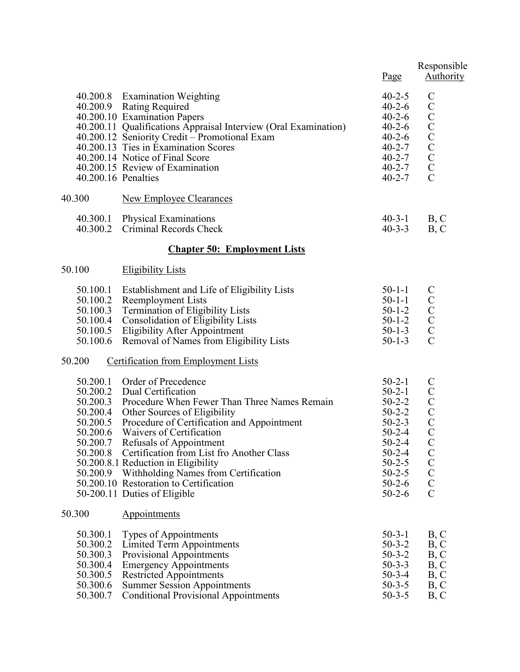|                                                                                              |                                                                                                                                                                                                                                                                                                                                                                                                                                               | Page                                                                                                                                                                             | Responsible<br><b>Authority</b>                                                                                                                                                                      |
|----------------------------------------------------------------------------------------------|-----------------------------------------------------------------------------------------------------------------------------------------------------------------------------------------------------------------------------------------------------------------------------------------------------------------------------------------------------------------------------------------------------------------------------------------------|----------------------------------------------------------------------------------------------------------------------------------------------------------------------------------|------------------------------------------------------------------------------------------------------------------------------------------------------------------------------------------------------|
| 40.200.16 Penalties                                                                          | 40.200.8 Examination Weighting<br>40.200.9 Rating Required<br>40.200.10 Examination Papers<br>40.200.11 Qualifications Appraisal Interview (Oral Examination)<br>40.200.12 Seniority Credit - Promotional Exam<br>40.200.13 Ties in Examination Scores<br>40.200.14 Notice of Final Score<br>40.200.15 Review of Examination                                                                                                                  | $40 - 2 - 5$<br>$40 - 2 - 6$<br>$40 - 2 - 6$<br>$40 - 2 - 6$<br>$40 - 2 - 6$<br>$40 - 2 - 7$<br>$40 - 2 - 7$<br>$40 - 2 - 7$<br>$40 - 2 - 7$                                     | $\mathbf C$<br>$\mathcal{C}$<br>C<br>C<br>C<br>C<br>C<br>C<br>$\overline{C}$                                                                                                                         |
| 40.300                                                                                       | <b>New Employee Clearances</b>                                                                                                                                                                                                                                                                                                                                                                                                                |                                                                                                                                                                                  |                                                                                                                                                                                                      |
| 40.300.1<br>40.300.2                                                                         | <b>Physical Examinations</b><br>Criminal Records Check                                                                                                                                                                                                                                                                                                                                                                                        | $40 - 3 - 1$<br>$40 - 3 - 3$                                                                                                                                                     | B, C<br>B, C                                                                                                                                                                                         |
|                                                                                              | <b>Chapter 50: Employment Lists</b>                                                                                                                                                                                                                                                                                                                                                                                                           |                                                                                                                                                                                  |                                                                                                                                                                                                      |
| 50.100                                                                                       | <b>Eligibility Lists</b>                                                                                                                                                                                                                                                                                                                                                                                                                      |                                                                                                                                                                                  |                                                                                                                                                                                                      |
| 50.100.1<br>50.100.2<br>50.100.3<br>50.100.4<br>50.100.5<br>50.100.6                         | Establishment and Life of Eligibility Lists<br>Reemployment Lists<br><b>Termination of Eligibility Lists</b><br><b>Consolidation of Eligibility Lists</b><br><b>Eligibility After Appointment</b><br>Removal of Names from Eligibility Lists                                                                                                                                                                                                  | $50-1-1$<br>$50 - 1 - 1$<br>$50 - 1 - 2$<br>$50 - 1 - 2$<br>$50 - 1 - 3$<br>$50 - 1 - 3$                                                                                         | $\mathsf{C}$<br>$\begin{smallmatrix} & C\ C\ C\ C\end{smallmatrix}$<br>$\overline{C}$                                                                                                                |
| 50.200                                                                                       | <b>Certification from Employment Lists</b>                                                                                                                                                                                                                                                                                                                                                                                                    |                                                                                                                                                                                  |                                                                                                                                                                                                      |
| 50.200.1<br>50.200.2<br>50.200.3<br>50.200.4<br>50.200.5<br>50.200.6<br>50.200.7<br>50.200.8 | Order of Precedence<br>Dual Certification<br>Procedure When Fewer Than Three Names Remain<br>Other Sources of Eligibility<br>Procedure of Certification and Appointment<br>Waivers of Certification<br>Refusals of Appointment<br>Certification from List fro Another Class<br>50.200.8.1 Reduction in Eligibility<br>50.200.9 Withholding Names from Certification<br>50.200.10 Restoration to Certification<br>50-200.11 Duties of Eligible | $50-2-1$<br>$50-2-1$<br>$50 - 2 - 2$<br>$50 - 2 - 2$<br>$50 - 2 - 3$<br>$50 - 2 - 4$<br>$50 - 2 - 4$<br>$50 - 2 - 4$<br>$50 - 2 - 5$<br>$50 - 2 - 5$<br>$50-2-6$<br>$50 - 2 - 6$ | $\mathsf{C}$<br>$\mathbf C$<br>$\begin{array}{c} \text{C} \\ \text{C} \\ \text{C} \end{array}$<br>$\mathcal{C}$<br>$\begin{array}{c} \text{C} \\ \text{C} \\ \text{C} \end{array}$<br>$\overline{C}$ |
| 50.300                                                                                       | Appointments                                                                                                                                                                                                                                                                                                                                                                                                                                  |                                                                                                                                                                                  |                                                                                                                                                                                                      |
| 50.300.1<br>50.300.2<br>50.300.3<br>50.300.4<br>50.300.5<br>50.300.6<br>50.300.7             | Types of Appointments<br><b>Limited Term Appointments</b><br><b>Provisional Appointments</b><br><b>Emergency Appointments</b><br><b>Restricted Appointments</b><br><b>Summer Session Appointments</b><br><b>Conditional Provisional Appointments</b>                                                                                                                                                                                          | $50-3-1$<br>$50 - 3 - 2$<br>$50 - 3 - 2$<br>$50 - 3 - 3$<br>$50 - 3 - 4$<br>$50 - 3 - 5$<br>$50 - 3 - 5$                                                                         | B, C<br>B, C<br>B, C<br>B, C<br>B, C<br>B, C<br>B, C                                                                                                                                                 |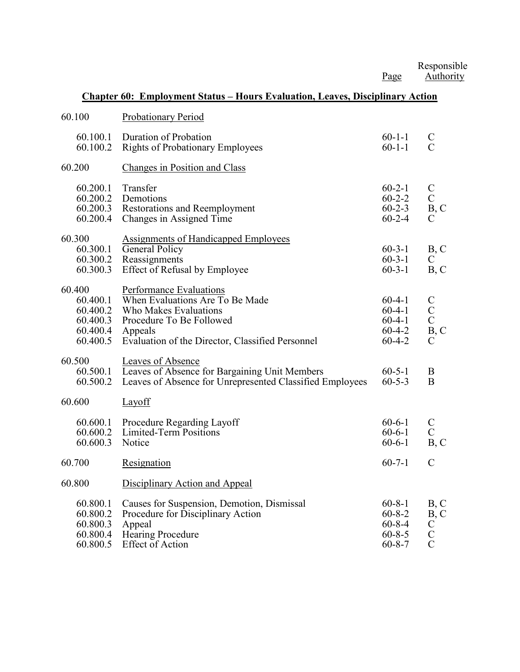Responsible Page Authority

#### **Chapter 60: Employment Status – Hours Evaluation, Leaves, Disciplinary Action**

| 60.100                                                             | Probationary Period                                                                                                                                                                   |                                                                              |                                                              |
|--------------------------------------------------------------------|---------------------------------------------------------------------------------------------------------------------------------------------------------------------------------------|------------------------------------------------------------------------------|--------------------------------------------------------------|
| 60.100.1<br>60.100.2                                               | Duration of Probation<br><b>Rights of Probationary Employees</b>                                                                                                                      | $60 - 1 - 1$<br>$60 - 1 - 1$                                                 | $\mathcal{C}$<br>$\mathcal{C}$                               |
| 60.200                                                             | Changes in Position and Class                                                                                                                                                         |                                                                              |                                                              |
| 60.200.1<br>60.200.2<br>60.200.3<br>60.200.4                       | Transfer<br>Demotions<br>Restorations and Reemployment<br>Changes in Assigned Time                                                                                                    | $60 - 2 - 1$<br>$60 - 2 - 2$<br>$60 - 2 - 3$<br>$60 - 2 - 4$                 | $\mathbf C$<br>$\overline{C}$<br>B, C<br>$\mathsf{C}$        |
| 60.300<br>60.300.1<br>60.300.2<br>60.300.3                         | <b>Assignments of Handicapped Employees</b><br>General Policy<br>Reassignments<br><b>Effect of Refusal by Employee</b>                                                                | $60 - 3 - 1$<br>$60 - 3 - 1$<br>$60 - 3 - 1$                                 | B, C<br>$\mathbf C$<br>B, C                                  |
| 60.400<br>60.400.1<br>60.400.2<br>60.400.3<br>60.400.4<br>60.400.5 | Performance Evaluations<br>When Evaluations Are To Be Made<br><b>Who Makes Evaluations</b><br>Procedure To Be Followed<br>Appeals<br>Evaluation of the Director, Classified Personnel | $60-4-1$<br>$60-4-1$<br>$60 - 4 - 1$<br>$60 - 4 - 2$<br>$60 - 4 - 2$         | $\mathbf C$<br>$\mathbf C$<br>$\mathbf C$<br>B, C<br>C       |
| 60.500<br>60.500.1<br>60.500.2                                     | Leaves of Absence<br>Leaves of Absence for Bargaining Unit Members<br>Leaves of Absence for Unrepresented Classified Employees                                                        | $60 - 5 - 1$<br>$60 - 5 - 3$                                                 | B<br>$\bf{B}$                                                |
| 60.600                                                             | Layoff                                                                                                                                                                                |                                                                              |                                                              |
| 60.600.1<br>60.600.2<br>60.600.3                                   | Procedure Regarding Layoff<br>Limited-Term Positions<br>Notice                                                                                                                        | $60 - 6 - 1$<br>$60 - 6 - 1$<br>$60 - 6 - 1$                                 | $\mathbf C$<br>$\mathcal{C}$<br>B, C                         |
| 60.700                                                             | Resignation                                                                                                                                                                           | $60 - 7 - 1$                                                                 | $\mathcal{C}$                                                |
| 60.800                                                             | Disciplinary Action and Appeal                                                                                                                                                        |                                                                              |                                                              |
| 60.800.1<br>60.800.2<br>60.800.3<br>60.800.4<br>60.800.5           | Causes for Suspension, Demotion, Dismissal<br>Procedure for Disciplinary Action<br>Appeal<br><b>Hearing Procedure</b><br><b>Effect of Action</b>                                      | $60 - 8 - 1$<br>$60 - 8 - 2$<br>$60 - 8 - 4$<br>$60 - 8 - 5$<br>$60 - 8 - 7$ | B, C<br>B, C<br>$\mathbf C$<br>$\mathbf C$<br>$\overline{C}$ |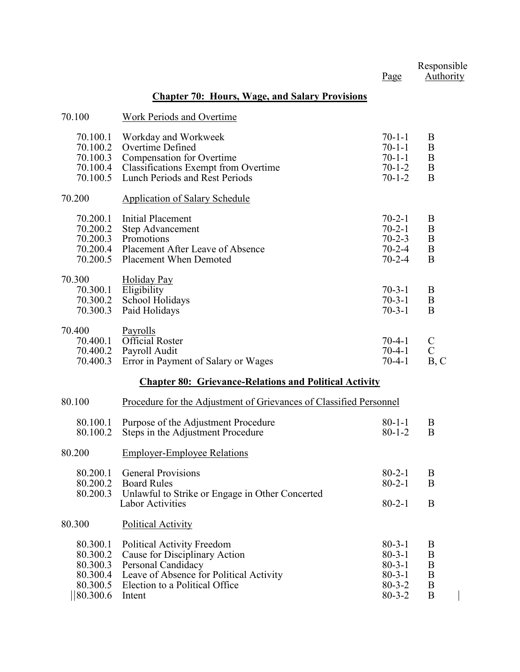|                                                                      |                                                                                                                                                                                 | Page                                                                                         | Responsible<br>Authority               |
|----------------------------------------------------------------------|---------------------------------------------------------------------------------------------------------------------------------------------------------------------------------|----------------------------------------------------------------------------------------------|----------------------------------------|
|                                                                      | <b>Chapter 70: Hours, Wage, and Salary Provisions</b>                                                                                                                           |                                                                                              |                                        |
| 70.100                                                               | Work Periods and Overtime                                                                                                                                                       |                                                                                              |                                        |
| 70.100.1<br>70.100.2<br>70.100.3<br>70.100.4<br>70.100.5             | Workday and Workweek<br>Overtime Defined<br>Compensation for Overtime<br>Classifications Exempt from Overtime<br>Lunch Periods and Rest Periods                                 | $70 - 1 - 1$<br>$70-1-1$<br>$70-1-1$<br>$70 - 1 - 2$<br>$70 - 1 - 2$                         | B<br>B<br>B<br>B<br>B                  |
| 70.200                                                               | <b>Application of Salary Schedule</b>                                                                                                                                           |                                                                                              |                                        |
| 70.200.1<br>70.200.2<br>70.200.3<br>70.200.5                         | Initial Placement<br><b>Step Advancement</b><br>Promotions<br>70.200.4 Placement After Leave of Absence<br><b>Placement When Demoted</b>                                        | $70 - 2 - 1$<br>$70 - 2 - 1$<br>$70 - 2 - 3$<br>$70 - 2 - 4$<br>$70 - 2 - 4$                 | B<br>$\boldsymbol{B}$<br>B<br>B<br>B   |
| 70.300<br>70.300.1<br>70.300.2<br>70.300.3                           | Holiday Pay<br>Eligibility<br>School Holidays<br>Paid Holidays                                                                                                                  | $70 - 3 - 1$<br>$70 - 3 - 1$<br>$70 - 3 - 1$                                                 | B<br>B<br>B                            |
| 70.400<br>70.400.1<br>70.400.2<br>70.400.3                           | Payrolls<br>Official Roster<br>Payroll Audit<br>Error in Payment of Salary or Wages                                                                                             | $70-4-1$<br>$70-4-1$<br>$70-4-1$                                                             | $\mathcal{C}$<br>$\mathcal{C}$<br>B, C |
|                                                                      | <b>Chapter 80: Grievance-Relations and Political Activity</b>                                                                                                                   |                                                                                              |                                        |
| 80.100                                                               | Procedure for the Adjustment of Grievances of Classified Personnel                                                                                                              |                                                                                              |                                        |
| 80.100.1<br>80.100.2                                                 | Purpose of the Adjustment Procedure<br>Steps in the Adjustment Procedure                                                                                                        | $80 - 1 - 1$<br>$80 - 1 - 2$                                                                 | B<br>B                                 |
| 80.200                                                               | <b>Employer-Employee Relations</b>                                                                                                                                              |                                                                                              |                                        |
| 80.200.1<br>80.200.2<br>80.200.3                                     | <b>General Provisions</b><br><b>Board Rules</b><br>Unlawful to Strike or Engage in Other Concerted                                                                              | $80 - 2 - 1$<br>$80 - 2 - 1$                                                                 | B<br>B                                 |
|                                                                      | <b>Labor Activities</b>                                                                                                                                                         | $80 - 2 - 1$                                                                                 | B                                      |
| 80.300                                                               | <b>Political Activity</b>                                                                                                                                                       |                                                                                              |                                        |
| 80.300.1<br>80.300.2<br>80.300.3<br>80.300.4<br>80.300.5<br>80.300.6 | <b>Political Activity Freedom</b><br>Cause for Disciplinary Action<br>Personal Candidacy<br>Leave of Absence for Political Activity<br>Election to a Political Office<br>Intent | $80 - 3 - 1$<br>$80 - 3 - 1$<br>$80 - 3 - 1$<br>$80 - 3 - 1$<br>$80 - 3 - 2$<br>$80 - 3 - 2$ | B<br>B<br>B<br>B<br>B<br>B             |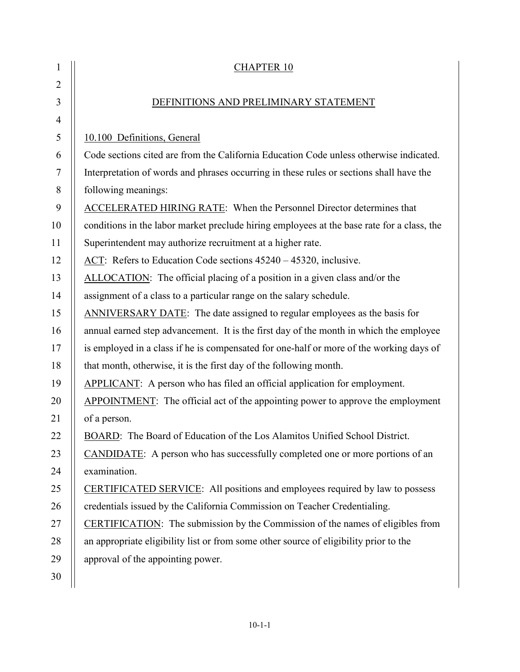| 1              | <b>CHAPTER 10</b>                                                                          |
|----------------|--------------------------------------------------------------------------------------------|
| $\overline{2}$ |                                                                                            |
| 3              | DEFINITIONS AND PRELIMINARY STATEMENT                                                      |
| $\overline{4}$ |                                                                                            |
| 5              | 10.100 Definitions, General                                                                |
| 6              | Code sections cited are from the California Education Code unless otherwise indicated.     |
| 7              | Interpretation of words and phrases occurring in these rules or sections shall have the    |
| 8              | following meanings:                                                                        |
| 9              | <b>ACCELERATED HIRING RATE:</b> When the Personnel Director determines that                |
| 10             | conditions in the labor market preclude hiring employees at the base rate for a class, the |
| 11             | Superintendent may authorize recruitment at a higher rate.                                 |
| 12             | ACT: Refers to Education Code sections 45240 - 45320, inclusive.                           |
| 13             | ALLOCATION: The official placing of a position in a given class and/or the                 |
| 14             | assignment of a class to a particular range on the salary schedule.                        |
| 15             | ANNIVERSARY DATE: The date assigned to regular employees as the basis for                  |
| 16             | annual earned step advancement. It is the first day of the month in which the employee     |
| 17             | is employed in a class if he is compensated for one-half or more of the working days of    |
| 18             | that month, otherwise, it is the first day of the following month.                         |
| 19             | <b>APPLICANT:</b> A person who has filed an official application for employment.           |
| 20             | APPOINTMENT: The official act of the appointing power to approve the employment            |
| 21             | of a person.                                                                               |
| 22             | BOARD: The Board of Education of the Los Alamitos Unified School District.                 |
| 23             | CANDIDATE: A person who has successfully completed one or more portions of an              |
| 24             | examination.                                                                               |
| 25             | <b>CERTIFICATED SERVICE:</b> All positions and employees required by law to possess        |
| 26             | credentials issued by the California Commission on Teacher Credentialing.                  |
| 27             | CERTIFICATION: The submission by the Commission of the names of eligibles from             |
| 28             | an appropriate eligibility list or from some other source of eligibility prior to the      |
| 29             | approval of the appointing power.                                                          |
| 30             |                                                                                            |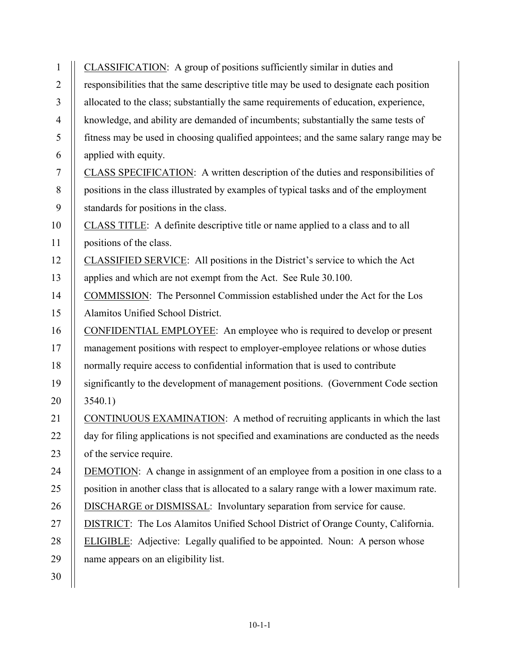| $\mathbf{1}$   | CLASSIFICATION: A group of positions sufficiently similar in duties and                  |
|----------------|------------------------------------------------------------------------------------------|
| $\overline{2}$ | responsibilities that the same descriptive title may be used to designate each position  |
| 3              | allocated to the class; substantially the same requirements of education, experience,    |
| $\overline{4}$ | knowledge, and ability are demanded of incumbents; substantially the same tests of       |
| 5              | fitness may be used in choosing qualified appointees; and the same salary range may be   |
| 6              | applied with equity.                                                                     |
| 7              | CLASS SPECIFICATION: A written description of the duties and responsibilities of         |
| 8              | positions in the class illustrated by examples of typical tasks and of the employment    |
| 9              | standards for positions in the class.                                                    |
| 10             | CLASS TITLE: A definite descriptive title or name applied to a class and to all          |
| 11             | positions of the class.                                                                  |
| 12             | CLASSIFIED SERVICE: All positions in the District's service to which the Act             |
| 13             | applies and which are not exempt from the Act. See Rule 30.100.                          |
| 14             | COMMISSION: The Personnel Commission established under the Act for the Los               |
| 15             | Alamitos Unified School District.                                                        |
| 16             | CONFIDENTIAL EMPLOYEE: An employee who is required to develop or present                 |
| 17             | management positions with respect to employer-employee relations or whose duties         |
| 18             | normally require access to confidential information that is used to contribute           |
| 19             | significantly to the development of management positions. (Government Code section       |
| 20             | 3540.1)                                                                                  |
| 21             | CONTINUOUS EXAMINATION: A method of recruiting applicants in which the last              |
| 22             | day for filing applications is not specified and examinations are conducted as the needs |
| 23             | of the service require.                                                                  |
| 24             | <b>DEMOTION:</b> A change in assignment of an employee from a position in one class to a |
| 25             | position in another class that is allocated to a salary range with a lower maximum rate. |
| 26             | <b>DISCHARGE</b> or <b>DISMISSAL</b> : Involuntary separation from service for cause.    |
| 27             | DISTRICT: The Los Alamitos Unified School District of Orange County, California.         |
| 28             | <b>ELIGIBLE:</b> Adjective: Legally qualified to be appointed. Noun: A person whose      |
| 29             | name appears on an eligibility list.                                                     |
| 30             |                                                                                          |
|                |                                                                                          |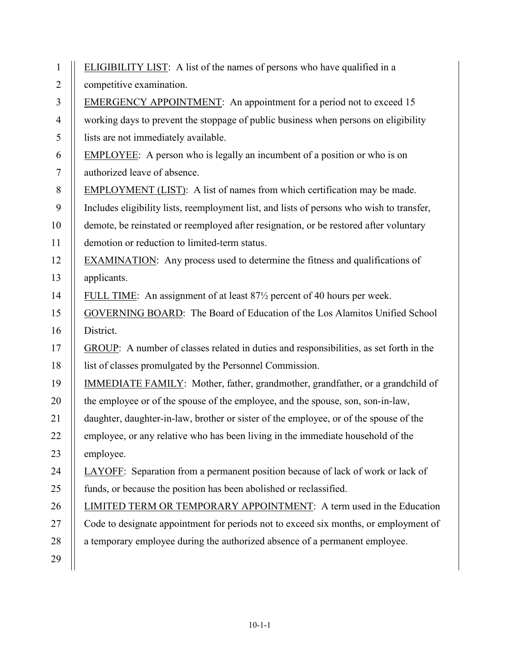| $\mathbf{1}$   | ELIGIBILITY LIST: A list of the names of persons who have qualified in a                          |
|----------------|---------------------------------------------------------------------------------------------------|
| $\overline{2}$ | competitive examination.                                                                          |
| 3              | <b>EMERGENCY APPOINTMENT:</b> An appointment for a period not to exceed 15                        |
| $\overline{4}$ | working days to prevent the stoppage of public business when persons on eligibility               |
| 5              | lists are not immediately available.                                                              |
| 6              | <b>EMPLOYEE:</b> A person who is legally an incumbent of a position or who is on                  |
| $\tau$         | authorized leave of absence.                                                                      |
| $8\,$          | <b>EMPLOYMENT</b> (LIST): A list of names from which certification may be made.                   |
| 9              | Includes eligibility lists, reemployment list, and lists of persons who wish to transfer,         |
| 10             | demote, be reinstated or reemployed after resignation, or be restored after voluntary             |
| 11             | demotion or reduction to limited-term status.                                                     |
| 12             | <b>EXAMINATION:</b> Any process used to determine the fitness and qualifications of               |
| 13             | applicants.                                                                                       |
| 14             | FULL TIME: An assignment of at least 87 <sup>1</sup> / <sub>2</sub> percent of 40 hours per week. |
| 15             | <b>GOVERNING BOARD:</b> The Board of Education of the Los Alamitos Unified School                 |
| 16             | District.                                                                                         |
| 17             | GROUP: A number of classes related in duties and responsibilities, as set forth in the            |
| 18             | list of classes promulgated by the Personnel Commission.                                          |
| 19             | IMMEDIATE FAMILY: Mother, father, grandmother, grandfather, or a grandchild of                    |
| 20             | the employee or of the spouse of the employee, and the spouse, son, son-in-law,                   |
| 21             | daughter, daughter-in-law, brother or sister of the employee, or of the spouse of the             |
| 22             | employee, or any relative who has been living in the immediate household of the                   |
| 23             | employee.                                                                                         |
| 24             | LAYOFF: Separation from a permanent position because of lack of work or lack of                   |
| 25             | funds, or because the position has been abolished or reclassified.                                |
| 26             | LIMITED TERM OR TEMPORARY APPOINTMENT: A term used in the Education                               |
| 27             | Code to designate appointment for periods not to exceed six months, or employment of              |
| 28             | a temporary employee during the authorized absence of a permanent employee.                       |
| 29             |                                                                                                   |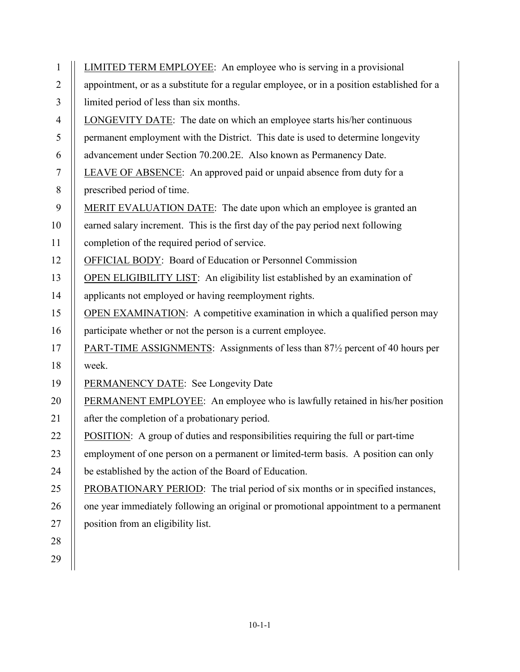| $\mathbf{1}$   | <b>LIMITED TERM EMPLOYEE:</b> An employee who is serving in a provisional                                     |
|----------------|---------------------------------------------------------------------------------------------------------------|
| $\overline{2}$ | appointment, or as a substitute for a regular employee, or in a position established for a                    |
| $\overline{3}$ | limited period of less than six months.                                                                       |
| $\overline{4}$ | LONGEVITY DATE: The date on which an employee starts his/her continuous                                       |
| 5              | permanent employment with the District. This date is used to determine longevity                              |
| 6              | advancement under Section 70.200.2E. Also known as Permanency Date.                                           |
| $\overline{7}$ | LEAVE OF ABSENCE: An approved paid or unpaid absence from duty for a                                          |
| 8              | prescribed period of time.                                                                                    |
| 9              | MERIT EVALUATION DATE: The date upon which an employee is granted an                                          |
| 10             | earned salary increment. This is the first day of the pay period next following                               |
| 11             | completion of the required period of service.                                                                 |
| 12             | OFFICIAL BODY: Board of Education or Personnel Commission                                                     |
| 13             | <b>OPEN ELIGIBILITY LIST:</b> An eligibility list established by an examination of                            |
| 14             | applicants not employed or having reemployment rights.                                                        |
| 15             | <b>OPEN EXAMINATION:</b> A competitive examination in which a qualified person may                            |
| 16             | participate whether or not the person is a current employee.                                                  |
| 17             | <b>PART-TIME ASSIGNMENTS:</b> Assignments of less than 87 <sup>1</sup> / <sub>2</sub> percent of 40 hours per |
| 18             | week.                                                                                                         |
| 19             | PERMANENCY DATE: See Longevity Date                                                                           |
| 20             | PERMANENT EMPLOYEE: An employee who is lawfully retained in his/her position                                  |
| 21             | after the completion of a probationary period.                                                                |
| 22             | <b>POSITION:</b> A group of duties and responsibilities requiring the full or part-time                       |
| 23             | employment of one person on a permanent or limited-term basis. A position can only                            |
| 24             | be established by the action of the Board of Education.                                                       |
| 25             | PROBATIONARY PERIOD: The trial period of six months or in specified instances,                                |
| 26             | one year immediately following an original or promotional appointment to a permanent                          |
| 27             | position from an eligibility list.                                                                            |
| 28             |                                                                                                               |
| 29             |                                                                                                               |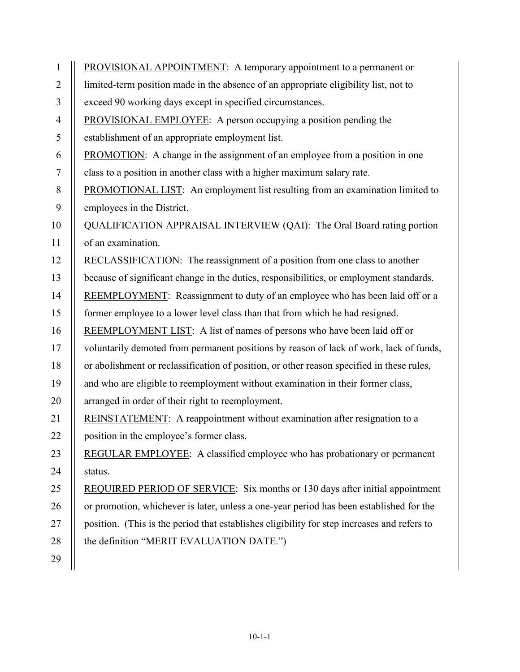| $\mathbf{1}$   | PROVISIONAL APPOINTMENT: A temporary appointment to a permanent or                          |
|----------------|---------------------------------------------------------------------------------------------|
| $\overline{2}$ | limited-term position made in the absence of an appropriate eligibility list, not to        |
| 3              | exceed 90 working days except in specified circumstances.                                   |
| $\overline{4}$ | <b>PROVISIONAL EMPLOYEE:</b> A person occupying a position pending the                      |
| 5              | establishment of an appropriate employment list.                                            |
| 6              | PROMOTION: A change in the assignment of an employee from a position in one                 |
| $\tau$         | class to a position in another class with a higher maximum salary rate.                     |
| 8              | <b>PROMOTIONAL LIST:</b> An employment list resulting from an examination limited to        |
| 9              | employees in the District.                                                                  |
| 10             | QUALIFICATION APPRAISAL INTERVIEW (QAI): The Oral Board rating portion                      |
| 11             | of an examination.                                                                          |
| 12             | RECLASSIFICATION: The reassignment of a position from one class to another                  |
| 13             | because of significant change in the duties, responsibilities, or employment standards.     |
| 14             | REEMPLOYMENT: Reassignment to duty of an employee who has been laid off or a                |
| 15             | former employee to a lower level class than that from which he had resigned.                |
| 16             | REEMPLOYMENT LIST: A list of names of persons who have been laid off or                     |
| 17             | voluntarily demoted from permanent positions by reason of lack of work, lack of funds,      |
| 18             | or abolishment or reclassification of position, or other reason specified in these rules,   |
| 19             | and who are eligible to reemployment without examination in their former class,             |
| 20             | arranged in order of their right to reemployment.                                           |
| 21             | REINSTATEMENT: A reappointment without examination after resignation to a                   |
| 22             | position in the employee's former class.                                                    |
| 23             | <b>REGULAR EMPLOYEE:</b> A classified employee who has probationary or permanent            |
| 24             | status.                                                                                     |
| 25             | REQUIRED PERIOD OF SERVICE: Six months or 130 days after initial appointment                |
| 26             | or promotion, whichever is later, unless a one-year period has been established for the     |
| 27             | position. (This is the period that establishes eligibility for step increases and refers to |
| 28             | the definition "MERIT EVALUATION DATE.")                                                    |
| 29             |                                                                                             |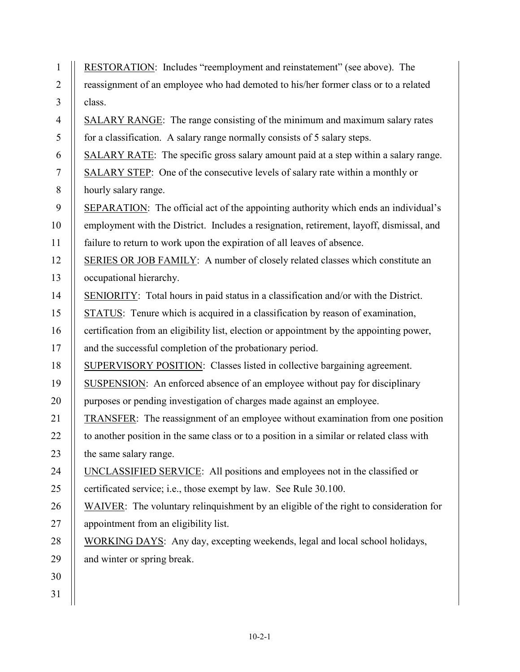| $\mathbf{1}$   | RESTORATION: Includes "reemployment and reinstatement" (see above). The                   |
|----------------|-------------------------------------------------------------------------------------------|
| $\overline{2}$ | reassignment of an employee who had demoted to his/her former class or to a related       |
| 3              | class.                                                                                    |
| $\overline{4}$ | SALARY RANGE: The range consisting of the minimum and maximum salary rates                |
| 5              | for a classification. A salary range normally consists of 5 salary steps.                 |
| 6              | SALARY RATE: The specific gross salary amount paid at a step within a salary range.       |
| $\tau$         | SALARY STEP: One of the consecutive levels of salary rate within a monthly or             |
| 8              | hourly salary range.                                                                      |
| 9              | SEPARATION: The official act of the appointing authority which ends an individual's       |
| 10             | employment with the District. Includes a resignation, retirement, layoff, dismissal, and  |
| 11             | failure to return to work upon the expiration of all leaves of absence.                   |
| 12             | SERIES OR JOB FAMILY: A number of closely related classes which constitute an             |
| 13             | occupational hierarchy.                                                                   |
| 14             | SENIORITY: Total hours in paid status in a classification and/or with the District.       |
| 15             | STATUS: Tenure which is acquired in a classification by reason of examination,            |
| 16             | certification from an eligibility list, election or appointment by the appointing power,  |
| 17             | and the successful completion of the probationary period.                                 |
| 18             | SUPERVISORY POSITION: Classes listed in collective bargaining agreement.                  |
| 19             | SUSPENSION: An enforced absence of an employee without pay for disciplinary               |
| 20             | purposes or pending investigation of charges made against an employee.                    |
| 21             | <b>TRANSFER:</b> The reassignment of an employee without examination from one position    |
| 22             | to another position in the same class or to a position in a similar or related class with |
| 23             | the same salary range.                                                                    |
| 24             | UNCLASSIFIED SERVICE: All positions and employees not in the classified or                |
| 25             | certificated service; i.e., those exempt by law. See Rule 30.100.                         |
| 26             | WAIVER: The voluntary relinquishment by an eligible of the right to consideration for     |
| 27             | appointment from an eligibility list.                                                     |
| 28             | WORKING DAYS: Any day, excepting weekends, legal and local school holidays,               |
| 29             | and winter or spring break.                                                               |
| 30             |                                                                                           |
| 31             |                                                                                           |
|                |                                                                                           |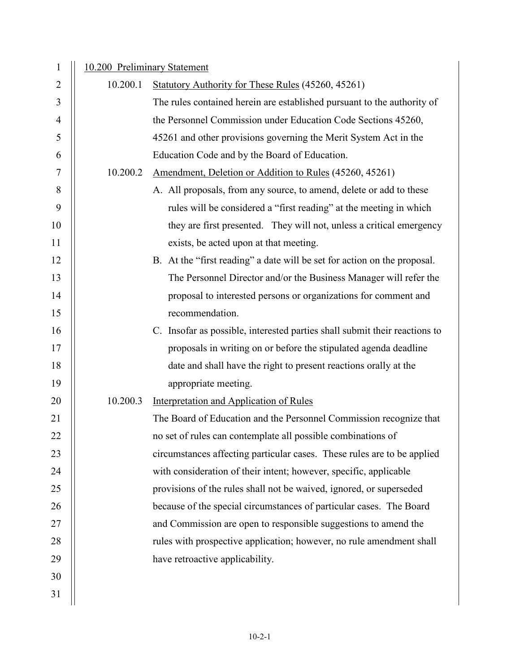| 1              | 10.200 Preliminary Statement |                                                                            |
|----------------|------------------------------|----------------------------------------------------------------------------|
| $\overline{2}$ | 10.200.1                     | Statutory Authority for These Rules (45260, 45261)                         |
| 3              |                              | The rules contained herein are established pursuant to the authority of    |
| $\overline{4}$ |                              | the Personnel Commission under Education Code Sections 45260,              |
| 5              |                              | 45261 and other provisions governing the Merit System Act in the           |
| 6              |                              | Education Code and by the Board of Education.                              |
| 7              | 10.200.2                     | Amendment, Deletion or Addition to Rules (45260, 45261)                    |
| 8              |                              | A. All proposals, from any source, to amend, delete or add to these        |
| 9              |                              | rules will be considered a "first reading" at the meeting in which         |
| 10             |                              | they are first presented. They will not, unless a critical emergency       |
| 11             |                              | exists, be acted upon at that meeting.                                     |
| 12             |                              | B. At the "first reading" a date will be set for action on the proposal.   |
| 13             |                              | The Personnel Director and/or the Business Manager will refer the          |
| 14             |                              | proposal to interested persons or organizations for comment and            |
| 15             |                              | recommendation.                                                            |
| 16             |                              | C. Insofar as possible, interested parties shall submit their reactions to |
| 17             |                              | proposals in writing on or before the stipulated agenda deadline           |
| 18             |                              | date and shall have the right to present reactions orally at the           |
| 19             |                              | appropriate meeting.                                                       |
| 20             | 10.200.3                     | <b>Interpretation and Application of Rules</b>                             |
| 21             |                              | The Board of Education and the Personnel Commission recognize that         |
| 22             |                              | no set of rules can contemplate all possible combinations of               |
| 23             |                              | circumstances affecting particular cases. These rules are to be applied    |
| 24             |                              | with consideration of their intent; however, specific, applicable          |
| 25             |                              | provisions of the rules shall not be waived, ignored, or superseded        |
| 26             |                              | because of the special circumstances of particular cases. The Board        |
| 27             |                              | and Commission are open to responsible suggestions to amend the            |
| 28             |                              | rules with prospective application; however, no rule amendment shall       |
| 29             |                              | have retroactive applicability.                                            |
| 30             |                              |                                                                            |
| 31             |                              |                                                                            |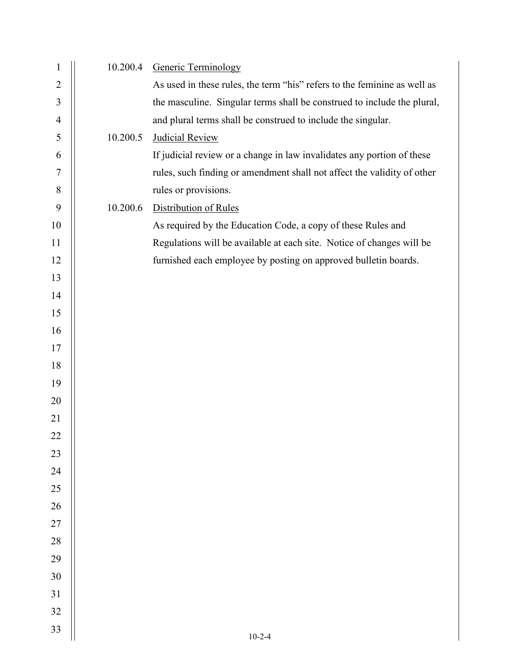| $\mathbf{1}$     | 10.200.4 | <b>Generic Terminology</b>                                               |
|------------------|----------|--------------------------------------------------------------------------|
| $\sqrt{2}$       |          | As used in these rules, the term "his" refers to the feminine as well as |
| $\mathfrak{Z}$   |          | the masculine. Singular terms shall be construed to include the plural,  |
| $\overline{4}$   |          | and plural terms shall be construed to include the singular.             |
| 5                | 10.200.5 | <b>Judicial Review</b>                                                   |
| 6                |          | If judicial review or a change in law invalidates any portion of these   |
| $\boldsymbol{7}$ |          | rules, such finding or amendment shall not affect the validity of other  |
| $8\,$            |          | rules or provisions.                                                     |
| 9                | 10.200.6 | Distribution of Rules                                                    |
| 10               |          | As required by the Education Code, a copy of these Rules and             |
| 11               |          | Regulations will be available at each site. Notice of changes will be    |
| 12               |          | furnished each employee by posting on approved bulletin boards.          |
| 13               |          |                                                                          |
| 14               |          |                                                                          |
| 15               |          |                                                                          |
| 16               |          |                                                                          |
| 17               |          |                                                                          |
| 18               |          |                                                                          |
| 19               |          |                                                                          |
| 20               |          |                                                                          |
| 21               |          |                                                                          |
| 22               |          |                                                                          |
| 23               |          |                                                                          |
| 24               |          |                                                                          |
| $25\,$           |          |                                                                          |
| $26\,$           |          |                                                                          |
| $27\,$           |          |                                                                          |
| 28               |          |                                                                          |
| 29               |          |                                                                          |
| $30\,$           |          |                                                                          |
| 31               |          |                                                                          |
|                  |          |                                                                          |
| 32               |          |                                                                          |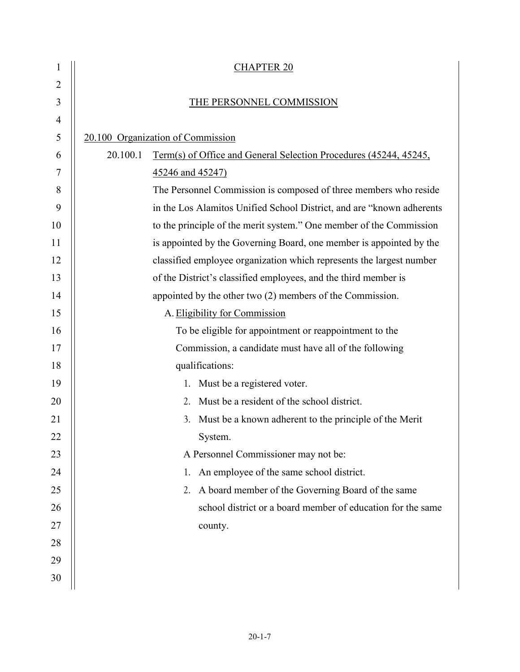| 1              | <b>CHAPTER 20</b>                                                             |  |  |
|----------------|-------------------------------------------------------------------------------|--|--|
| $\overline{2}$ |                                                                               |  |  |
| 3              | THE PERSONNEL COMMISSION                                                      |  |  |
| 4              |                                                                               |  |  |
| 5              | 20.100 Organization of Commission                                             |  |  |
| 6              | 20.100.1<br>Term(s) of Office and General Selection Procedures (45244, 45245, |  |  |
| 7              | 45246 and 45247)                                                              |  |  |
| 8              | The Personnel Commission is composed of three members who reside              |  |  |
| 9              | in the Los Alamitos Unified School District, and are "known adherents"        |  |  |
| 10             | to the principle of the merit system." One member of the Commission           |  |  |
| 11             | is appointed by the Governing Board, one member is appointed by the           |  |  |
| 12             | classified employee organization which represents the largest number          |  |  |
| 13             | of the District's classified employees, and the third member is               |  |  |
| 14             | appointed by the other two (2) members of the Commission.                     |  |  |
| 15             | A. Eligibility for Commission                                                 |  |  |
| 16             | To be eligible for appointment or reappointment to the                        |  |  |
| 17             | Commission, a candidate must have all of the following                        |  |  |
| 18             | qualifications:                                                               |  |  |
| 19             | 1. Must be a registered voter.                                                |  |  |
| 20             | Must be a resident of the school district.<br>$2_{-}$                         |  |  |
| 21             | Must be a known adherent to the principle of the Merit<br>3.                  |  |  |
| 22             | System.                                                                       |  |  |
| 23             | A Personnel Commissioner may not be:                                          |  |  |
| 24             | An employee of the same school district.<br>1.                                |  |  |
| 25             | A board member of the Governing Board of the same<br>2.                       |  |  |
| 26             | school district or a board member of education for the same                   |  |  |
| 27             | county.                                                                       |  |  |
| 28             |                                                                               |  |  |
| 29             |                                                                               |  |  |
| 30             |                                                                               |  |  |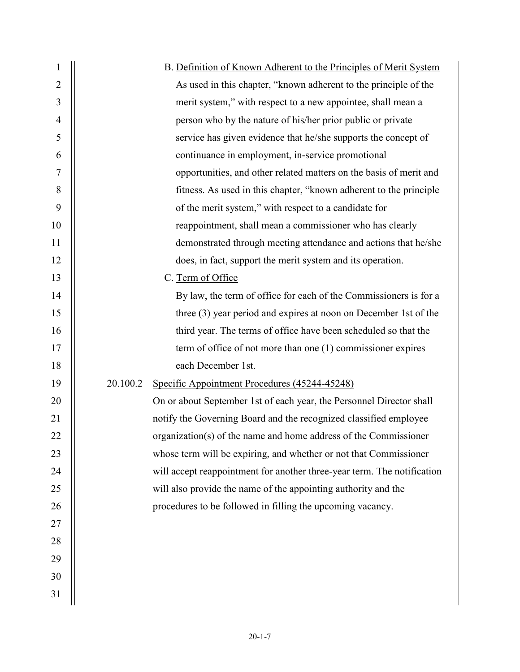| 1              | B. Definition of Known Adherent to the Principles of Merit System       |
|----------------|-------------------------------------------------------------------------|
| 2              | As used in this chapter, "known adherent to the principle of the        |
| 3              | merit system," with respect to a new appointee, shall mean a            |
| $\overline{4}$ | person who by the nature of his/her prior public or private             |
| 5              | service has given evidence that he/she supports the concept of          |
| 6              | continuance in employment, in-service promotional                       |
| 7              | opportunities, and other related matters on the basis of merit and      |
| 8              | fitness. As used in this chapter, "known adherent to the principle      |
| 9              | of the merit system," with respect to a candidate for                   |
| 10             | reappointment, shall mean a commissioner who has clearly                |
| 11             | demonstrated through meeting attendance and actions that he/she         |
| 12             | does, in fact, support the merit system and its operation.              |
| 13             | C. Term of Office                                                       |
| 14             | By law, the term of office for each of the Commissioners is for a       |
| 15             | three $(3)$ year period and expires at noon on December 1st of the      |
| 16             | third year. The terms of office have been scheduled so that the         |
| 17             | term of office of not more than one $(1)$ commissioner expires          |
| 18             | each December 1st.                                                      |
| 19             | 20.100.2<br>Specific Appointment Procedures (45244-45248)               |
| 20             | On or about September 1st of each year, the Personnel Director shall    |
| 21             | notify the Governing Board and the recognized classified employee       |
| 22             | organization(s) of the name and home address of the Commissioner        |
| 23             | whose term will be expiring, and whether or not that Commissioner       |
| 24             | will accept reappointment for another three-year term. The notification |
| 25             | will also provide the name of the appointing authority and the          |
| 26             | procedures to be followed in filling the upcoming vacancy.              |
| 27             |                                                                         |
| 28             |                                                                         |
| 29             |                                                                         |
| 30             |                                                                         |
| 31             |                                                                         |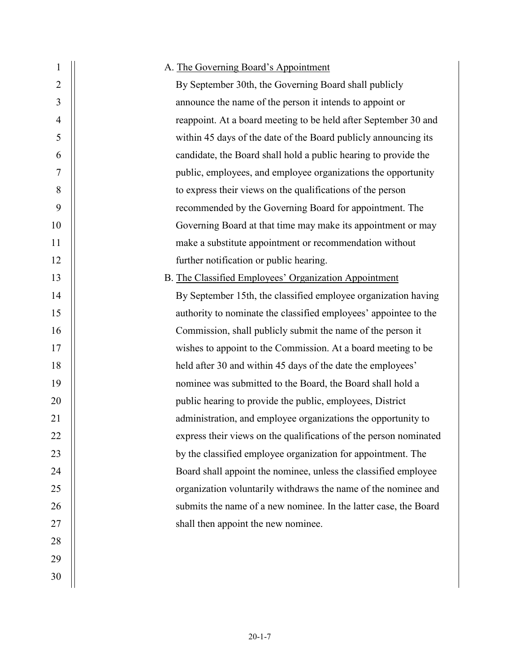| 1              | A. The Governing Board's Appointment                              |
|----------------|-------------------------------------------------------------------|
| $\overline{2}$ | By September 30th, the Governing Board shall publicly             |
| 3              | announce the name of the person it intends to appoint or          |
| 4              | reappoint. At a board meeting to be held after September 30 and   |
| 5              | within 45 days of the date of the Board publicly announcing its   |
| 6              | candidate, the Board shall hold a public hearing to provide the   |
| 7              | public, employees, and employee organizations the opportunity     |
| 8              | to express their views on the qualifications of the person        |
| 9              | recommended by the Governing Board for appointment. The           |
| 10             | Governing Board at that time may make its appointment or may      |
| 11             | make a substitute appointment or recommendation without           |
| 12             | further notification or public hearing.                           |
| 13             | B. The Classified Employees' Organization Appointment             |
| 14             | By September 15th, the classified employee organization having    |
| 15             | authority to nominate the classified employees' appointee to the  |
| 16             | Commission, shall publicly submit the name of the person it       |
| 17             | wishes to appoint to the Commission. At a board meeting to be     |
| 18             | held after 30 and within 45 days of the date the employees'       |
| 19             | nominee was submitted to the Board, the Board shall hold a        |
| 20             | public hearing to provide the public, employees, District         |
| 21             | administration, and employee organizations the opportunity to     |
| 22             | express their views on the qualifications of the person nominated |
| 23             | by the classified employee organization for appointment. The      |
| 24             | Board shall appoint the nominee, unless the classified employee   |
| 25             | organization voluntarily withdraws the name of the nominee and    |
| 26             | submits the name of a new nominee. In the latter case, the Board  |
| 27             | shall then appoint the new nominee.                               |
| 28             |                                                                   |
| 29             |                                                                   |
| 30             |                                                                   |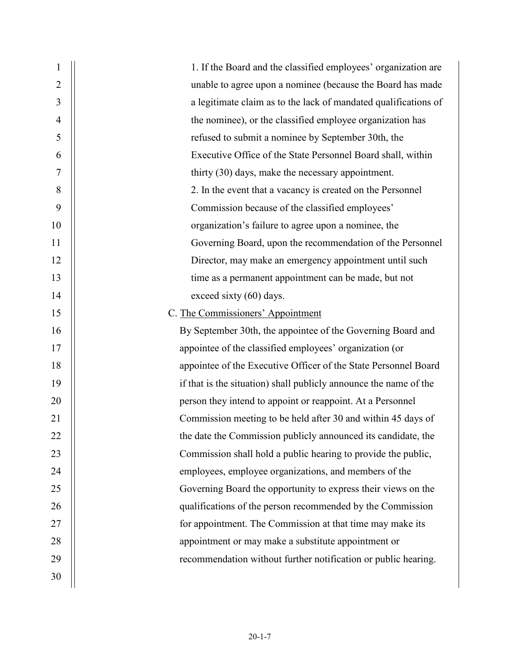| $\mathbf{1}$   | 1. If the Board and the classified employees' organization are    |
|----------------|-------------------------------------------------------------------|
| $\overline{2}$ | unable to agree upon a nominee (because the Board has made        |
| 3              | a legitimate claim as to the lack of mandated qualifications of   |
| $\overline{4}$ | the nominee), or the classified employee organization has         |
| 5              | refused to submit a nominee by September 30th, the                |
| 6              | Executive Office of the State Personnel Board shall, within       |
| 7              | thirty (30) days, make the necessary appointment.                 |
| 8              | 2. In the event that a vacancy is created on the Personnel        |
| 9              | Commission because of the classified employees'                   |
| 10             | organization's failure to agree upon a nominee, the               |
| 11             | Governing Board, upon the recommendation of the Personnel         |
| 12             | Director, may make an emergency appointment until such            |
| 13             | time as a permanent appointment can be made, but not              |
| 14             | exceed sixty (60) days.                                           |
| 15             | C. The Commissioners' Appointment                                 |
| 16             | By September 30th, the appointee of the Governing Board and       |
| 17             | appointee of the classified employees' organization (or           |
| 18             | appointee of the Executive Officer of the State Personnel Board   |
| 19             | if that is the situation) shall publicly announce the name of the |
| 20             | person they intend to appoint or reappoint. At a Personnel        |
| 21             | Commission meeting to be held after 30 and within 45 days of      |
| 22             | the date the Commission publicly announced its candidate, the     |
| 23             | Commission shall hold a public hearing to provide the public,     |
| 24             | employees, employee organizations, and members of the             |
| 25             | Governing Board the opportunity to express their views on the     |
| 26             | qualifications of the person recommended by the Commission        |
| 27             | for appointment. The Commission at that time may make its         |
| 28             | appointment or may make a substitute appointment or               |
| 29             | recommendation without further notification or public hearing.    |
| 30             |                                                                   |
|                |                                                                   |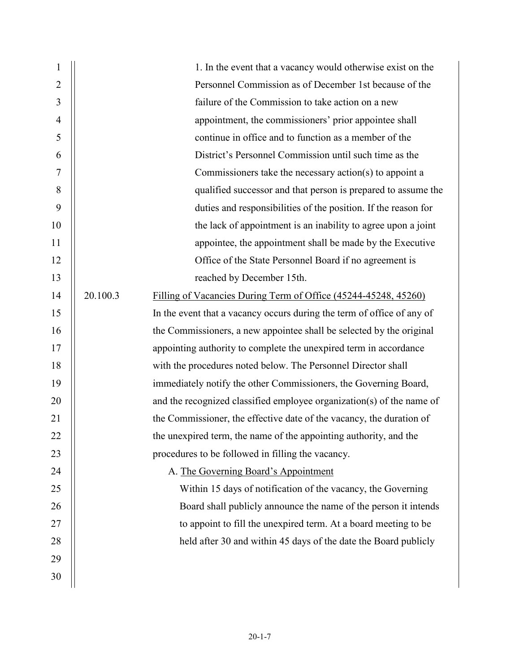| 1  |          | 1. In the event that a vacancy would otherwise exist on the            |
|----|----------|------------------------------------------------------------------------|
| 2  |          | Personnel Commission as of December 1st because of the                 |
| 3  |          | failure of the Commission to take action on a new                      |
| 4  |          | appointment, the commissioners' prior appointee shall                  |
| 5  |          | continue in office and to function as a member of the                  |
| 6  |          | District's Personnel Commission until such time as the                 |
| 7  |          | Commissioners take the necessary action(s) to appoint a                |
| 8  |          | qualified successor and that person is prepared to assume the          |
| 9  |          | duties and responsibilities of the position. If the reason for         |
| 10 |          | the lack of appointment is an inability to agree upon a joint          |
| 11 |          | appointee, the appointment shall be made by the Executive              |
| 12 |          | Office of the State Personnel Board if no agreement is                 |
| 13 |          | reached by December 15th.                                              |
| 14 | 20.100.3 | Filling of Vacancies During Term of Office (45244-45248, 45260)        |
| 15 |          | In the event that a vacancy occurs during the term of office of any of |
| 16 |          | the Commissioners, a new appointee shall be selected by the original   |
| 17 |          | appointing authority to complete the unexpired term in accordance      |
| 18 |          | with the procedures noted below. The Personnel Director shall          |
| 19 |          | immediately notify the other Commissioners, the Governing Board,       |
| 20 |          | and the recognized classified employee organization(s) of the name of  |
| 21 |          | the Commissioner, the effective date of the vacancy, the duration of   |
| 22 |          | the unexpired term, the name of the appointing authority, and the      |
| 23 |          | procedures to be followed in filling the vacancy.                      |
| 24 |          | A. The Governing Board's Appointment                                   |
| 25 |          | Within 15 days of notification of the vacancy, the Governing           |
| 26 |          | Board shall publicly announce the name of the person it intends        |
| 27 |          | to appoint to fill the unexpired term. At a board meeting to be        |
| 28 |          | held after 30 and within 45 days of the date the Board publicly        |
| 29 |          |                                                                        |
| 30 |          |                                                                        |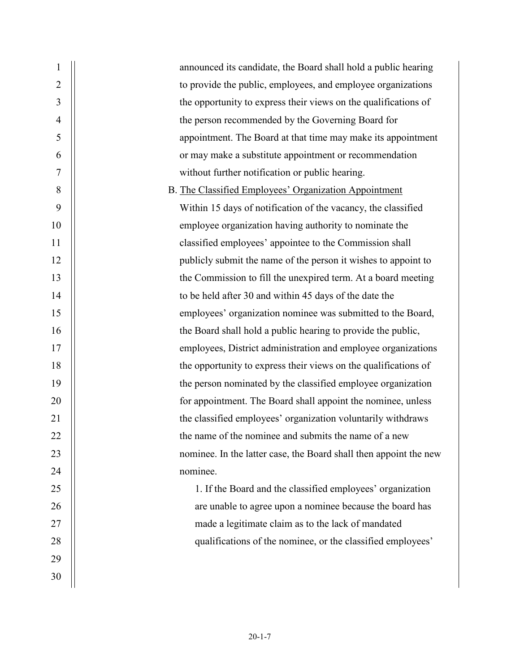| $\overline{2}$<br>to provide the public, employees, and employee organizations<br>3<br>the opportunity to express their views on the qualifications of<br>4<br>the person recommended by the Governing Board for<br>5<br>appointment. The Board at that time may make its appointment<br>or may make a substitute appointment or recommendation<br>6<br>$\boldsymbol{7}$<br>without further notification or public hearing.<br>$8\,$<br>B. The Classified Employees' Organization Appointment<br>9<br>Within 15 days of notification of the vacancy, the classified<br>10<br>employee organization having authority to nominate the<br>classified employees' appointee to the Commission shall<br>11<br>12<br>publicly submit the name of the person it wishes to appoint to<br>13<br>the Commission to fill the unexpired term. At a board meeting<br>14<br>to be held after 30 and within 45 days of the date the<br>employees' organization nominee was submitted to the Board,<br>15<br>the Board shall hold a public hearing to provide the public,<br>16<br>employees, District administration and employee organizations<br>17<br>the opportunity to express their views on the qualifications of<br>18<br>19<br>the person nominated by the classified employee organization<br>20<br>for appointment. The Board shall appoint the nominee, unless<br>21<br>the classified employees' organization voluntarily withdraws<br>the name of the nominee and submits the name of a new<br>22<br>23<br>24<br>nominee.<br>25<br>1. If the Board and the classified employees' organization<br>are unable to agree upon a nominee because the board has<br>26<br>27<br>made a legitimate claim as to the lack of mandated<br>qualifications of the nominee, or the classified employees'<br>28<br>29<br>30 | $\mathbf{1}$ | announced its candidate, the Board shall hold a public hearing    |
|------------------------------------------------------------------------------------------------------------------------------------------------------------------------------------------------------------------------------------------------------------------------------------------------------------------------------------------------------------------------------------------------------------------------------------------------------------------------------------------------------------------------------------------------------------------------------------------------------------------------------------------------------------------------------------------------------------------------------------------------------------------------------------------------------------------------------------------------------------------------------------------------------------------------------------------------------------------------------------------------------------------------------------------------------------------------------------------------------------------------------------------------------------------------------------------------------------------------------------------------------------------------------------------------------------------------------------------------------------------------------------------------------------------------------------------------------------------------------------------------------------------------------------------------------------------------------------------------------------------------------------------------------------------------------------------------------------------------------------------------------------------------------------------------------------|--------------|-------------------------------------------------------------------|
|                                                                                                                                                                                                                                                                                                                                                                                                                                                                                                                                                                                                                                                                                                                                                                                                                                                                                                                                                                                                                                                                                                                                                                                                                                                                                                                                                                                                                                                                                                                                                                                                                                                                                                                                                                                                            |              |                                                                   |
|                                                                                                                                                                                                                                                                                                                                                                                                                                                                                                                                                                                                                                                                                                                                                                                                                                                                                                                                                                                                                                                                                                                                                                                                                                                                                                                                                                                                                                                                                                                                                                                                                                                                                                                                                                                                            |              |                                                                   |
|                                                                                                                                                                                                                                                                                                                                                                                                                                                                                                                                                                                                                                                                                                                                                                                                                                                                                                                                                                                                                                                                                                                                                                                                                                                                                                                                                                                                                                                                                                                                                                                                                                                                                                                                                                                                            |              |                                                                   |
|                                                                                                                                                                                                                                                                                                                                                                                                                                                                                                                                                                                                                                                                                                                                                                                                                                                                                                                                                                                                                                                                                                                                                                                                                                                                                                                                                                                                                                                                                                                                                                                                                                                                                                                                                                                                            |              |                                                                   |
|                                                                                                                                                                                                                                                                                                                                                                                                                                                                                                                                                                                                                                                                                                                                                                                                                                                                                                                                                                                                                                                                                                                                                                                                                                                                                                                                                                                                                                                                                                                                                                                                                                                                                                                                                                                                            |              |                                                                   |
|                                                                                                                                                                                                                                                                                                                                                                                                                                                                                                                                                                                                                                                                                                                                                                                                                                                                                                                                                                                                                                                                                                                                                                                                                                                                                                                                                                                                                                                                                                                                                                                                                                                                                                                                                                                                            |              |                                                                   |
|                                                                                                                                                                                                                                                                                                                                                                                                                                                                                                                                                                                                                                                                                                                                                                                                                                                                                                                                                                                                                                                                                                                                                                                                                                                                                                                                                                                                                                                                                                                                                                                                                                                                                                                                                                                                            |              |                                                                   |
|                                                                                                                                                                                                                                                                                                                                                                                                                                                                                                                                                                                                                                                                                                                                                                                                                                                                                                                                                                                                                                                                                                                                                                                                                                                                                                                                                                                                                                                                                                                                                                                                                                                                                                                                                                                                            |              |                                                                   |
|                                                                                                                                                                                                                                                                                                                                                                                                                                                                                                                                                                                                                                                                                                                                                                                                                                                                                                                                                                                                                                                                                                                                                                                                                                                                                                                                                                                                                                                                                                                                                                                                                                                                                                                                                                                                            |              |                                                                   |
|                                                                                                                                                                                                                                                                                                                                                                                                                                                                                                                                                                                                                                                                                                                                                                                                                                                                                                                                                                                                                                                                                                                                                                                                                                                                                                                                                                                                                                                                                                                                                                                                                                                                                                                                                                                                            |              |                                                                   |
|                                                                                                                                                                                                                                                                                                                                                                                                                                                                                                                                                                                                                                                                                                                                                                                                                                                                                                                                                                                                                                                                                                                                                                                                                                                                                                                                                                                                                                                                                                                                                                                                                                                                                                                                                                                                            |              |                                                                   |
|                                                                                                                                                                                                                                                                                                                                                                                                                                                                                                                                                                                                                                                                                                                                                                                                                                                                                                                                                                                                                                                                                                                                                                                                                                                                                                                                                                                                                                                                                                                                                                                                                                                                                                                                                                                                            |              |                                                                   |
|                                                                                                                                                                                                                                                                                                                                                                                                                                                                                                                                                                                                                                                                                                                                                                                                                                                                                                                                                                                                                                                                                                                                                                                                                                                                                                                                                                                                                                                                                                                                                                                                                                                                                                                                                                                                            |              |                                                                   |
|                                                                                                                                                                                                                                                                                                                                                                                                                                                                                                                                                                                                                                                                                                                                                                                                                                                                                                                                                                                                                                                                                                                                                                                                                                                                                                                                                                                                                                                                                                                                                                                                                                                                                                                                                                                                            |              |                                                                   |
|                                                                                                                                                                                                                                                                                                                                                                                                                                                                                                                                                                                                                                                                                                                                                                                                                                                                                                                                                                                                                                                                                                                                                                                                                                                                                                                                                                                                                                                                                                                                                                                                                                                                                                                                                                                                            |              |                                                                   |
|                                                                                                                                                                                                                                                                                                                                                                                                                                                                                                                                                                                                                                                                                                                                                                                                                                                                                                                                                                                                                                                                                                                                                                                                                                                                                                                                                                                                                                                                                                                                                                                                                                                                                                                                                                                                            |              |                                                                   |
|                                                                                                                                                                                                                                                                                                                                                                                                                                                                                                                                                                                                                                                                                                                                                                                                                                                                                                                                                                                                                                                                                                                                                                                                                                                                                                                                                                                                                                                                                                                                                                                                                                                                                                                                                                                                            |              |                                                                   |
|                                                                                                                                                                                                                                                                                                                                                                                                                                                                                                                                                                                                                                                                                                                                                                                                                                                                                                                                                                                                                                                                                                                                                                                                                                                                                                                                                                                                                                                                                                                                                                                                                                                                                                                                                                                                            |              |                                                                   |
|                                                                                                                                                                                                                                                                                                                                                                                                                                                                                                                                                                                                                                                                                                                                                                                                                                                                                                                                                                                                                                                                                                                                                                                                                                                                                                                                                                                                                                                                                                                                                                                                                                                                                                                                                                                                            |              |                                                                   |
|                                                                                                                                                                                                                                                                                                                                                                                                                                                                                                                                                                                                                                                                                                                                                                                                                                                                                                                                                                                                                                                                                                                                                                                                                                                                                                                                                                                                                                                                                                                                                                                                                                                                                                                                                                                                            |              |                                                                   |
|                                                                                                                                                                                                                                                                                                                                                                                                                                                                                                                                                                                                                                                                                                                                                                                                                                                                                                                                                                                                                                                                                                                                                                                                                                                                                                                                                                                                                                                                                                                                                                                                                                                                                                                                                                                                            |              |                                                                   |
|                                                                                                                                                                                                                                                                                                                                                                                                                                                                                                                                                                                                                                                                                                                                                                                                                                                                                                                                                                                                                                                                                                                                                                                                                                                                                                                                                                                                                                                                                                                                                                                                                                                                                                                                                                                                            |              | nominee. In the latter case, the Board shall then appoint the new |
|                                                                                                                                                                                                                                                                                                                                                                                                                                                                                                                                                                                                                                                                                                                                                                                                                                                                                                                                                                                                                                                                                                                                                                                                                                                                                                                                                                                                                                                                                                                                                                                                                                                                                                                                                                                                            |              |                                                                   |
|                                                                                                                                                                                                                                                                                                                                                                                                                                                                                                                                                                                                                                                                                                                                                                                                                                                                                                                                                                                                                                                                                                                                                                                                                                                                                                                                                                                                                                                                                                                                                                                                                                                                                                                                                                                                            |              |                                                                   |
|                                                                                                                                                                                                                                                                                                                                                                                                                                                                                                                                                                                                                                                                                                                                                                                                                                                                                                                                                                                                                                                                                                                                                                                                                                                                                                                                                                                                                                                                                                                                                                                                                                                                                                                                                                                                            |              |                                                                   |
|                                                                                                                                                                                                                                                                                                                                                                                                                                                                                                                                                                                                                                                                                                                                                                                                                                                                                                                                                                                                                                                                                                                                                                                                                                                                                                                                                                                                                                                                                                                                                                                                                                                                                                                                                                                                            |              |                                                                   |
|                                                                                                                                                                                                                                                                                                                                                                                                                                                                                                                                                                                                                                                                                                                                                                                                                                                                                                                                                                                                                                                                                                                                                                                                                                                                                                                                                                                                                                                                                                                                                                                                                                                                                                                                                                                                            |              |                                                                   |
|                                                                                                                                                                                                                                                                                                                                                                                                                                                                                                                                                                                                                                                                                                                                                                                                                                                                                                                                                                                                                                                                                                                                                                                                                                                                                                                                                                                                                                                                                                                                                                                                                                                                                                                                                                                                            |              |                                                                   |
|                                                                                                                                                                                                                                                                                                                                                                                                                                                                                                                                                                                                                                                                                                                                                                                                                                                                                                                                                                                                                                                                                                                                                                                                                                                                                                                                                                                                                                                                                                                                                                                                                                                                                                                                                                                                            |              |                                                                   |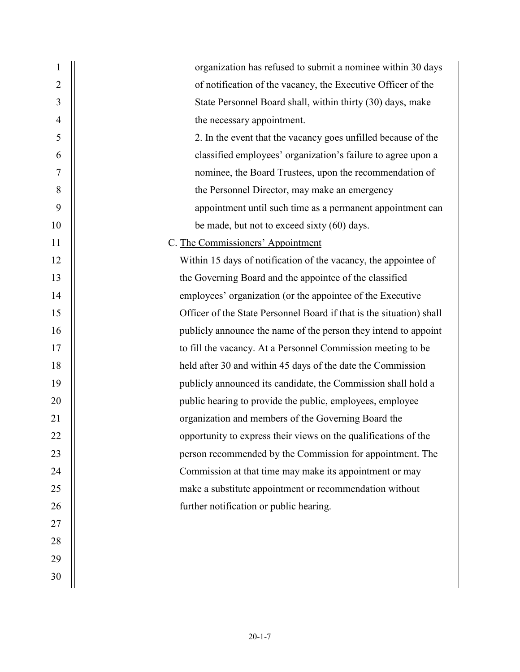| 1              | organization has refused to submit a nominee within 30 days          |
|----------------|----------------------------------------------------------------------|
| 2              | of notification of the vacancy, the Executive Officer of the         |
| 3              | State Personnel Board shall, within thirty (30) days, make           |
| $\overline{4}$ | the necessary appointment.                                           |
| 5              | 2. In the event that the vacancy goes unfilled because of the        |
| 6              | classified employees' organization's failure to agree upon a         |
| 7              | nominee, the Board Trustees, upon the recommendation of              |
| 8              | the Personnel Director, may make an emergency                        |
| 9              | appointment until such time as a permanent appointment can           |
| 10             | be made, but not to exceed sixty (60) days.                          |
| 11             | C. The Commissioners' Appointment                                    |
| 12             | Within 15 days of notification of the vacancy, the appointee of      |
| 13             | the Governing Board and the appointee of the classified              |
| 14             | employees' organization (or the appointee of the Executive           |
| 15             | Officer of the State Personnel Board if that is the situation) shall |
| 16             | publicly announce the name of the person they intend to appoint      |
| 17             | to fill the vacancy. At a Personnel Commission meeting to be         |
| 18             | held after 30 and within 45 days of the date the Commission          |
| 19             | publicly announced its candidate, the Commission shall hold a        |
| 20             | public hearing to provide the public, employees, employee            |
| 21             | organization and members of the Governing Board the                  |
| 22             | opportunity to express their views on the qualifications of the      |
| 23             | person recommended by the Commission for appointment. The            |
| 24             | Commission at that time may make its appointment or may              |
| 25             | make a substitute appointment or recommendation without              |
| 26             | further notification or public hearing.                              |
| 27             |                                                                      |
| 28             |                                                                      |
| 29             |                                                                      |
| 30             |                                                                      |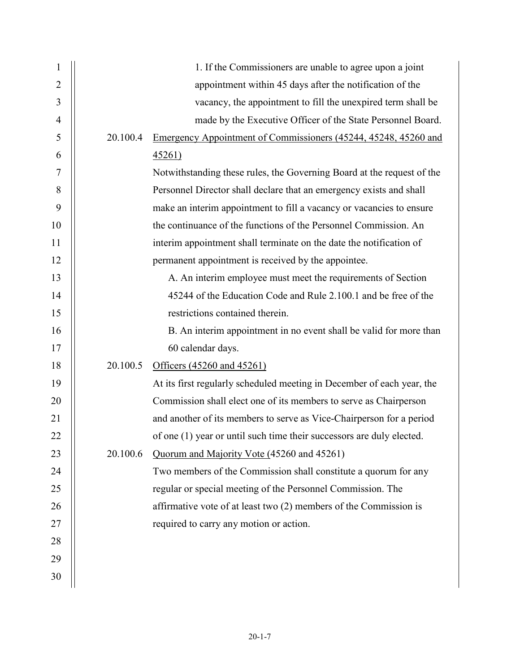| 1              |          | 1. If the Commissioners are unable to agree upon a joint               |
|----------------|----------|------------------------------------------------------------------------|
| 2              |          | appointment within 45 days after the notification of the               |
| 3              |          | vacancy, the appointment to fill the unexpired term shall be           |
| $\overline{4}$ |          | made by the Executive Officer of the State Personnel Board.            |
| 5              | 20.100.4 | Emergency Appointment of Commissioners (45244, 45248, 45260 and        |
| 6              |          | 45261)                                                                 |
| 7              |          | Notwithstanding these rules, the Governing Board at the request of the |
| 8              |          | Personnel Director shall declare that an emergency exists and shall    |
| 9              |          | make an interim appointment to fill a vacancy or vacancies to ensure   |
| 10             |          | the continuance of the functions of the Personnel Commission. An       |
| 11             |          | interim appointment shall terminate on the date the notification of    |
| 12             |          | permanent appointment is received by the appointee.                    |
| 13             |          | A. An interim employee must meet the requirements of Section           |
| 14             |          | 45244 of the Education Code and Rule 2.100.1 and be free of the        |
| 15             |          | restrictions contained therein.                                        |
| 16             |          | B. An interim appointment in no event shall be valid for more than     |
| 17             |          | 60 calendar days.                                                      |
| 18             | 20.100.5 | Officers (45260 and 45261)                                             |
| 19             |          | At its first regularly scheduled meeting in December of each year, the |
| 20             |          | Commission shall elect one of its members to serve as Chairperson      |
| 21             |          | and another of its members to serve as Vice-Chairperson for a period   |
| 22             |          | of one (1) year or until such time their successors are duly elected.  |
| 23             | 20.100.6 | Quorum and Majority Vote (45260 and 45261)                             |
| 24             |          | Two members of the Commission shall constitute a quorum for any        |
| 25             |          | regular or special meeting of the Personnel Commission. The            |
| 26             |          | affirmative vote of at least two (2) members of the Commission is      |
| 27             |          | required to carry any motion or action.                                |
| 28             |          |                                                                        |
| 29             |          |                                                                        |
| 30             |          |                                                                        |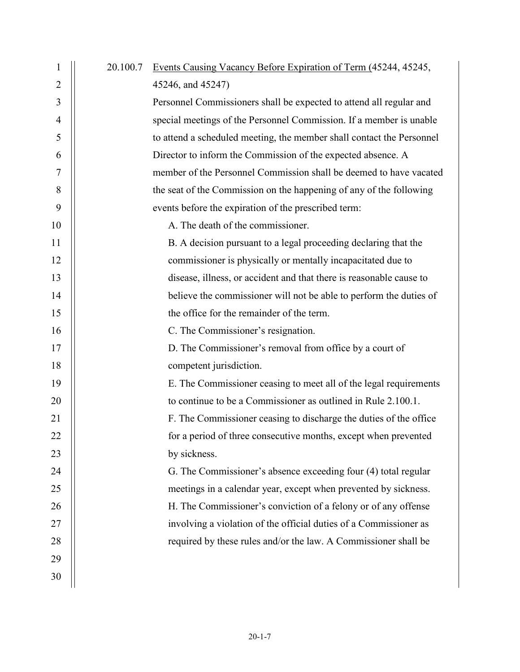| $\mathbf{1}$   | 20.100.7 | Events Causing Vacancy Before Expiration of Term (45244, 45245,       |
|----------------|----------|-----------------------------------------------------------------------|
| $\overline{2}$ |          | 45246, and 45247)                                                     |
| 3              |          | Personnel Commissioners shall be expected to attend all regular and   |
| $\overline{4}$ |          | special meetings of the Personnel Commission. If a member is unable   |
| 5              |          | to attend a scheduled meeting, the member shall contact the Personnel |
| 6              |          | Director to inform the Commission of the expected absence. A          |
| 7              |          | member of the Personnel Commission shall be deemed to have vacated    |
| 8              |          | the seat of the Commission on the happening of any of the following   |
| 9              |          | events before the expiration of the prescribed term:                  |
| 10             |          | A. The death of the commissioner.                                     |
| 11             |          | B. A decision pursuant to a legal proceeding declaring that the       |
| 12             |          | commissioner is physically or mentally incapacitated due to           |
| 13             |          | disease, illness, or accident and that there is reasonable cause to   |
| 14             |          | believe the commissioner will not be able to perform the duties of    |
| 15             |          | the office for the remainder of the term.                             |
| 16             |          | C. The Commissioner's resignation.                                    |
| 17             |          | D. The Commissioner's removal from office by a court of               |
| 18             |          | competent jurisdiction.                                               |
| 19             |          | E. The Commissioner ceasing to meet all of the legal requirements     |
| 20             |          | to continue to be a Commissioner as outlined in Rule 2.100.1.         |
| 21             |          | F. The Commissioner ceasing to discharge the duties of the office     |
| 22             |          | for a period of three consecutive months, except when prevented       |
| 23             |          | by sickness.                                                          |
| 24             |          | G. The Commissioner's absence exceeding four (4) total regular        |
| 25             |          | meetings in a calendar year, except when prevented by sickness.       |
| 26             |          | H. The Commissioner's conviction of a felony or of any offense        |
| 27             |          | involving a violation of the official duties of a Commissioner as     |
| 28             |          | required by these rules and/or the law. A Commissioner shall be       |
| 29             |          |                                                                       |
| 30             |          |                                                                       |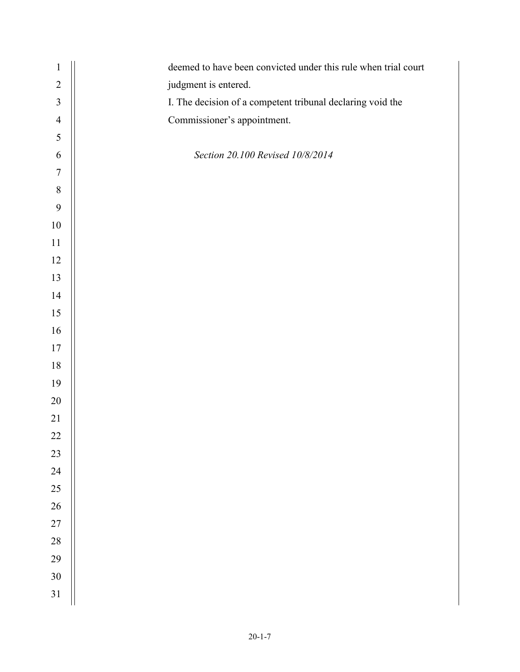| $\mathbf{1}$   | deemed to have been convicted under this rule when trial court |
|----------------|----------------------------------------------------------------|
| $\sqrt{2}$     | judgment is entered.                                           |
| $\mathfrak{Z}$ | I. The decision of a competent tribunal declaring void the     |
| $\overline{4}$ | Commissioner's appointment.                                    |
| $\sqrt{5}$     |                                                                |
| 6              | Section 20.100 Revised 10/8/2014                               |
| $\tau$         |                                                                |
| $\, 8$         |                                                                |
| 9              |                                                                |
| $10\,$         |                                                                |
| $11\,$         |                                                                |
| 12             |                                                                |
| 13             |                                                                |
| 14             |                                                                |
| 15             |                                                                |
| 16             |                                                                |
| $17\,$         |                                                                |
| $18\,$         |                                                                |
| 19             |                                                                |
| 20             |                                                                |
| 21             |                                                                |
| 22             |                                                                |
| 23             |                                                                |
| 24             |                                                                |
| 25             |                                                                |
| 26             |                                                                |
| $27\,$         |                                                                |
| 28             |                                                                |
| 29             |                                                                |
| 30             |                                                                |
| 31             |                                                                |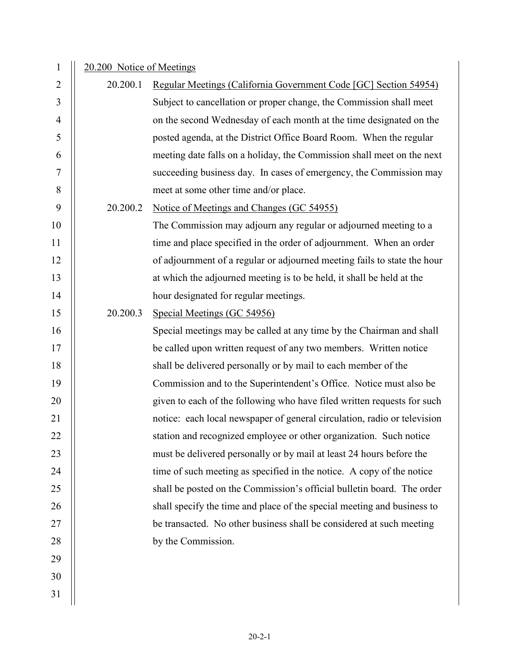| $\overline{2}$<br>Regular Meetings (California Government Code [GC] Section 54954)<br>20.200.1<br>3<br>Subject to cancellation or proper change, the Commission shall meet<br>$\overline{4}$<br>on the second Wednesday of each month at the time designated on the<br>5<br>posted agenda, at the District Office Board Room. When the regular<br>6<br>meeting date falls on a holiday, the Commission shall meet on the next<br>succeeding business day. In cases of emergency, the Commission may<br>7<br>$\,8\,$<br>meet at some other time and/or place.<br>9<br>20.200.2<br>Notice of Meetings and Changes (GC 54955)<br>10<br>The Commission may adjourn any regular or adjourned meeting to a<br>11<br>time and place specified in the order of adjournment. When an order<br>12<br>of adjournment of a regular or adjourned meeting fails to state the hour<br>13<br>at which the adjourned meeting is to be held, it shall be held at the<br>14<br>hour designated for regular meetings.<br>15<br>Special Meetings (GC 54956)<br>20.200.3<br>16<br>Special meetings may be called at any time by the Chairman and shall<br>17<br>be called upon written request of any two members. Written notice<br>18<br>shall be delivered personally or by mail to each member of the<br>19<br>Commission and to the Superintendent's Office. Notice must also be<br>given to each of the following who have filed written requests for such<br>20<br>notice: each local newspaper of general circulation, radio or television<br>21<br>station and recognized employee or other organization. Such notice<br>22<br>23<br>must be delivered personally or by mail at least 24 hours before the<br>24<br>time of such meeting as specified in the notice. A copy of the notice<br>25<br>shall be posted on the Commission's official bulletin board. The order<br>shall specify the time and place of the special meeting and business to<br>26<br>27<br>be transacted. No other business shall be considered at such meeting<br>28<br>by the Commission. | $\mathbf{1}$ | 20.200 Notice of Meetings |  |  |
|--------------------------------------------------------------------------------------------------------------------------------------------------------------------------------------------------------------------------------------------------------------------------------------------------------------------------------------------------------------------------------------------------------------------------------------------------------------------------------------------------------------------------------------------------------------------------------------------------------------------------------------------------------------------------------------------------------------------------------------------------------------------------------------------------------------------------------------------------------------------------------------------------------------------------------------------------------------------------------------------------------------------------------------------------------------------------------------------------------------------------------------------------------------------------------------------------------------------------------------------------------------------------------------------------------------------------------------------------------------------------------------------------------------------------------------------------------------------------------------------------------------------------------------------------------------------------------------------------------------------------------------------------------------------------------------------------------------------------------------------------------------------------------------------------------------------------------------------------------------------------------------------------------------------------------------------------------------------------------------------------------------------------------------------------------|--------------|---------------------------|--|--|
|                                                                                                                                                                                                                                                                                                                                                                                                                                                                                                                                                                                                                                                                                                                                                                                                                                                                                                                                                                                                                                                                                                                                                                                                                                                                                                                                                                                                                                                                                                                                                                                                                                                                                                                                                                                                                                                                                                                                                                                                                                                        |              |                           |  |  |
|                                                                                                                                                                                                                                                                                                                                                                                                                                                                                                                                                                                                                                                                                                                                                                                                                                                                                                                                                                                                                                                                                                                                                                                                                                                                                                                                                                                                                                                                                                                                                                                                                                                                                                                                                                                                                                                                                                                                                                                                                                                        |              |                           |  |  |
|                                                                                                                                                                                                                                                                                                                                                                                                                                                                                                                                                                                                                                                                                                                                                                                                                                                                                                                                                                                                                                                                                                                                                                                                                                                                                                                                                                                                                                                                                                                                                                                                                                                                                                                                                                                                                                                                                                                                                                                                                                                        |              |                           |  |  |
|                                                                                                                                                                                                                                                                                                                                                                                                                                                                                                                                                                                                                                                                                                                                                                                                                                                                                                                                                                                                                                                                                                                                                                                                                                                                                                                                                                                                                                                                                                                                                                                                                                                                                                                                                                                                                                                                                                                                                                                                                                                        |              |                           |  |  |
|                                                                                                                                                                                                                                                                                                                                                                                                                                                                                                                                                                                                                                                                                                                                                                                                                                                                                                                                                                                                                                                                                                                                                                                                                                                                                                                                                                                                                                                                                                                                                                                                                                                                                                                                                                                                                                                                                                                                                                                                                                                        |              |                           |  |  |
|                                                                                                                                                                                                                                                                                                                                                                                                                                                                                                                                                                                                                                                                                                                                                                                                                                                                                                                                                                                                                                                                                                                                                                                                                                                                                                                                                                                                                                                                                                                                                                                                                                                                                                                                                                                                                                                                                                                                                                                                                                                        |              |                           |  |  |
|                                                                                                                                                                                                                                                                                                                                                                                                                                                                                                                                                                                                                                                                                                                                                                                                                                                                                                                                                                                                                                                                                                                                                                                                                                                                                                                                                                                                                                                                                                                                                                                                                                                                                                                                                                                                                                                                                                                                                                                                                                                        |              |                           |  |  |
|                                                                                                                                                                                                                                                                                                                                                                                                                                                                                                                                                                                                                                                                                                                                                                                                                                                                                                                                                                                                                                                                                                                                                                                                                                                                                                                                                                                                                                                                                                                                                                                                                                                                                                                                                                                                                                                                                                                                                                                                                                                        |              |                           |  |  |
|                                                                                                                                                                                                                                                                                                                                                                                                                                                                                                                                                                                                                                                                                                                                                                                                                                                                                                                                                                                                                                                                                                                                                                                                                                                                                                                                                                                                                                                                                                                                                                                                                                                                                                                                                                                                                                                                                                                                                                                                                                                        |              |                           |  |  |
|                                                                                                                                                                                                                                                                                                                                                                                                                                                                                                                                                                                                                                                                                                                                                                                                                                                                                                                                                                                                                                                                                                                                                                                                                                                                                                                                                                                                                                                                                                                                                                                                                                                                                                                                                                                                                                                                                                                                                                                                                                                        |              |                           |  |  |
|                                                                                                                                                                                                                                                                                                                                                                                                                                                                                                                                                                                                                                                                                                                                                                                                                                                                                                                                                                                                                                                                                                                                                                                                                                                                                                                                                                                                                                                                                                                                                                                                                                                                                                                                                                                                                                                                                                                                                                                                                                                        |              |                           |  |  |
|                                                                                                                                                                                                                                                                                                                                                                                                                                                                                                                                                                                                                                                                                                                                                                                                                                                                                                                                                                                                                                                                                                                                                                                                                                                                                                                                                                                                                                                                                                                                                                                                                                                                                                                                                                                                                                                                                                                                                                                                                                                        |              |                           |  |  |
|                                                                                                                                                                                                                                                                                                                                                                                                                                                                                                                                                                                                                                                                                                                                                                                                                                                                                                                                                                                                                                                                                                                                                                                                                                                                                                                                                                                                                                                                                                                                                                                                                                                                                                                                                                                                                                                                                                                                                                                                                                                        |              |                           |  |  |
|                                                                                                                                                                                                                                                                                                                                                                                                                                                                                                                                                                                                                                                                                                                                                                                                                                                                                                                                                                                                                                                                                                                                                                                                                                                                                                                                                                                                                                                                                                                                                                                                                                                                                                                                                                                                                                                                                                                                                                                                                                                        |              |                           |  |  |
|                                                                                                                                                                                                                                                                                                                                                                                                                                                                                                                                                                                                                                                                                                                                                                                                                                                                                                                                                                                                                                                                                                                                                                                                                                                                                                                                                                                                                                                                                                                                                                                                                                                                                                                                                                                                                                                                                                                                                                                                                                                        |              |                           |  |  |
|                                                                                                                                                                                                                                                                                                                                                                                                                                                                                                                                                                                                                                                                                                                                                                                                                                                                                                                                                                                                                                                                                                                                                                                                                                                                                                                                                                                                                                                                                                                                                                                                                                                                                                                                                                                                                                                                                                                                                                                                                                                        |              |                           |  |  |
|                                                                                                                                                                                                                                                                                                                                                                                                                                                                                                                                                                                                                                                                                                                                                                                                                                                                                                                                                                                                                                                                                                                                                                                                                                                                                                                                                                                                                                                                                                                                                                                                                                                                                                                                                                                                                                                                                                                                                                                                                                                        |              |                           |  |  |
|                                                                                                                                                                                                                                                                                                                                                                                                                                                                                                                                                                                                                                                                                                                                                                                                                                                                                                                                                                                                                                                                                                                                                                                                                                                                                                                                                                                                                                                                                                                                                                                                                                                                                                                                                                                                                                                                                                                                                                                                                                                        |              |                           |  |  |
|                                                                                                                                                                                                                                                                                                                                                                                                                                                                                                                                                                                                                                                                                                                                                                                                                                                                                                                                                                                                                                                                                                                                                                                                                                                                                                                                                                                                                                                                                                                                                                                                                                                                                                                                                                                                                                                                                                                                                                                                                                                        |              |                           |  |  |
|                                                                                                                                                                                                                                                                                                                                                                                                                                                                                                                                                                                                                                                                                                                                                                                                                                                                                                                                                                                                                                                                                                                                                                                                                                                                                                                                                                                                                                                                                                                                                                                                                                                                                                                                                                                                                                                                                                                                                                                                                                                        |              |                           |  |  |
|                                                                                                                                                                                                                                                                                                                                                                                                                                                                                                                                                                                                                                                                                                                                                                                                                                                                                                                                                                                                                                                                                                                                                                                                                                                                                                                                                                                                                                                                                                                                                                                                                                                                                                                                                                                                                                                                                                                                                                                                                                                        |              |                           |  |  |
|                                                                                                                                                                                                                                                                                                                                                                                                                                                                                                                                                                                                                                                                                                                                                                                                                                                                                                                                                                                                                                                                                                                                                                                                                                                                                                                                                                                                                                                                                                                                                                                                                                                                                                                                                                                                                                                                                                                                                                                                                                                        |              |                           |  |  |
|                                                                                                                                                                                                                                                                                                                                                                                                                                                                                                                                                                                                                                                                                                                                                                                                                                                                                                                                                                                                                                                                                                                                                                                                                                                                                                                                                                                                                                                                                                                                                                                                                                                                                                                                                                                                                                                                                                                                                                                                                                                        |              |                           |  |  |
|                                                                                                                                                                                                                                                                                                                                                                                                                                                                                                                                                                                                                                                                                                                                                                                                                                                                                                                                                                                                                                                                                                                                                                                                                                                                                                                                                                                                                                                                                                                                                                                                                                                                                                                                                                                                                                                                                                                                                                                                                                                        |              |                           |  |  |
|                                                                                                                                                                                                                                                                                                                                                                                                                                                                                                                                                                                                                                                                                                                                                                                                                                                                                                                                                                                                                                                                                                                                                                                                                                                                                                                                                                                                                                                                                                                                                                                                                                                                                                                                                                                                                                                                                                                                                                                                                                                        |              |                           |  |  |
|                                                                                                                                                                                                                                                                                                                                                                                                                                                                                                                                                                                                                                                                                                                                                                                                                                                                                                                                                                                                                                                                                                                                                                                                                                                                                                                                                                                                                                                                                                                                                                                                                                                                                                                                                                                                                                                                                                                                                                                                                                                        |              |                           |  |  |
|                                                                                                                                                                                                                                                                                                                                                                                                                                                                                                                                                                                                                                                                                                                                                                                                                                                                                                                                                                                                                                                                                                                                                                                                                                                                                                                                                                                                                                                                                                                                                                                                                                                                                                                                                                                                                                                                                                                                                                                                                                                        |              |                           |  |  |
| 29                                                                                                                                                                                                                                                                                                                                                                                                                                                                                                                                                                                                                                                                                                                                                                                                                                                                                                                                                                                                                                                                                                                                                                                                                                                                                                                                                                                                                                                                                                                                                                                                                                                                                                                                                                                                                                                                                                                                                                                                                                                     |              |                           |  |  |
| 30                                                                                                                                                                                                                                                                                                                                                                                                                                                                                                                                                                                                                                                                                                                                                                                                                                                                                                                                                                                                                                                                                                                                                                                                                                                                                                                                                                                                                                                                                                                                                                                                                                                                                                                                                                                                                                                                                                                                                                                                                                                     |              |                           |  |  |
| 31                                                                                                                                                                                                                                                                                                                                                                                                                                                                                                                                                                                                                                                                                                                                                                                                                                                                                                                                                                                                                                                                                                                                                                                                                                                                                                                                                                                                                                                                                                                                                                                                                                                                                                                                                                                                                                                                                                                                                                                                                                                     |              |                           |  |  |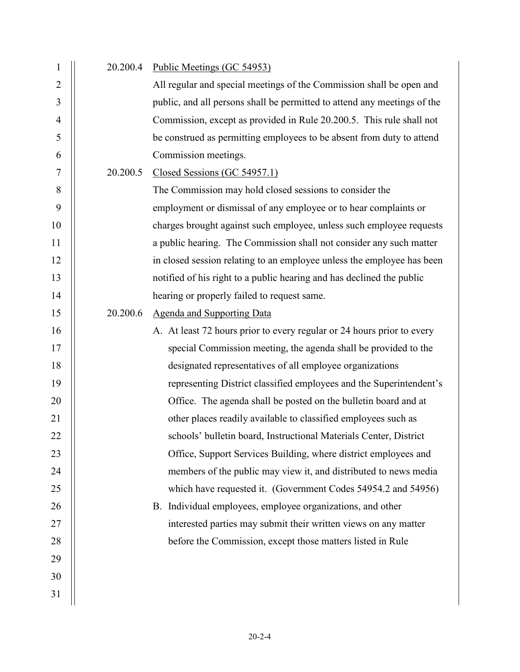| $\mathbf{1}$   | 20.200.4 | Public Meetings (GC 54953)                                               |
|----------------|----------|--------------------------------------------------------------------------|
| $\overline{2}$ |          | All regular and special meetings of the Commission shall be open and     |
| 3              |          | public, and all persons shall be permitted to attend any meetings of the |
| $\overline{4}$ |          | Commission, except as provided in Rule 20.200.5. This rule shall not     |
| 5              |          | be construed as permitting employees to be absent from duty to attend    |
| 6              |          | Commission meetings.                                                     |
| $\overline{7}$ | 20.200.5 | Closed Sessions (GC 54957.1)                                             |
| 8              |          | The Commission may hold closed sessions to consider the                  |
| 9              |          | employment or dismissal of any employee or to hear complaints or         |
| 10             |          | charges brought against such employee, unless such employee requests     |
| 11             |          | a public hearing. The Commission shall not consider any such matter      |
| 12             |          | in closed session relating to an employee unless the employee has been   |
| 13             |          | notified of his right to a public hearing and has declined the public    |
| 14             |          | hearing or properly failed to request same.                              |
| 15             | 20.200.6 | <b>Agenda and Supporting Data</b>                                        |
| 16             |          | A. At least 72 hours prior to every regular or 24 hours prior to every   |
| 17             |          | special Commission meeting, the agenda shall be provided to the          |
| 18             |          | designated representatives of all employee organizations                 |
| 19             |          | representing District classified employees and the Superintendent's      |
| 20             |          | Office. The agenda shall be posted on the bulletin board and at          |
| 21             |          | other places readily available to classified employees such as           |
| 22             |          | schools' bulletin board, Instructional Materials Center, District        |
| 23             |          | Office, Support Services Building, where district employees and          |
| 24             |          | members of the public may view it, and distributed to news media         |
| 25             |          | which have requested it. (Government Codes 54954.2 and 54956)            |
| 26             |          | B. Individual employees, employee organizations, and other               |
| 27             |          | interested parties may submit their written views on any matter          |
| 28             |          | before the Commission, except those matters listed in Rule               |
| 29             |          |                                                                          |
| 30             |          |                                                                          |
| 31             |          |                                                                          |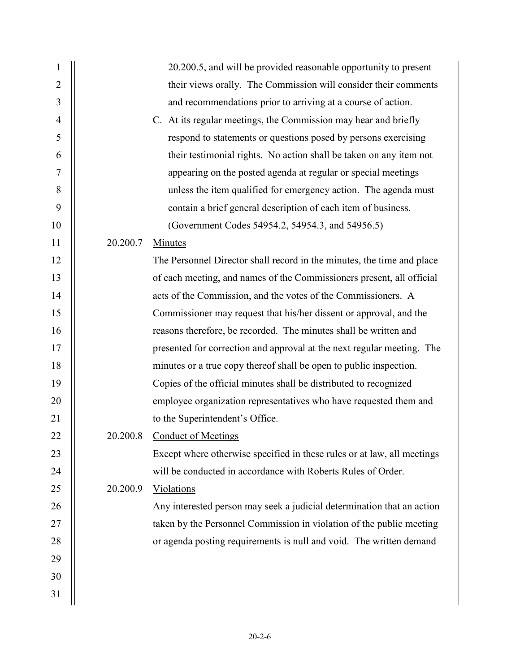| $\mathbf{1}$   |          | 20.200.5, and will be provided reasonable opportunity to present        |
|----------------|----------|-------------------------------------------------------------------------|
| $\overline{2}$ |          | their views orally. The Commission will consider their comments         |
| 3              |          | and recommendations prior to arriving at a course of action.            |
| $\overline{4}$ |          | C. At its regular meetings, the Commission may hear and briefly         |
| 5              |          | respond to statements or questions posed by persons exercising          |
| 6              |          | their testimonial rights. No action shall be taken on any item not      |
| $\overline{7}$ |          | appearing on the posted agenda at regular or special meetings           |
| 8              |          | unless the item qualified for emergency action. The agenda must         |
| 9              |          | contain a brief general description of each item of business.           |
| 10             |          | (Government Codes 54954.2, 54954.3, and 54956.5)                        |
| 11             | 20.200.7 | Minutes                                                                 |
| 12             |          | The Personnel Director shall record in the minutes, the time and place  |
| 13             |          | of each meeting, and names of the Commissioners present, all official   |
| 14             |          | acts of the Commission, and the votes of the Commissioners. A           |
| 15             |          | Commissioner may request that his/her dissent or approval, and the      |
| 16             |          | reasons therefore, be recorded. The minutes shall be written and        |
| 17             |          | presented for correction and approval at the next regular meeting. The  |
| 18             |          | minutes or a true copy thereof shall be open to public inspection.      |
| 19             |          | Copies of the official minutes shall be distributed to recognized       |
| 20             |          | employee organization representatives who have requested them and       |
| 21             |          | to the Superintendent's Office.                                         |
| 22             |          | 20.200.8 Conduct of Meetings                                            |
| 23             |          | Except where otherwise specified in these rules or at law, all meetings |
| 24             |          | will be conducted in accordance with Roberts Rules of Order.            |
| 25             | 20.200.9 | Violations                                                              |
| 26             |          | Any interested person may seek a judicial determination that an action  |
| 27             |          | taken by the Personnel Commission in violation of the public meeting    |
| 28             |          | or agenda posting requirements is null and void. The written demand     |
| 29             |          |                                                                         |
| 30             |          |                                                                         |
| 31             |          |                                                                         |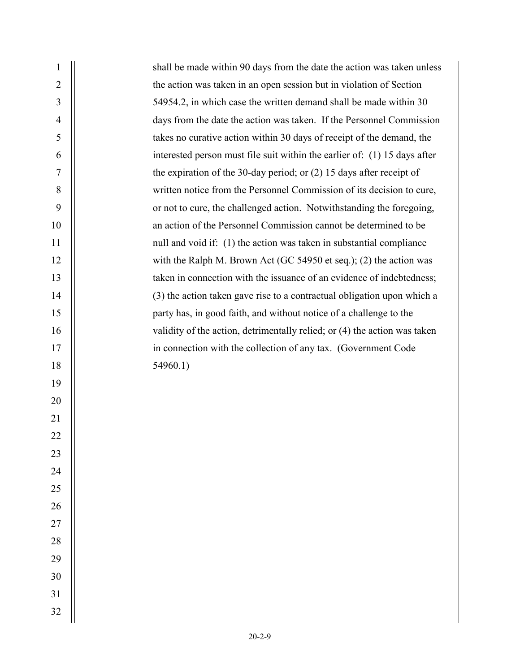| the action was taken in an open session but in violation of Section<br>$\overline{2}$<br>3<br>54954.2, in which case the written demand shall be made within 30<br>days from the date the action was taken. If the Personnel Commission<br>$\overline{4}$<br>takes no curative action within 30 days of receipt of the demand, the<br>5<br>interested person must file suit within the earlier of: (1) 15 days after<br>6<br>7<br>the expiration of the 30-day period; or $(2)$ 15 days after receipt of<br>8<br>written notice from the Personnel Commission of its decision to cure,<br>9<br>or not to cure, the challenged action. Notwithstanding the foregoing,<br>10<br>an action of the Personnel Commission cannot be determined to be<br>11<br>null and void if: (1) the action was taken in substantial compliance<br>12<br>with the Ralph M. Brown Act (GC 54950 et seq.); (2) the action was<br>13<br>taken in connection with the issuance of an evidence of indebtedness;<br>14<br>(3) the action taken gave rise to a contractual obligation upon which a<br>15<br>party has, in good faith, and without notice of a challenge to the<br>16<br>validity of the action, detrimentally relied; or (4) the action was taken<br>17<br>in connection with the collection of any tax. (Government Code<br>18<br>54960.1)<br>19<br>20<br>21<br>22<br>23<br>24<br>25<br>26<br>27<br>28<br>29<br>30<br>31<br>32 | $\mathbf{1}$ | shall be made within 90 days from the date the action was taken unless |
|-----------------------------------------------------------------------------------------------------------------------------------------------------------------------------------------------------------------------------------------------------------------------------------------------------------------------------------------------------------------------------------------------------------------------------------------------------------------------------------------------------------------------------------------------------------------------------------------------------------------------------------------------------------------------------------------------------------------------------------------------------------------------------------------------------------------------------------------------------------------------------------------------------------------------------------------------------------------------------------------------------------------------------------------------------------------------------------------------------------------------------------------------------------------------------------------------------------------------------------------------------------------------------------------------------------------------------------------------------------------------------------------------------------------------|--------------|------------------------------------------------------------------------|
|                                                                                                                                                                                                                                                                                                                                                                                                                                                                                                                                                                                                                                                                                                                                                                                                                                                                                                                                                                                                                                                                                                                                                                                                                                                                                                                                                                                                                       |              |                                                                        |
|                                                                                                                                                                                                                                                                                                                                                                                                                                                                                                                                                                                                                                                                                                                                                                                                                                                                                                                                                                                                                                                                                                                                                                                                                                                                                                                                                                                                                       |              |                                                                        |
|                                                                                                                                                                                                                                                                                                                                                                                                                                                                                                                                                                                                                                                                                                                                                                                                                                                                                                                                                                                                                                                                                                                                                                                                                                                                                                                                                                                                                       |              |                                                                        |
|                                                                                                                                                                                                                                                                                                                                                                                                                                                                                                                                                                                                                                                                                                                                                                                                                                                                                                                                                                                                                                                                                                                                                                                                                                                                                                                                                                                                                       |              |                                                                        |
|                                                                                                                                                                                                                                                                                                                                                                                                                                                                                                                                                                                                                                                                                                                                                                                                                                                                                                                                                                                                                                                                                                                                                                                                                                                                                                                                                                                                                       |              |                                                                        |
|                                                                                                                                                                                                                                                                                                                                                                                                                                                                                                                                                                                                                                                                                                                                                                                                                                                                                                                                                                                                                                                                                                                                                                                                                                                                                                                                                                                                                       |              |                                                                        |
|                                                                                                                                                                                                                                                                                                                                                                                                                                                                                                                                                                                                                                                                                                                                                                                                                                                                                                                                                                                                                                                                                                                                                                                                                                                                                                                                                                                                                       |              |                                                                        |
|                                                                                                                                                                                                                                                                                                                                                                                                                                                                                                                                                                                                                                                                                                                                                                                                                                                                                                                                                                                                                                                                                                                                                                                                                                                                                                                                                                                                                       |              |                                                                        |
|                                                                                                                                                                                                                                                                                                                                                                                                                                                                                                                                                                                                                                                                                                                                                                                                                                                                                                                                                                                                                                                                                                                                                                                                                                                                                                                                                                                                                       |              |                                                                        |
|                                                                                                                                                                                                                                                                                                                                                                                                                                                                                                                                                                                                                                                                                                                                                                                                                                                                                                                                                                                                                                                                                                                                                                                                                                                                                                                                                                                                                       |              |                                                                        |
|                                                                                                                                                                                                                                                                                                                                                                                                                                                                                                                                                                                                                                                                                                                                                                                                                                                                                                                                                                                                                                                                                                                                                                                                                                                                                                                                                                                                                       |              |                                                                        |
|                                                                                                                                                                                                                                                                                                                                                                                                                                                                                                                                                                                                                                                                                                                                                                                                                                                                                                                                                                                                                                                                                                                                                                                                                                                                                                                                                                                                                       |              |                                                                        |
|                                                                                                                                                                                                                                                                                                                                                                                                                                                                                                                                                                                                                                                                                                                                                                                                                                                                                                                                                                                                                                                                                                                                                                                                                                                                                                                                                                                                                       |              |                                                                        |
|                                                                                                                                                                                                                                                                                                                                                                                                                                                                                                                                                                                                                                                                                                                                                                                                                                                                                                                                                                                                                                                                                                                                                                                                                                                                                                                                                                                                                       |              |                                                                        |
|                                                                                                                                                                                                                                                                                                                                                                                                                                                                                                                                                                                                                                                                                                                                                                                                                                                                                                                                                                                                                                                                                                                                                                                                                                                                                                                                                                                                                       |              |                                                                        |
|                                                                                                                                                                                                                                                                                                                                                                                                                                                                                                                                                                                                                                                                                                                                                                                                                                                                                                                                                                                                                                                                                                                                                                                                                                                                                                                                                                                                                       |              |                                                                        |
|                                                                                                                                                                                                                                                                                                                                                                                                                                                                                                                                                                                                                                                                                                                                                                                                                                                                                                                                                                                                                                                                                                                                                                                                                                                                                                                                                                                                                       |              |                                                                        |
|                                                                                                                                                                                                                                                                                                                                                                                                                                                                                                                                                                                                                                                                                                                                                                                                                                                                                                                                                                                                                                                                                                                                                                                                                                                                                                                                                                                                                       |              |                                                                        |
|                                                                                                                                                                                                                                                                                                                                                                                                                                                                                                                                                                                                                                                                                                                                                                                                                                                                                                                                                                                                                                                                                                                                                                                                                                                                                                                                                                                                                       |              |                                                                        |
|                                                                                                                                                                                                                                                                                                                                                                                                                                                                                                                                                                                                                                                                                                                                                                                                                                                                                                                                                                                                                                                                                                                                                                                                                                                                                                                                                                                                                       |              |                                                                        |
|                                                                                                                                                                                                                                                                                                                                                                                                                                                                                                                                                                                                                                                                                                                                                                                                                                                                                                                                                                                                                                                                                                                                                                                                                                                                                                                                                                                                                       |              |                                                                        |
|                                                                                                                                                                                                                                                                                                                                                                                                                                                                                                                                                                                                                                                                                                                                                                                                                                                                                                                                                                                                                                                                                                                                                                                                                                                                                                                                                                                                                       |              |                                                                        |
|                                                                                                                                                                                                                                                                                                                                                                                                                                                                                                                                                                                                                                                                                                                                                                                                                                                                                                                                                                                                                                                                                                                                                                                                                                                                                                                                                                                                                       |              |                                                                        |
|                                                                                                                                                                                                                                                                                                                                                                                                                                                                                                                                                                                                                                                                                                                                                                                                                                                                                                                                                                                                                                                                                                                                                                                                                                                                                                                                                                                                                       |              |                                                                        |
|                                                                                                                                                                                                                                                                                                                                                                                                                                                                                                                                                                                                                                                                                                                                                                                                                                                                                                                                                                                                                                                                                                                                                                                                                                                                                                                                                                                                                       |              |                                                                        |
|                                                                                                                                                                                                                                                                                                                                                                                                                                                                                                                                                                                                                                                                                                                                                                                                                                                                                                                                                                                                                                                                                                                                                                                                                                                                                                                                                                                                                       |              |                                                                        |
|                                                                                                                                                                                                                                                                                                                                                                                                                                                                                                                                                                                                                                                                                                                                                                                                                                                                                                                                                                                                                                                                                                                                                                                                                                                                                                                                                                                                                       |              |                                                                        |
|                                                                                                                                                                                                                                                                                                                                                                                                                                                                                                                                                                                                                                                                                                                                                                                                                                                                                                                                                                                                                                                                                                                                                                                                                                                                                                                                                                                                                       |              |                                                                        |
|                                                                                                                                                                                                                                                                                                                                                                                                                                                                                                                                                                                                                                                                                                                                                                                                                                                                                                                                                                                                                                                                                                                                                                                                                                                                                                                                                                                                                       |              |                                                                        |
|                                                                                                                                                                                                                                                                                                                                                                                                                                                                                                                                                                                                                                                                                                                                                                                                                                                                                                                                                                                                                                                                                                                                                                                                                                                                                                                                                                                                                       |              |                                                                        |
|                                                                                                                                                                                                                                                                                                                                                                                                                                                                                                                                                                                                                                                                                                                                                                                                                                                                                                                                                                                                                                                                                                                                                                                                                                                                                                                                                                                                                       |              |                                                                        |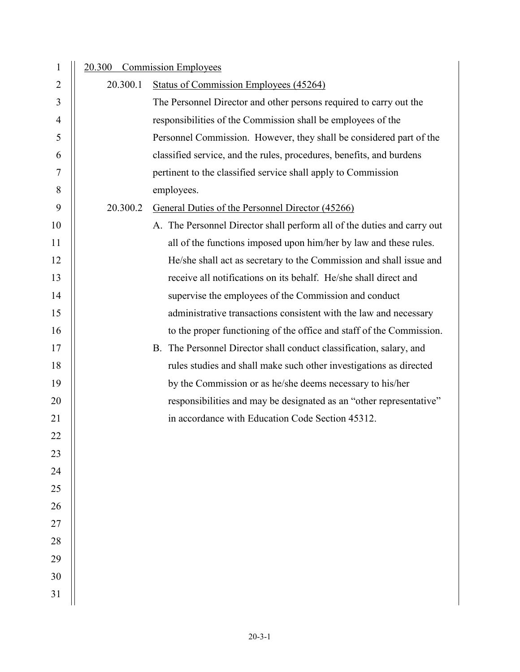| $\mathbf{1}$ |          | 20.300 Commission Employees                                             |
|--------------|----------|-------------------------------------------------------------------------|
| 2            | 20.300.1 | <b>Status of Commission Employees (45264)</b>                           |
| 3            |          | The Personnel Director and other persons required to carry out the      |
| 4            |          | responsibilities of the Commission shall be employees of the            |
| 5            |          | Personnel Commission. However, they shall be considered part of the     |
| 6            |          | classified service, and the rules, procedures, benefits, and burdens    |
| 7            |          | pertinent to the classified service shall apply to Commission           |
| 8            |          | employees.                                                              |
| 9            | 20.300.2 | General Duties of the Personnel Director (45266)                        |
| 10           |          | A. The Personnel Director shall perform all of the duties and carry out |
| 11           |          | all of the functions imposed upon him/her by law and these rules.       |
| 12           |          | He/she shall act as secretary to the Commission and shall issue and     |
| 13           |          | receive all notifications on its behalf. He/she shall direct and        |
| 14           |          | supervise the employees of the Commission and conduct                   |
| 15           |          | administrative transactions consistent with the law and necessary       |
| 16           |          | to the proper functioning of the office and staff of the Commission.    |
| 17           |          | B. The Personnel Director shall conduct classification, salary, and     |
| 18           |          | rules studies and shall make such other investigations as directed      |
| 19           |          | by the Commission or as he/she deems necessary to his/her               |
| 20           |          | responsibilities and may be designated as an "other representative"     |
| 21           |          | in accordance with Education Code Section 45312.                        |
| 22           |          |                                                                         |
| 23           |          |                                                                         |
| 24           |          |                                                                         |
| 25           |          |                                                                         |
| 26           |          |                                                                         |
| $27\,$       |          |                                                                         |
| 28           |          |                                                                         |
| 29           |          |                                                                         |
| 30           |          |                                                                         |
| 31           |          |                                                                         |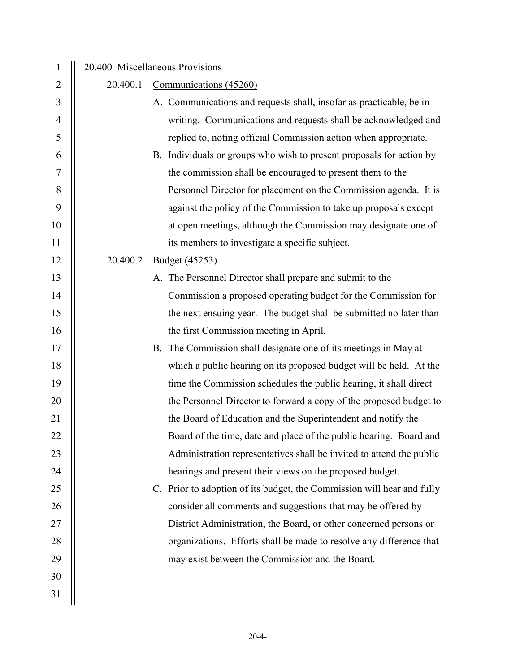| $\mathbf{1}$   |          | 20.400 Miscellaneous Provisions                                        |
|----------------|----------|------------------------------------------------------------------------|
| $\overline{2}$ | 20.400.1 | Communications (45260)                                                 |
| 3              |          | A. Communications and requests shall, insofar as practicable, be in    |
| 4              |          | writing. Communications and requests shall be acknowledged and         |
| 5              |          | replied to, noting official Commission action when appropriate.        |
| 6              |          | B. Individuals or groups who wish to present proposals for action by   |
| 7              |          | the commission shall be encouraged to present them to the              |
| 8              |          | Personnel Director for placement on the Commission agenda. It is       |
| 9              |          | against the policy of the Commission to take up proposals except       |
| 10             |          | at open meetings, although the Commission may designate one of         |
| 11             |          | its members to investigate a specific subject.                         |
| 12             | 20.400.2 | <b>Budget</b> (45253)                                                  |
| 13             |          | A. The Personnel Director shall prepare and submit to the              |
| 14             |          | Commission a proposed operating budget for the Commission for          |
| 15             |          | the next ensuing year. The budget shall be submitted no later than     |
| 16             |          | the first Commission meeting in April.                                 |
| 17             |          | B. The Commission shall designate one of its meetings in May at        |
| 18             |          | which a public hearing on its proposed budget will be held. At the     |
| 19             |          | time the Commission schedules the public hearing, it shall direct      |
| 20             |          | the Personnel Director to forward a copy of the proposed budget to     |
| 21             |          | the Board of Education and the Superintendent and notify the           |
| 22             |          | Board of the time, date and place of the public hearing. Board and     |
| 23             |          | Administration representatives shall be invited to attend the public   |
| 24             |          | hearings and present their views on the proposed budget.               |
| 25             |          | C. Prior to adoption of its budget, the Commission will hear and fully |
| 26             |          | consider all comments and suggestions that may be offered by           |
| 27             |          | District Administration, the Board, or other concerned persons or      |
| 28             |          | organizations. Efforts shall be made to resolve any difference that    |
| 29             |          | may exist between the Commission and the Board.                        |
| 30             |          |                                                                        |
| 31             |          |                                                                        |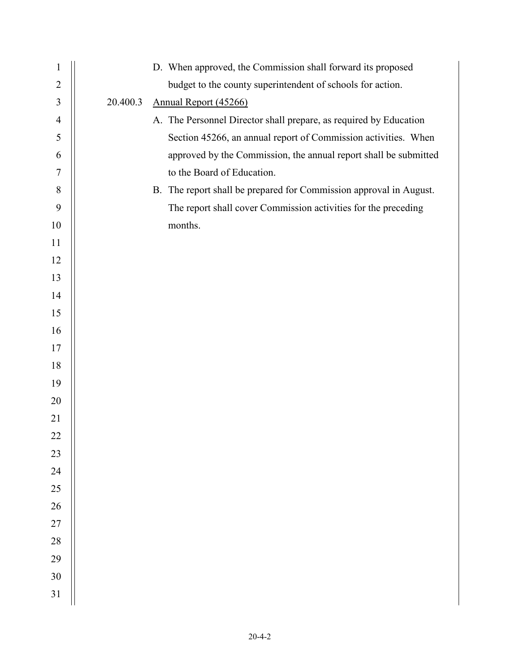| $\mathbf{1}$     | D. When approved, the Commission shall forward its proposed        |
|------------------|--------------------------------------------------------------------|
| $\overline{2}$   | budget to the county superintendent of schools for action.         |
| $\overline{3}$   | 20.400.3<br>Annual Report (45266)                                  |
| $\overline{4}$   | A. The Personnel Director shall prepare, as required by Education  |
| 5                | Section 45266, an annual report of Commission activities. When     |
| 6                | approved by the Commission, the annual report shall be submitted   |
| $\boldsymbol{7}$ | to the Board of Education.                                         |
| $8\,$            | B. The report shall be prepared for Commission approval in August. |
| 9                | The report shall cover Commission activities for the preceding     |
| 10               | months.                                                            |
| 11               |                                                                    |
| 12               |                                                                    |
| 13               |                                                                    |
| 14               |                                                                    |
| 15               |                                                                    |
| 16               |                                                                    |
| 17               |                                                                    |
| 18               |                                                                    |
| 19               |                                                                    |
| 20               |                                                                    |
| 21               |                                                                    |
| 22               |                                                                    |
| 23               |                                                                    |
| 24               |                                                                    |
| 25               |                                                                    |
| 26               |                                                                    |
| $27\,$           |                                                                    |
| $28\,$           |                                                                    |
| 29               |                                                                    |
| $30\,$           |                                                                    |
| 31               |                                                                    |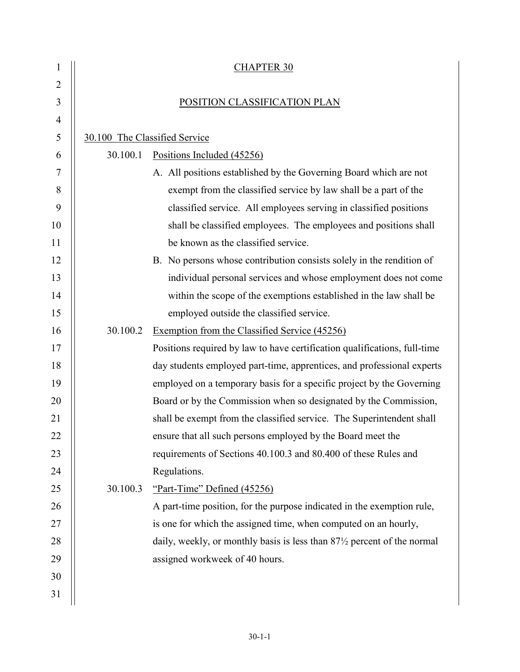| 1              |                               | <b>CHAPTER 30</b>                                                                     |  |  |
|----------------|-------------------------------|---------------------------------------------------------------------------------------|--|--|
| $\overline{2}$ |                               |                                                                                       |  |  |
| 3              |                               | POSITION CLASSIFICATION PLAN                                                          |  |  |
| 4              |                               |                                                                                       |  |  |
| 5              | 30.100 The Classified Service |                                                                                       |  |  |
| 6              | 30.100.1                      | Positions Included (45256)                                                            |  |  |
| 7              |                               | A. All positions established by the Governing Board which are not                     |  |  |
| 8              |                               | exempt from the classified service by law shall be a part of the                      |  |  |
| 9              |                               | classified service. All employees serving in classified positions                     |  |  |
| 10             |                               | shall be classified employees. The employees and positions shall                      |  |  |
| 11             |                               | be known as the classified service.                                                   |  |  |
| 12             |                               | B. No persons whose contribution consists solely in the rendition of                  |  |  |
| 13             |                               | individual personal services and whose employment does not come                       |  |  |
| 14             |                               | within the scope of the exemptions established in the law shall be                    |  |  |
| 15             |                               | employed outside the classified service.                                              |  |  |
| 16             | 30.100.2                      | Exemption from the Classified Service (45256)                                         |  |  |
| 17             |                               | Positions required by law to have certification qualifications, full-time             |  |  |
| 18             |                               | day students employed part-time, apprentices, and professional experts                |  |  |
| 19             |                               | employed on a temporary basis for a specific project by the Governing                 |  |  |
| 20             |                               | Board or by the Commission when so designated by the Commission,                      |  |  |
| 21             |                               | shall be exempt from the classified service. The Superintendent shall                 |  |  |
| 22             |                               | ensure that all such persons employed by the Board meet the                           |  |  |
| 23             |                               | requirements of Sections 40.100.3 and 80.400 of these Rules and                       |  |  |
| 24             |                               | Regulations.                                                                          |  |  |
| 25             | 30.100.3                      | "Part-Time" Defined (45256)                                                           |  |  |
| 26             |                               | A part-time position, for the purpose indicated in the exemption rule,                |  |  |
| 27             |                               | is one for which the assigned time, when computed on an hourly,                       |  |  |
| 28             |                               | daily, weekly, or monthly basis is less than 87 <sup>1</sup> /2 percent of the normal |  |  |
| 29             |                               | assigned workweek of 40 hours.                                                        |  |  |
| 30             |                               |                                                                                       |  |  |
| 31             |                               |                                                                                       |  |  |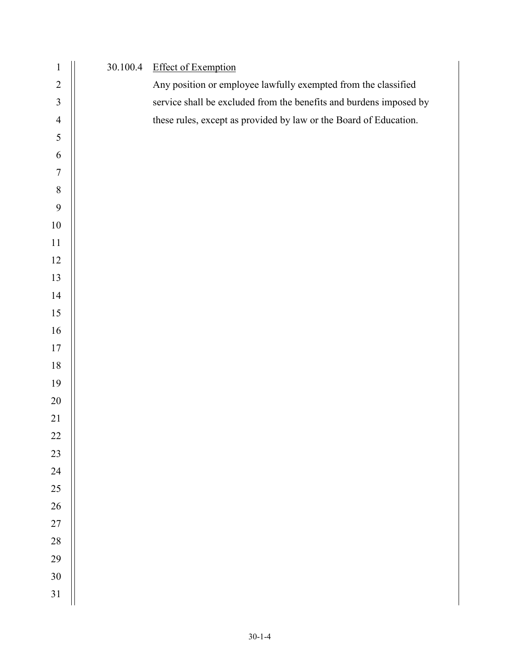| $\mathbf{1}$            | 30.100.4 | <b>Effect of Exemption</b>                                         |
|-------------------------|----------|--------------------------------------------------------------------|
| $\overline{c}$          |          | Any position or employee lawfully exempted from the classified     |
| $\overline{\mathbf{3}}$ |          | service shall be excluded from the benefits and burdens imposed by |
| $\overline{4}$          |          | these rules, except as provided by law or the Board of Education.  |
| 5                       |          |                                                                    |
| $\sqrt{6}$              |          |                                                                    |
| $\sqrt{ }$              |          |                                                                    |
| $\boldsymbol{8}$        |          |                                                                    |
| 9                       |          |                                                                    |
| $10\,$                  |          |                                                                    |
| $11\,$                  |          |                                                                    |
| 12                      |          |                                                                    |
| 13                      |          |                                                                    |
| 14                      |          |                                                                    |
| 15                      |          |                                                                    |
| $16\,$                  |          |                                                                    |
| 17                      |          |                                                                    |
| $18\,$                  |          |                                                                    |
| 19                      |          |                                                                    |
| $20\,$                  |          |                                                                    |
| 21                      |          |                                                                    |
| $22\,$                  |          |                                                                    |
| 23                      |          |                                                                    |
| 24                      |          |                                                                    |
| 25                      |          |                                                                    |
| 26                      |          |                                                                    |
| 27                      |          |                                                                    |
| 28                      |          |                                                                    |
| 29                      |          |                                                                    |
| 30                      |          |                                                                    |
| $31\,$                  |          |                                                                    |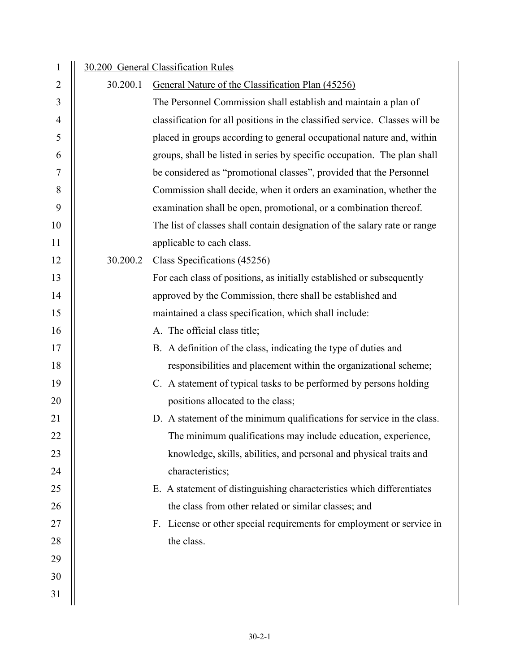| $\mathbf{1}$ |          | 30.200 General Classification Rules                                         |
|--------------|----------|-----------------------------------------------------------------------------|
| 2            | 30.200.1 | General Nature of the Classification Plan (45256)                           |
| 3            |          | The Personnel Commission shall establish and maintain a plan of             |
| 4            |          | classification for all positions in the classified service. Classes will be |
| 5            |          | placed in groups according to general occupational nature and, within       |
| 6            |          | groups, shall be listed in series by specific occupation. The plan shall    |
| 7            |          | be considered as "promotional classes", provided that the Personnel         |
| 8            |          | Commission shall decide, when it orders an examination, whether the         |
| 9            |          | examination shall be open, promotional, or a combination thereof.           |
| 10           |          | The list of classes shall contain designation of the salary rate or range   |
| 11           |          | applicable to each class.                                                   |
| 12           | 30.200.2 | Class Specifications (45256)                                                |
| 13           |          | For each class of positions, as initially established or subsequently       |
| 14           |          | approved by the Commission, there shall be established and                  |
| 15           |          | maintained a class specification, which shall include:                      |
| 16           |          | A. The official class title;                                                |
| 17           |          | B. A definition of the class, indicating the type of duties and             |
| 18           |          | responsibilities and placement within the organizational scheme;            |
| 19           |          | C. A statement of typical tasks to be performed by persons holding          |
| 20           |          | positions allocated to the class;                                           |
| 21           |          | D. A statement of the minimum qualifications for service in the class.      |
| 22           |          | The minimum qualifications may include education, experience,               |
| 23           |          | knowledge, skills, abilities, and personal and physical traits and          |
| 24           |          | characteristics;                                                            |
| 25           |          | E. A statement of distinguishing characteristics which differentiates       |
| 26           |          | the class from other related or similar classes; and                        |
| 27           |          | F. License or other special requirements for employment or service in       |
| 28           |          | the class.                                                                  |
| 29           |          |                                                                             |
| 30           |          |                                                                             |
| 31           |          |                                                                             |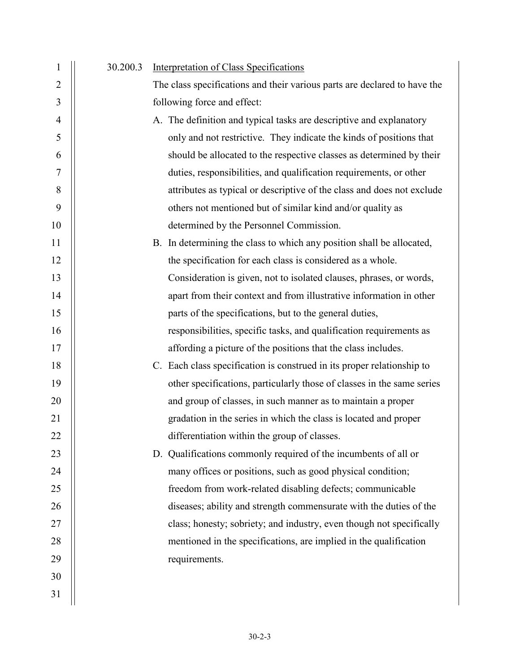| $\mathbf{1}$   | 30.200.3 | Interpretation of Class Specifications                                    |
|----------------|----------|---------------------------------------------------------------------------|
| $\overline{2}$ |          | The class specifications and their various parts are declared to have the |
| 3              |          | following force and effect:                                               |
| $\overline{4}$ |          | A. The definition and typical tasks are descriptive and explanatory       |
| 5              |          | only and not restrictive. They indicate the kinds of positions that       |
| 6              |          | should be allocated to the respective classes as determined by their      |
| 7              |          | duties, responsibilities, and qualification requirements, or other        |
| 8              |          | attributes as typical or descriptive of the class and does not exclude    |
| 9              |          | others not mentioned but of similar kind and/or quality as                |
| 10             |          | determined by the Personnel Commission.                                   |
| 11             |          | B. In determining the class to which any position shall be allocated,     |
| 12             |          | the specification for each class is considered as a whole.                |
| 13             |          | Consideration is given, not to isolated clauses, phrases, or words,       |
| 14             |          | apart from their context and from illustrative information in other       |
| 15             |          | parts of the specifications, but to the general duties,                   |
| 16             |          | responsibilities, specific tasks, and qualification requirements as       |
| 17             |          | affording a picture of the positions that the class includes.             |
| 18             |          | C. Each class specification is construed in its proper relationship to    |
| 19             |          | other specifications, particularly those of classes in the same series    |
| 20             |          | and group of classes, in such manner as to maintain a proper              |
| 21             |          | gradation in the series in which the class is located and proper          |
| 22             |          | differentiation within the group of classes.                              |
| 23             |          | D. Qualifications commonly required of the incumbents of all or           |
| 24             |          | many offices or positions, such as good physical condition;               |
| 25             |          | freedom from work-related disabling defects; communicable                 |
| 26             |          | diseases; ability and strength commensurate with the duties of the        |
| 27             |          | class; honesty; sobriety; and industry, even though not specifically      |
| 28             |          | mentioned in the specifications, are implied in the qualification         |
| 29             |          | requirements.                                                             |
| 30             |          |                                                                           |
| 31             |          |                                                                           |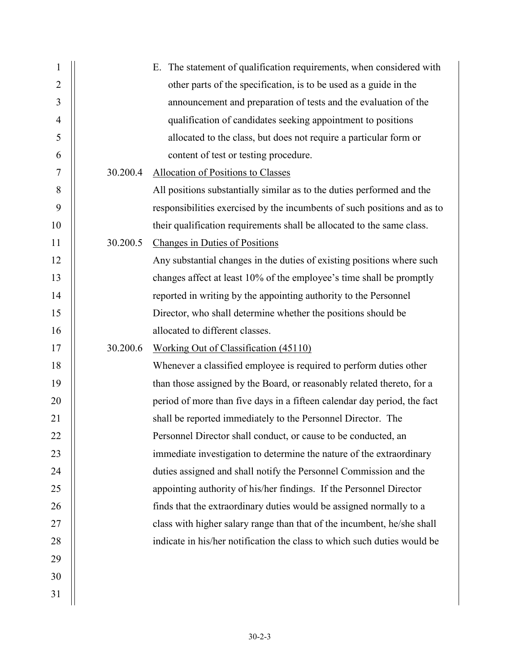| $\mathbf{1}$   |          | E. The statement of qualification requirements, when considered with     |
|----------------|----------|--------------------------------------------------------------------------|
| $\overline{2}$ |          | other parts of the specification, is to be used as a guide in the        |
| 3              |          | announcement and preparation of tests and the evaluation of the          |
| $\overline{4}$ |          | qualification of candidates seeking appointment to positions             |
| 5              |          | allocated to the class, but does not require a particular form or        |
| 6              |          | content of test or testing procedure.                                    |
| 7              | 30.200.4 | <b>Allocation of Positions to Classes</b>                                |
| 8              |          | All positions substantially similar as to the duties performed and the   |
| 9              |          | responsibilities exercised by the incumbents of such positions and as to |
| 10             |          | their qualification requirements shall be allocated to the same class.   |
| 11             | 30.200.5 | <b>Changes in Duties of Positions</b>                                    |
| 12             |          | Any substantial changes in the duties of existing positions where such   |
| 13             |          | changes affect at least 10% of the employee's time shall be promptly     |
| 14             |          | reported in writing by the appointing authority to the Personnel         |
| 15             |          | Director, who shall determine whether the positions should be            |
| 16             |          | allocated to different classes.                                          |
| 17             | 30.200.6 | Working Out of Classification (45110)                                    |
| 18             |          | Whenever a classified employee is required to perform duties other       |
| 19             |          | than those assigned by the Board, or reasonably related thereto, for a   |
| 20             |          | period of more than five days in a fifteen calendar day period, the fact |
| 21             |          | shall be reported immediately to the Personnel Director. The             |
| 22             |          | Personnel Director shall conduct, or cause to be conducted, an           |
| 23             |          | immediate investigation to determine the nature of the extraordinary     |
| 24             |          | duties assigned and shall notify the Personnel Commission and the        |
| 25             |          | appointing authority of his/her findings. If the Personnel Director      |
| 26             |          | finds that the extraordinary duties would be assigned normally to a      |
| 27             |          | class with higher salary range than that of the incumbent, he/she shall  |
| 28             |          | indicate in his/her notification the class to which such duties would be |
| 29             |          |                                                                          |
| 30             |          |                                                                          |
| 31             |          |                                                                          |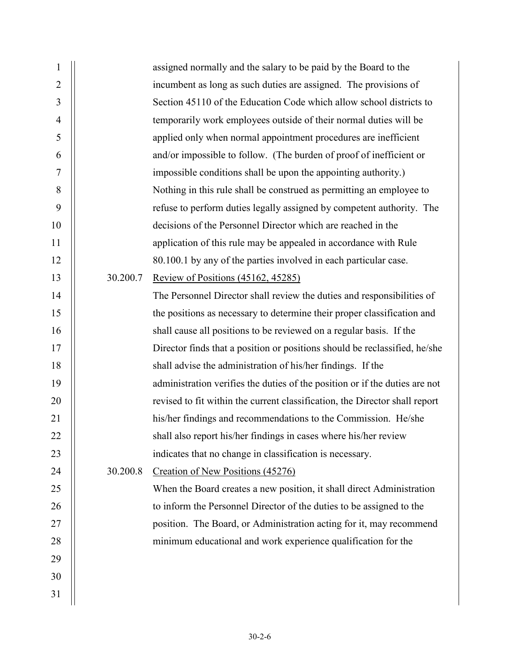| $\mathbf{1}$   |          | assigned normally and the salary to be paid by the Board to the             |
|----------------|----------|-----------------------------------------------------------------------------|
| $\overline{2}$ |          | incumbent as long as such duties are assigned. The provisions of            |
| 3              |          | Section 45110 of the Education Code which allow school districts to         |
| $\overline{4}$ |          | temporarily work employees outside of their normal duties will be           |
| 5              |          | applied only when normal appointment procedures are inefficient             |
| 6              |          | and/or impossible to follow. (The burden of proof of inefficient or         |
| $\overline{7}$ |          | impossible conditions shall be upon the appointing authority.)              |
| 8              |          | Nothing in this rule shall be construed as permitting an employee to        |
| 9              |          | refuse to perform duties legally assigned by competent authority. The       |
| 10             |          | decisions of the Personnel Director which are reached in the                |
| 11             |          | application of this rule may be appealed in accordance with Rule            |
| 12             |          | 80.100.1 by any of the parties involved in each particular case.            |
| 13             | 30.200.7 | <b>Review of Positions (45162, 45285)</b>                                   |
| 14             |          | The Personnel Director shall review the duties and responsibilities of      |
| 15             |          | the positions as necessary to determine their proper classification and     |
| 16             |          | shall cause all positions to be reviewed on a regular basis. If the         |
| 17             |          | Director finds that a position or positions should be reclassified, he/she  |
| 18             |          | shall advise the administration of his/her findings. If the                 |
| 19             |          | administration verifies the duties of the position or if the duties are not |
| 20             |          | revised to fit within the current classification, the Director shall report |
| 21             |          | his/her findings and recommendations to the Commission. He/she              |
| 22             |          | shall also report his/her findings in cases where his/her review            |
| 23             |          | indicates that no change in classification is necessary.                    |
| 24             | 30.200.8 | Creation of New Positions (45276)                                           |
| 25             |          | When the Board creates a new position, it shall direct Administration       |
| 26             |          | to inform the Personnel Director of the duties to be assigned to the        |
| 27             |          | position. The Board, or Administration acting for it, may recommend         |
| 28             |          | minimum educational and work experience qualification for the               |
| 29             |          |                                                                             |
| 30             |          |                                                                             |
| 31             |          |                                                                             |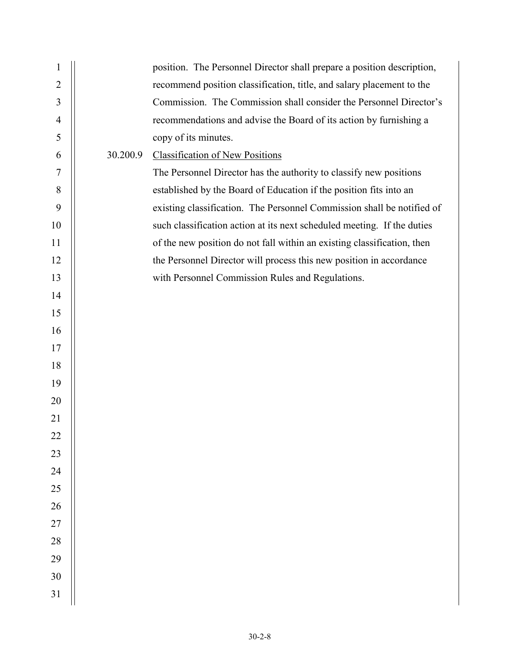| 1              |          | position. The Personnel Director shall prepare a position description,  |
|----------------|----------|-------------------------------------------------------------------------|
| $\overline{2}$ |          | recommend position classification, title, and salary placement to the   |
| $\mathfrak{Z}$ |          | Commission. The Commission shall consider the Personnel Director's      |
| $\overline{4}$ |          | recommendations and advise the Board of its action by furnishing a      |
| 5              |          | copy of its minutes.                                                    |
| 6              | 30.200.9 | <b>Classification of New Positions</b>                                  |
| $\tau$         |          | The Personnel Director has the authority to classify new positions      |
| $\, 8$         |          | established by the Board of Education if the position fits into an      |
| 9              |          | existing classification. The Personnel Commission shall be notified of  |
| 10             |          | such classification action at its next scheduled meeting. If the duties |
| 11             |          | of the new position do not fall within an existing classification, then |
| 12             |          | the Personnel Director will process this new position in accordance     |
| 13             |          | with Personnel Commission Rules and Regulations.                        |
| 14             |          |                                                                         |
| 15             |          |                                                                         |
| 16             |          |                                                                         |
| 17             |          |                                                                         |
| 18             |          |                                                                         |
| 19             |          |                                                                         |
| 20             |          |                                                                         |
| 21             |          |                                                                         |
| 22             |          |                                                                         |
| 23             |          |                                                                         |
| 24             |          |                                                                         |
| 25             |          |                                                                         |
| 26             |          |                                                                         |
| $27\,$         |          |                                                                         |
| 28             |          |                                                                         |
| 29             |          |                                                                         |
| 30             |          |                                                                         |
| 31             |          |                                                                         |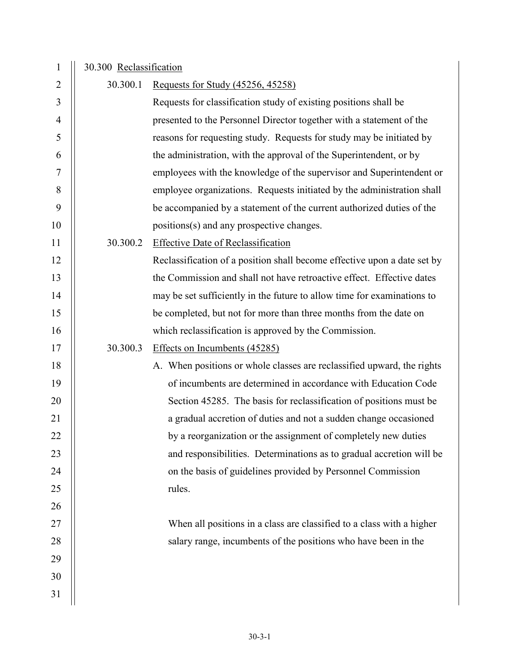| 1              | 30.300 Reclassification |                                                                          |
|----------------|-------------------------|--------------------------------------------------------------------------|
| 2              | 30.300.1                | <u>Requests for Study (45256, 45258)</u>                                 |
| 3              |                         | Requests for classification study of existing positions shall be         |
| $\overline{4}$ |                         | presented to the Personnel Director together with a statement of the     |
| 5              |                         | reasons for requesting study. Requests for study may be initiated by     |
| 6              |                         | the administration, with the approval of the Superintendent, or by       |
| $\tau$         |                         | employees with the knowledge of the supervisor and Superintendent or     |
| 8              |                         | employee organizations. Requests initiated by the administration shall   |
| 9              |                         | be accompanied by a statement of the current authorized duties of the    |
| 10             |                         | positions(s) and any prospective changes.                                |
| 11             | 30.300.2                | <b>Effective Date of Reclassification</b>                                |
| 12             |                         | Reclassification of a position shall become effective upon a date set by |
| 13             |                         | the Commission and shall not have retroactive effect. Effective dates    |
| 14             |                         | may be set sufficiently in the future to allow time for examinations to  |
| 15             |                         | be completed, but not for more than three months from the date on        |
| 16             |                         | which reclassification is approved by the Commission.                    |
| 17             | 30.300.3                | Effects on Incumbents (45285)                                            |
| 18             |                         | A. When positions or whole classes are reclassified upward, the rights   |
| 19             |                         | of incumbents are determined in accordance with Education Code           |
| 20             |                         | Section 45285. The basis for reclassification of positions must be       |
| 21             |                         | a gradual accretion of duties and not a sudden change occasioned         |
| 22             |                         | by a reorganization or the assignment of completely new duties           |
| 23             |                         | and responsibilities. Determinations as to gradual accretion will be     |
| 24             |                         | on the basis of guidelines provided by Personnel Commission              |
| 25             |                         | rules.                                                                   |
| 26             |                         |                                                                          |
| 27             |                         | When all positions in a class are classified to a class with a higher    |
| 28             |                         | salary range, incumbents of the positions who have been in the           |
| 29             |                         |                                                                          |
| 30             |                         |                                                                          |
| 31             |                         |                                                                          |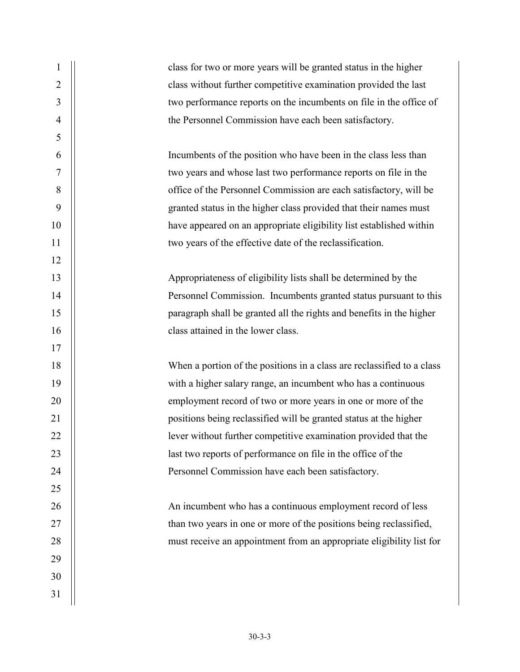| $\sqrt{2}$<br>class without further competitive examination provided the last<br>$\overline{3}$<br>$\overline{4}$<br>the Personnel Commission have each been satisfactory.<br>$\sqrt{5}$<br>6<br>Incumbents of the position who have been in the class less than<br>$\boldsymbol{7}$<br>two years and whose last two performance reports on file in the<br>$\,$ $\,$<br>office of the Personnel Commission are each satisfactory, will be<br>9<br>granted status in the higher class provided that their names must<br>10<br>have appeared on an appropriate eligibility list established within<br>11<br>two years of the effective date of the reclassification.<br>12<br>13<br>Appropriateness of eligibility lists shall be determined by the<br>14<br>15<br>class attained in the lower class.<br>16<br>17<br>18<br>19<br>with a higher salary range, an incumbent who has a continuous<br>20<br>employment record of two or more years in one or more of the<br>21<br>positions being reclassified will be granted status at the higher<br>lever without further competitive examination provided that the<br>22 |    | class for two or more years will be granted status in the higher       |
|------------------------------------------------------------------------------------------------------------------------------------------------------------------------------------------------------------------------------------------------------------------------------------------------------------------------------------------------------------------------------------------------------------------------------------------------------------------------------------------------------------------------------------------------------------------------------------------------------------------------------------------------------------------------------------------------------------------------------------------------------------------------------------------------------------------------------------------------------------------------------------------------------------------------------------------------------------------------------------------------------------------------------------------------------------------------------------------------------------------------|----|------------------------------------------------------------------------|
|                                                                                                                                                                                                                                                                                                                                                                                                                                                                                                                                                                                                                                                                                                                                                                                                                                                                                                                                                                                                                                                                                                                        |    |                                                                        |
|                                                                                                                                                                                                                                                                                                                                                                                                                                                                                                                                                                                                                                                                                                                                                                                                                                                                                                                                                                                                                                                                                                                        |    | two performance reports on the incumbents on file in the office of     |
|                                                                                                                                                                                                                                                                                                                                                                                                                                                                                                                                                                                                                                                                                                                                                                                                                                                                                                                                                                                                                                                                                                                        |    |                                                                        |
|                                                                                                                                                                                                                                                                                                                                                                                                                                                                                                                                                                                                                                                                                                                                                                                                                                                                                                                                                                                                                                                                                                                        |    |                                                                        |
|                                                                                                                                                                                                                                                                                                                                                                                                                                                                                                                                                                                                                                                                                                                                                                                                                                                                                                                                                                                                                                                                                                                        |    |                                                                        |
|                                                                                                                                                                                                                                                                                                                                                                                                                                                                                                                                                                                                                                                                                                                                                                                                                                                                                                                                                                                                                                                                                                                        |    |                                                                        |
|                                                                                                                                                                                                                                                                                                                                                                                                                                                                                                                                                                                                                                                                                                                                                                                                                                                                                                                                                                                                                                                                                                                        |    |                                                                        |
|                                                                                                                                                                                                                                                                                                                                                                                                                                                                                                                                                                                                                                                                                                                                                                                                                                                                                                                                                                                                                                                                                                                        |    |                                                                        |
|                                                                                                                                                                                                                                                                                                                                                                                                                                                                                                                                                                                                                                                                                                                                                                                                                                                                                                                                                                                                                                                                                                                        |    |                                                                        |
|                                                                                                                                                                                                                                                                                                                                                                                                                                                                                                                                                                                                                                                                                                                                                                                                                                                                                                                                                                                                                                                                                                                        |    |                                                                        |
|                                                                                                                                                                                                                                                                                                                                                                                                                                                                                                                                                                                                                                                                                                                                                                                                                                                                                                                                                                                                                                                                                                                        |    |                                                                        |
|                                                                                                                                                                                                                                                                                                                                                                                                                                                                                                                                                                                                                                                                                                                                                                                                                                                                                                                                                                                                                                                                                                                        |    |                                                                        |
|                                                                                                                                                                                                                                                                                                                                                                                                                                                                                                                                                                                                                                                                                                                                                                                                                                                                                                                                                                                                                                                                                                                        |    | Personnel Commission. Incumbents granted status pursuant to this       |
|                                                                                                                                                                                                                                                                                                                                                                                                                                                                                                                                                                                                                                                                                                                                                                                                                                                                                                                                                                                                                                                                                                                        |    | paragraph shall be granted all the rights and benefits in the higher   |
|                                                                                                                                                                                                                                                                                                                                                                                                                                                                                                                                                                                                                                                                                                                                                                                                                                                                                                                                                                                                                                                                                                                        |    |                                                                        |
|                                                                                                                                                                                                                                                                                                                                                                                                                                                                                                                                                                                                                                                                                                                                                                                                                                                                                                                                                                                                                                                                                                                        |    |                                                                        |
|                                                                                                                                                                                                                                                                                                                                                                                                                                                                                                                                                                                                                                                                                                                                                                                                                                                                                                                                                                                                                                                                                                                        |    | When a portion of the positions in a class are reclassified to a class |
|                                                                                                                                                                                                                                                                                                                                                                                                                                                                                                                                                                                                                                                                                                                                                                                                                                                                                                                                                                                                                                                                                                                        |    |                                                                        |
|                                                                                                                                                                                                                                                                                                                                                                                                                                                                                                                                                                                                                                                                                                                                                                                                                                                                                                                                                                                                                                                                                                                        |    |                                                                        |
|                                                                                                                                                                                                                                                                                                                                                                                                                                                                                                                                                                                                                                                                                                                                                                                                                                                                                                                                                                                                                                                                                                                        |    |                                                                        |
|                                                                                                                                                                                                                                                                                                                                                                                                                                                                                                                                                                                                                                                                                                                                                                                                                                                                                                                                                                                                                                                                                                                        |    |                                                                        |
|                                                                                                                                                                                                                                                                                                                                                                                                                                                                                                                                                                                                                                                                                                                                                                                                                                                                                                                                                                                                                                                                                                                        | 23 | last two reports of performance on file in the office of the           |
| Personnel Commission have each been satisfactory.<br>24                                                                                                                                                                                                                                                                                                                                                                                                                                                                                                                                                                                                                                                                                                                                                                                                                                                                                                                                                                                                                                                                |    |                                                                        |
| 25                                                                                                                                                                                                                                                                                                                                                                                                                                                                                                                                                                                                                                                                                                                                                                                                                                                                                                                                                                                                                                                                                                                     |    |                                                                        |
| 26<br>An incumbent who has a continuous employment record of less                                                                                                                                                                                                                                                                                                                                                                                                                                                                                                                                                                                                                                                                                                                                                                                                                                                                                                                                                                                                                                                      |    |                                                                        |
| 27<br>than two years in one or more of the positions being reclassified,                                                                                                                                                                                                                                                                                                                                                                                                                                                                                                                                                                                                                                                                                                                                                                                                                                                                                                                                                                                                                                               |    |                                                                        |
| 28                                                                                                                                                                                                                                                                                                                                                                                                                                                                                                                                                                                                                                                                                                                                                                                                                                                                                                                                                                                                                                                                                                                     |    | must receive an appointment from an appropriate eligibility list for   |
| 29                                                                                                                                                                                                                                                                                                                                                                                                                                                                                                                                                                                                                                                                                                                                                                                                                                                                                                                                                                                                                                                                                                                     |    |                                                                        |
| 30                                                                                                                                                                                                                                                                                                                                                                                                                                                                                                                                                                                                                                                                                                                                                                                                                                                                                                                                                                                                                                                                                                                     |    |                                                                        |
| 31                                                                                                                                                                                                                                                                                                                                                                                                                                                                                                                                                                                                                                                                                                                                                                                                                                                                                                                                                                                                                                                                                                                     |    |                                                                        |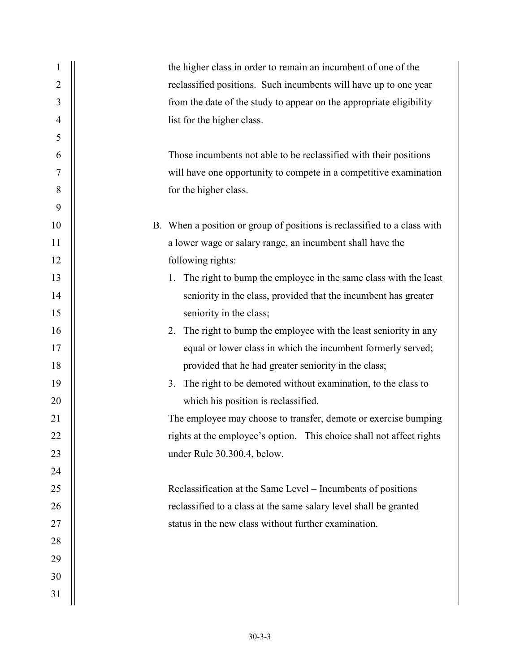| 1              | the higher class in order to remain an incumbent of one of the           |  |
|----------------|--------------------------------------------------------------------------|--|
| $\overline{2}$ | reclassified positions. Such incumbents will have up to one year         |  |
| 3              | from the date of the study to appear on the appropriate eligibility      |  |
| $\overline{4}$ | list for the higher class.                                               |  |
| 5              |                                                                          |  |
| 6              | Those incumbents not able to be reclassified with their positions        |  |
| 7              | will have one opportunity to compete in a competitive examination        |  |
| 8              | for the higher class.                                                    |  |
| 9              |                                                                          |  |
| 10             | B. When a position or group of positions is reclassified to a class with |  |
| 11             | a lower wage or salary range, an incumbent shall have the                |  |
| 12             | following rights:                                                        |  |
| 13             | 1. The right to bump the employee in the same class with the least       |  |
| 14             | seniority in the class, provided that the incumbent has greater          |  |
| 15             | seniority in the class;                                                  |  |
| 16             | The right to bump the employee with the least seniority in any<br>2.     |  |
| 17             | equal or lower class in which the incumbent formerly served;             |  |
| 18             | provided that he had greater seniority in the class;                     |  |
| 19             | The right to be demoted without examination, to the class to<br>3.       |  |
| 20             | which his position is reclassified.                                      |  |
| 21             | The employee may choose to transfer, demote or exercise bumping          |  |
| 22             | rights at the employee's option. This choice shall not affect rights     |  |
| 23             | under Rule 30.300.4, below.                                              |  |
| 24             |                                                                          |  |
| 25             | Reclassification at the Same Level – Incumbents of positions             |  |
| 26             | reclassified to a class at the same salary level shall be granted        |  |
| 27             | status in the new class without further examination.                     |  |
| 28             |                                                                          |  |
| 29             |                                                                          |  |
| 30             |                                                                          |  |
| 31             |                                                                          |  |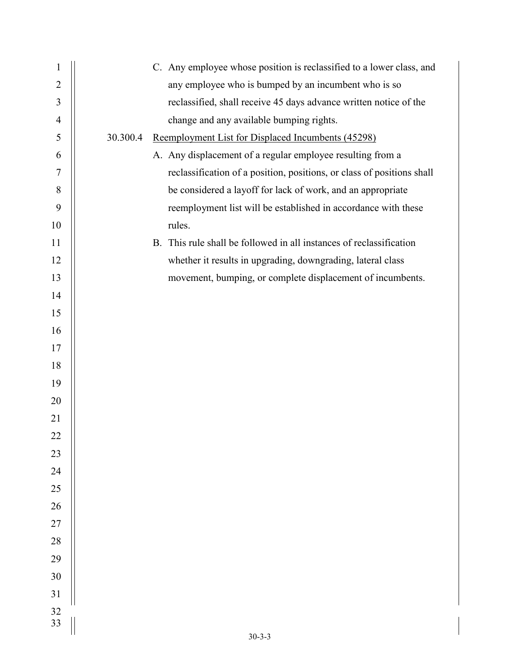| $\mathbf{1}$   | C. Any employee whose position is reclassified to a lower class, and          |
|----------------|-------------------------------------------------------------------------------|
| $\overline{2}$ | any employee who is bumped by an incumbent who is so                          |
| $\mathfrak{Z}$ | reclassified, shall receive 45 days advance written notice of the             |
| $\overline{4}$ | change and any available bumping rights.                                      |
| 5              | 30.300.4<br>Reemployment List for Displaced Incumbents (45298)                |
| 6              | A. Any displacement of a regular employee resulting from a                    |
| $\overline{7}$ | reclassification of a position, positions, or class of positions shall        |
| $\, 8$         | be considered a layoff for lack of work, and an appropriate                   |
| 9              | reemployment list will be established in accordance with these                |
| 10             | rules.                                                                        |
| 11             | This rule shall be followed in all instances of reclassification<br><b>B.</b> |
| 12             | whether it results in upgrading, downgrading, lateral class                   |
| 13             | movement, bumping, or complete displacement of incumbents.                    |
| 14             |                                                                               |
| 15             |                                                                               |
| 16             |                                                                               |
| 17             |                                                                               |
| 18             |                                                                               |
| 19             |                                                                               |
| 20             |                                                                               |
| 21             |                                                                               |
| 22             |                                                                               |
| 23             |                                                                               |
| 24             |                                                                               |
| 25             |                                                                               |
| 26             |                                                                               |
| $27\,$         |                                                                               |
| $28\,$         |                                                                               |
| 29             |                                                                               |
| 30             |                                                                               |
| 31             |                                                                               |
| 32<br>33       |                                                                               |
|                | $30 - 3 - 3$                                                                  |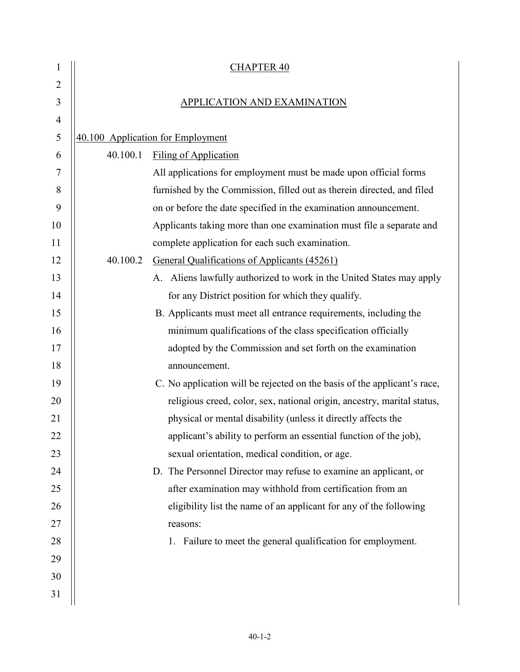| $\mathbf{1}$   |                                    | <b>CHAPTER 40</b>                                                        |  |
|----------------|------------------------------------|--------------------------------------------------------------------------|--|
| $\overline{2}$ |                                    |                                                                          |  |
| 3              | <b>APPLICATION AND EXAMINATION</b> |                                                                          |  |
| 4              |                                    |                                                                          |  |
| 5              |                                    | 40.100 Application for Employment                                        |  |
| 6              | 40.100.1                           | <b>Filing of Application</b>                                             |  |
| 7              |                                    | All applications for employment must be made upon official forms         |  |
| 8              |                                    | furnished by the Commission, filled out as therein directed, and filed   |  |
| 9              |                                    | on or before the date specified in the examination announcement.         |  |
| 10             |                                    | Applicants taking more than one examination must file a separate and     |  |
| 11             |                                    | complete application for each such examination.                          |  |
| 12             | 40.100.2                           | General Qualifications of Applicants (45261)                             |  |
| 13             |                                    | A. Aliens lawfully authorized to work in the United States may apply     |  |
| 14             |                                    | for any District position for which they qualify.                        |  |
| 15             |                                    | B. Applicants must meet all entrance requirements, including the         |  |
| 16             |                                    | minimum qualifications of the class specification officially             |  |
| 17             |                                    | adopted by the Commission and set forth on the examination               |  |
| 18             |                                    | announcement.                                                            |  |
| 19             |                                    | C. No application will be rejected on the basis of the applicant's race, |  |
| 20             |                                    | religious creed, color, sex, national origin, ancestry, marital status,  |  |
| 21             |                                    | physical or mental disability (unless it directly affects the            |  |
| 22             |                                    | applicant's ability to perform an essential function of the job),        |  |
| 23             |                                    | sexual orientation, medical condition, or age.                           |  |
| 24             |                                    | D. The Personnel Director may refuse to examine an applicant, or         |  |
| 25             |                                    | after examination may withhold from certification from an                |  |
| 26             |                                    | eligibility list the name of an applicant for any of the following       |  |
| 27             |                                    | reasons:                                                                 |  |
| 28             |                                    | 1. Failure to meet the general qualification for employment.             |  |
| 29             |                                    |                                                                          |  |
| 30             |                                    |                                                                          |  |
| 31             |                                    |                                                                          |  |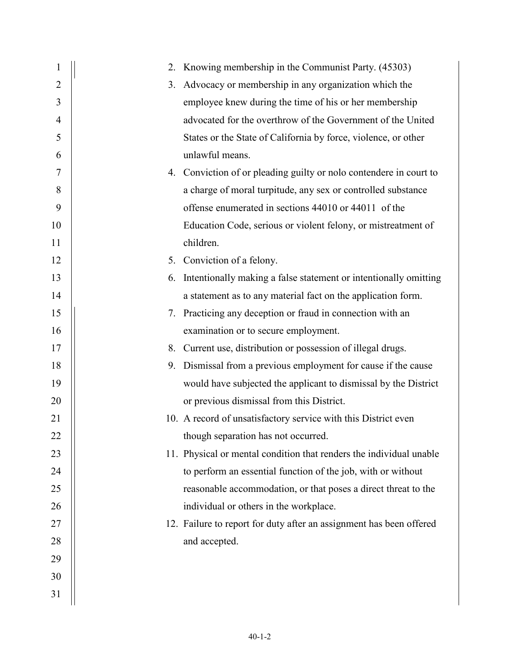| 1              |    | 2. Knowing membership in the Communist Party. (45303)               |
|----------------|----|---------------------------------------------------------------------|
| $\overline{2}$ | 3. | Advocacy or membership in any organization which the                |
| 3              |    | employee knew during the time of his or her membership              |
| $\overline{4}$ |    | advocated for the overthrow of the Government of the United         |
| 5              |    | States or the State of California by force, violence, or other      |
| 6              |    | unlawful means.                                                     |
| 7              |    | 4. Conviction of or pleading guilty or nolo contendere in court to  |
| 8              |    | a charge of moral turpitude, any sex or controlled substance        |
| 9              |    | offense enumerated in sections 44010 or 44011 of the                |
| 10             |    | Education Code, serious or violent felony, or mistreatment of       |
| 11             |    | children.                                                           |
| 12             |    | 5. Conviction of a felony.                                          |
| 13             | 6. | Intentionally making a false statement or intentionally omitting    |
| 14             |    | a statement as to any material fact on the application form.        |
| 15             | 7. | Practicing any deception or fraud in connection with an             |
| 16             |    | examination or to secure employment.                                |
| 17             | 8. | Current use, distribution or possession of illegal drugs.           |
| 18             |    | 9. Dismissal from a previous employment for cause if the cause      |
| 19             |    | would have subjected the applicant to dismissal by the District     |
| 20             |    | or previous dismissal from this District.                           |
| 21             |    | 10. A record of unsatisfactory service with this District even      |
| 22             |    | though separation has not occurred.                                 |
| 23             |    | 11. Physical or mental condition that renders the individual unable |
| 24             |    | to perform an essential function of the job, with or without        |
| 25             |    | reasonable accommodation, or that poses a direct threat to the      |
| 26             |    | individual or others in the workplace.                              |
| 27             |    | 12. Failure to report for duty after an assignment has been offered |
| 28             |    | and accepted.                                                       |
| 29             |    |                                                                     |
| 30             |    |                                                                     |
| 31             |    |                                                                     |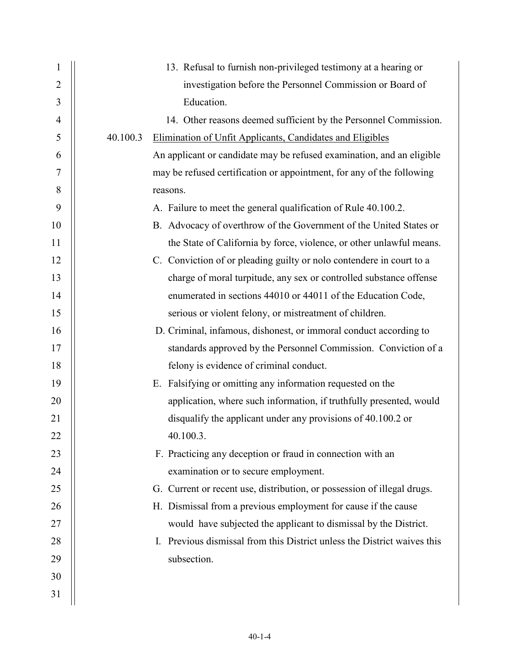| 1              | 13. Refusal to furnish non-privileged testimony at a hearing or          |
|----------------|--------------------------------------------------------------------------|
| $\overline{2}$ | investigation before the Personnel Commission or Board of                |
| 3              | Education.                                                               |
| $\overline{4}$ | 14. Other reasons deemed sufficient by the Personnel Commission.         |
| 5              | 40.100.3<br>Elimination of Unfit Applicants, Candidates and Eligibles    |
| 6              | An applicant or candidate may be refused examination, and an eligible    |
| 7              | may be refused certification or appointment, for any of the following    |
| 8              | reasons.                                                                 |
| 9              | A. Failure to meet the general qualification of Rule 40.100.2.           |
| 10             | B. Advocacy of overthrow of the Government of the United States or       |
| 11             | the State of California by force, violence, or other unlawful means.     |
| 12             | C. Conviction of or pleading guilty or nolo contendere in court to a     |
| 13             | charge of moral turpitude, any sex or controlled substance offense       |
| 14             | enumerated in sections 44010 or 44011 of the Education Code,             |
| 15             | serious or violent felony, or mistreatment of children.                  |
| 16             | D. Criminal, infamous, dishonest, or immoral conduct according to        |
| 17             | standards approved by the Personnel Commission. Conviction of a          |
| 18             | felony is evidence of criminal conduct.                                  |
| 19             | E. Falsifying or omitting any information requested on the               |
| 20             | application, where such information, if truthfully presented, would      |
| 21             | disqualify the applicant under any provisions of 40.100.2 or             |
| 22             | 40.100.3.                                                                |
| 23             | F. Practicing any deception or fraud in connection with an               |
| 24             | examination or to secure employment.                                     |
| 25             | G. Current or recent use, distribution, or possession of illegal drugs.  |
| 26             | H. Dismissal from a previous employment for cause if the cause           |
| 27             | would have subjected the applicant to dismissal by the District.         |
| 28             | I. Previous dismissal from this District unless the District waives this |
| 29             | subsection.                                                              |
| 30             |                                                                          |
| 31             |                                                                          |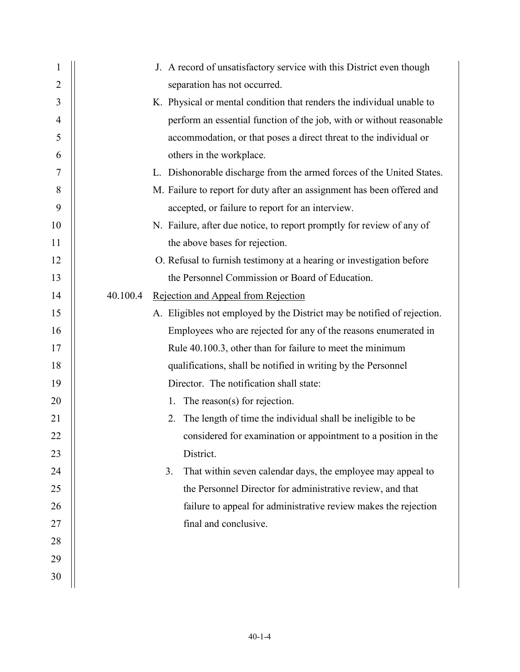| $\mathbf{1}$   | J. A record of unsatisfactory service with this District even though    |
|----------------|-------------------------------------------------------------------------|
| $\overline{2}$ | separation has not occurred.                                            |
| 3              | K. Physical or mental condition that renders the individual unable to   |
| $\overline{4}$ | perform an essential function of the job, with or without reasonable    |
| 5              |                                                                         |
|                | accommodation, or that poses a direct threat to the individual or       |
| 6              | others in the workplace.                                                |
| 7              | L. Dishonorable discharge from the armed forces of the United States.   |
| 8              | M. Failure to report for duty after an assignment has been offered and  |
| 9              | accepted, or failure to report for an interview.                        |
| 10             | N. Failure, after due notice, to report promptly for review of any of   |
| 11             | the above bases for rejection.                                          |
| 12             | O. Refusal to furnish testimony at a hearing or investigation before    |
| 13             | the Personnel Commission or Board of Education.                         |
| 14             | 40.100.4<br>Rejection and Appeal from Rejection                         |
| 15             | A. Eligibles not employed by the District may be notified of rejection. |
| 16             | Employees who are rejected for any of the reasons enumerated in         |
| 17             | Rule 40.100.3, other than for failure to meet the minimum               |
| 18             | qualifications, shall be notified in writing by the Personnel           |
| 19             | Director. The notification shall state:                                 |
| 20             | The reason(s) for rejection.<br>1.                                      |
| 21             | The length of time the individual shall be ineligible to be<br>2.       |
| 22             | considered for examination or appointment to a position in the          |
| 23             | District.                                                               |
| 24             | 3.<br>That within seven calendar days, the employee may appeal to       |
| 25             | the Personnel Director for administrative review, and that              |
| 26             | failure to appeal for administrative review makes the rejection         |
| 27             | final and conclusive.                                                   |
| 28             |                                                                         |
| 29             |                                                                         |
| 30             |                                                                         |
|                |                                                                         |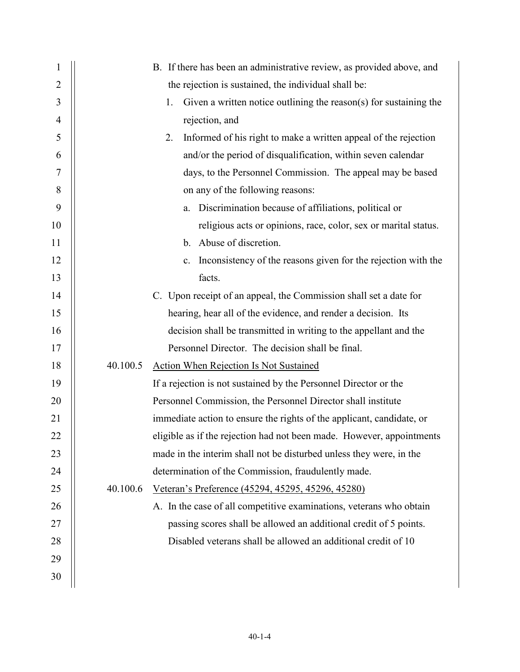| 1              |          | B. If there has been an administrative review, as provided above, and   |
|----------------|----------|-------------------------------------------------------------------------|
| $\overline{2}$ |          | the rejection is sustained, the individual shall be:                    |
| 3              |          | Given a written notice outlining the reason(s) for sustaining the<br>1. |
| $\overline{4}$ |          | rejection, and                                                          |
| 5              |          | Informed of his right to make a written appeal of the rejection<br>2.   |
| 6              |          | and/or the period of disqualification, within seven calendar            |
| 7              |          | days, to the Personnel Commission. The appeal may be based              |
| 8              |          | on any of the following reasons:                                        |
| 9              |          | a. Discrimination because of affiliations, political or                 |
| 10             |          | religious acts or opinions, race, color, sex or marital status.         |
| 11             |          | b. Abuse of discretion.                                                 |
| 12             |          | Inconsistency of the reasons given for the rejection with the<br>c.     |
| 13             |          | facts.                                                                  |
| 14             |          | C. Upon receipt of an appeal, the Commission shall set a date for       |
| 15             |          | hearing, hear all of the evidence, and render a decision. Its           |
| 16             |          | decision shall be transmitted in writing to the appellant and the       |
| 17             |          | Personnel Director. The decision shall be final.                        |
| 18             | 40.100.5 | <b>Action When Rejection Is Not Sustained</b>                           |
| 19             |          | If a rejection is not sustained by the Personnel Director or the        |
| 20             |          | Personnel Commission, the Personnel Director shall institute            |
| 21             |          | immediate action to ensure the rights of the applicant, candidate, or   |
| 22             |          | eligible as if the rejection had not been made. However, appointments   |
| 23             |          | made in the interim shall not be disturbed unless they were, in the     |
| 24             |          | determination of the Commission, fraudulently made.                     |
| 25             | 40.100.6 | Veteran's Preference (45294, 45295, 45296, 45280)                       |
| 26             |          | A. In the case of all competitive examinations, veterans who obtain     |
| 27             |          | passing scores shall be allowed an additional credit of 5 points.       |
| 28             |          | Disabled veterans shall be allowed an additional credit of 10           |
| 29             |          |                                                                         |
| 30             |          |                                                                         |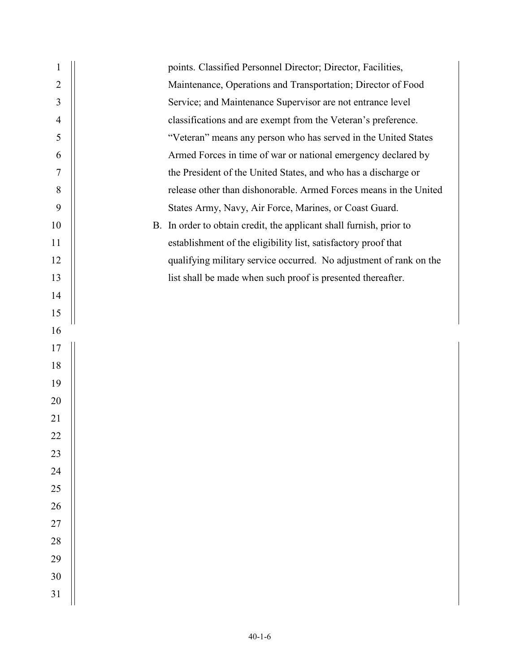| $\mathbf{1}$   | points. Classified Personnel Director; Director, Facilities,        |  |
|----------------|---------------------------------------------------------------------|--|
| $\overline{2}$ | Maintenance, Operations and Transportation; Director of Food        |  |
| 3              | Service; and Maintenance Supervisor are not entrance level          |  |
| $\overline{4}$ | classifications and are exempt from the Veteran's preference.       |  |
| 5              | "Veteran" means any person who has served in the United States      |  |
| 6              | Armed Forces in time of war or national emergency declared by       |  |
| 7              | the President of the United States, and who has a discharge or      |  |
| 8              | release other than dishonorable. Armed Forces means in the United   |  |
| 9              | States Army, Navy, Air Force, Marines, or Coast Guard.              |  |
| 10             | B. In order to obtain credit, the applicant shall furnish, prior to |  |
| 11             | establishment of the eligibility list, satisfactory proof that      |  |
| 12             | qualifying military service occurred. No adjustment of rank on the  |  |
| 13             | list shall be made when such proof is presented thereafter.         |  |
| 14             |                                                                     |  |
| 15             |                                                                     |  |
| 16             |                                                                     |  |
| 17             |                                                                     |  |
| 18             |                                                                     |  |
| 19             |                                                                     |  |
| 20             |                                                                     |  |
| 21             |                                                                     |  |
| 22             |                                                                     |  |
| 23             |                                                                     |  |
| 24             |                                                                     |  |
| 25             |                                                                     |  |
| 26             |                                                                     |  |
| 27             |                                                                     |  |
| 28             |                                                                     |  |
| 29             |                                                                     |  |
| 30             |                                                                     |  |
| 31             |                                                                     |  |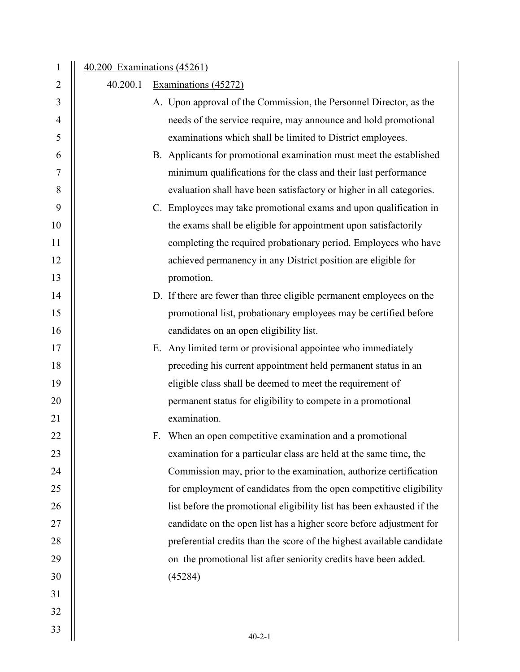| $\mathbf{1}$   | 40.200 Examinations (45261) |  |                                                                        |
|----------------|-----------------------------|--|------------------------------------------------------------------------|
| $\overline{2}$ | 40.200.1                    |  | Examinations (45272)                                                   |
| 3              |                             |  | A. Upon approval of the Commission, the Personnel Director, as the     |
| 4              |                             |  | needs of the service require, may announce and hold promotional        |
| 5              |                             |  | examinations which shall be limited to District employees.             |
| 6              |                             |  | B. Applicants for promotional examination must meet the established    |
| 7              |                             |  | minimum qualifications for the class and their last performance        |
| 8              |                             |  | evaluation shall have been satisfactory or higher in all categories.   |
| 9              |                             |  | C. Employees may take promotional exams and upon qualification in      |
| 10             |                             |  | the exams shall be eligible for appointment upon satisfactorily        |
| 11             |                             |  | completing the required probationary period. Employees who have        |
| 12             |                             |  | achieved permanency in any District position are eligible for          |
| 13             |                             |  | promotion.                                                             |
| 14             |                             |  | D. If there are fewer than three eligible permanent employees on the   |
| 15             |                             |  | promotional list, probationary employees may be certified before       |
| 16             |                             |  | candidates on an open eligibility list.                                |
| 17             |                             |  | E. Any limited term or provisional appointee who immediately           |
| 18             |                             |  | preceding his current appointment held permanent status in an          |
| 19             |                             |  | eligible class shall be deemed to meet the requirement of              |
| 20             |                             |  | permanent status for eligibility to compete in a promotional           |
| 21             |                             |  | examination.                                                           |
| 22             |                             |  | F. When an open competitive examination and a promotional              |
| 23             |                             |  | examination for a particular class are held at the same time, the      |
| 24             |                             |  | Commission may, prior to the examination, authorize certification      |
| 25             |                             |  | for employment of candidates from the open competitive eligibility     |
| 26             |                             |  | list before the promotional eligibility list has been exhausted if the |
| 27             |                             |  | candidate on the open list has a higher score before adjustment for    |
| 28             |                             |  | preferential credits than the score of the highest available candidate |
| 29             |                             |  | on the promotional list after seniority credits have been added.       |
| 30             |                             |  | (45284)                                                                |
| 31             |                             |  |                                                                        |
| 32             |                             |  |                                                                        |
| 33             |                             |  | $40 - 2 - 1$                                                           |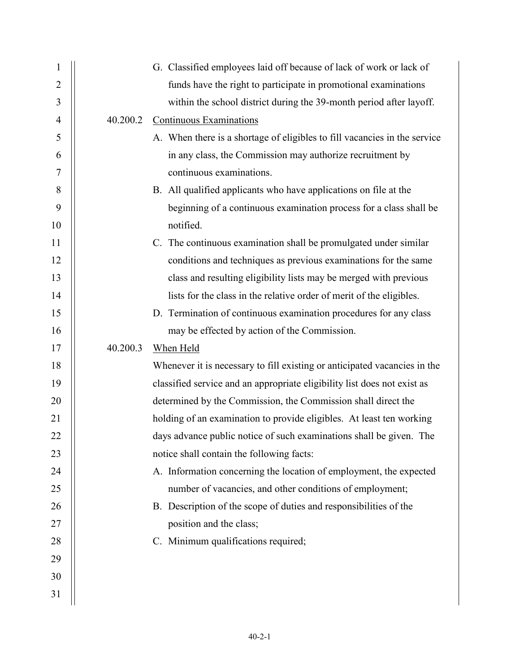| $\mathbf{1}$   |          | G. Classified employees laid off because of lack of work or lack of       |
|----------------|----------|---------------------------------------------------------------------------|
| $\overline{2}$ |          | funds have the right to participate in promotional examinations           |
| 3              |          | within the school district during the 39-month period after layoff.       |
| $\overline{4}$ | 40.200.2 | <b>Continuous Examinations</b>                                            |
| 5              |          | A. When there is a shortage of eligibles to fill vacancies in the service |
| 6              |          | in any class, the Commission may authorize recruitment by                 |
| 7              |          | continuous examinations.                                                  |
| $8\,$          |          | B. All qualified applicants who have applications on file at the          |
| 9              |          | beginning of a continuous examination process for a class shall be        |
| 10             |          | notified.                                                                 |
| 11             |          | C. The continuous examination shall be promulgated under similar          |
| 12             |          | conditions and techniques as previous examinations for the same           |
| 13             |          | class and resulting eligibility lists may be merged with previous         |
| 14             |          | lists for the class in the relative order of merit of the eligibles.      |
| 15             |          | D. Termination of continuous examination procedures for any class         |
| 16             |          | may be effected by action of the Commission.                              |
| 17             | 40.200.3 | When Held                                                                 |
| 18             |          | Whenever it is necessary to fill existing or anticipated vacancies in the |
| 19             |          | classified service and an appropriate eligibility list does not exist as  |
| 20             |          | determined by the Commission, the Commission shall direct the             |
| 21             |          | holding of an examination to provide eligibles. At least ten working      |
| 22             |          | days advance public notice of such examinations shall be given. The       |
| 23             |          | notice shall contain the following facts:                                 |
| 24             |          | A. Information concerning the location of employment, the expected        |
| 25             |          | number of vacancies, and other conditions of employment;                  |
| 26             |          | B. Description of the scope of duties and responsibilities of the         |
| 27             |          | position and the class;                                                   |
| 28             |          | C. Minimum qualifications required;                                       |
| 29             |          |                                                                           |
| 30             |          |                                                                           |
| 31             |          |                                                                           |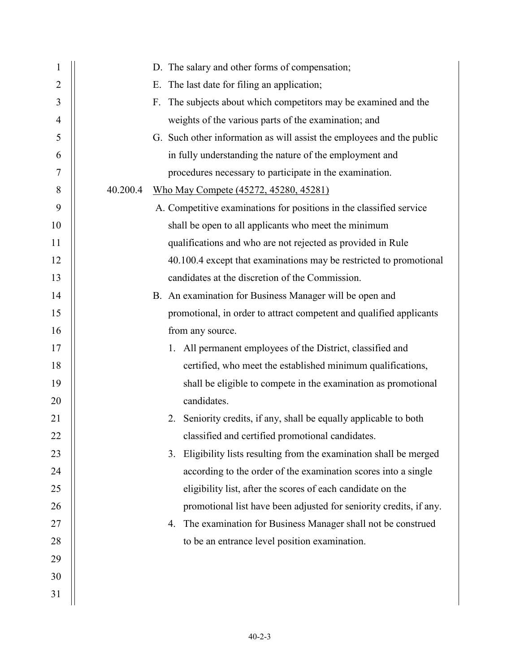| $\mathbf{1}$ | D. The salary and other forms of compensation;                         |
|--------------|------------------------------------------------------------------------|
| 2            | The last date for filing an application;<br>Е.                         |
| 3            | The subjects about which competitors may be examined and the<br>F.     |
| 4            | weights of the various parts of the examination; and                   |
| 5            | G. Such other information as will assist the employees and the public  |
| 6            | in fully understanding the nature of the employment and                |
| 7            | procedures necessary to participate in the examination.                |
| 8            | 40.200.4<br><u>Who May Compete (45272, 45280, 45281)</u>               |
| 9            | A. Competitive examinations for positions in the classified service    |
| 10           | shall be open to all applicants who meet the minimum                   |
| 11           | qualifications and who are not rejected as provided in Rule            |
| 12           | 40.100.4 except that examinations may be restricted to promotional     |
| 13           | candidates at the discretion of the Commission.                        |
| 14           | B. An examination for Business Manager will be open and                |
| 15           | promotional, in order to attract competent and qualified applicants    |
| 16           | from any source.                                                       |
| 17           | 1. All permanent employees of the District, classified and             |
| 18           | certified, who meet the established minimum qualifications,            |
| 19           | shall be eligible to compete in the examination as promotional         |
| 20           | candidates.                                                            |
| 21           | Seniority credits, if any, shall be equally applicable to both<br>2.   |
| 22           | classified and certified promotional candidates.                       |
| 23           | Eligibility lists resulting from the examination shall be merged<br>3. |
| 24           | according to the order of the examination scores into a single         |
| 25           | eligibility list, after the scores of each candidate on the            |
| 26           | promotional list have been adjusted for seniority credits, if any.     |
| 27           | The examination for Business Manager shall not be construed<br>4.      |
| 28           | to be an entrance level position examination.                          |
| 29           |                                                                        |
| 30           |                                                                        |
| 31           |                                                                        |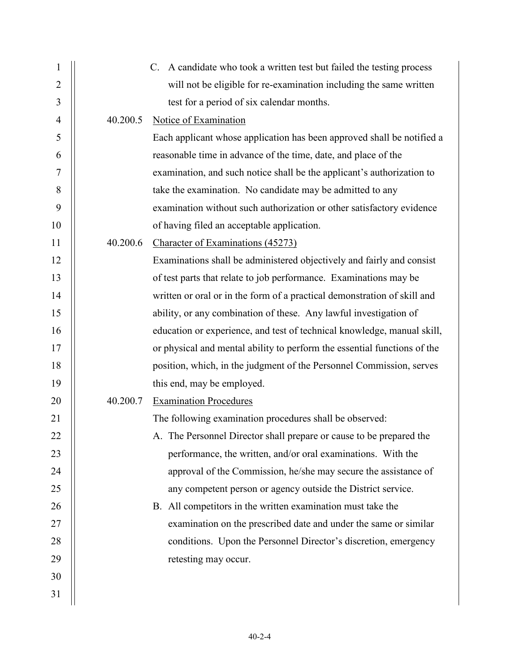| $\mathbf{1}$   |          | C. A candidate who took a written test but failed the testing process    |
|----------------|----------|--------------------------------------------------------------------------|
| 2              |          | will not be eligible for re-examination including the same written       |
| 3              |          | test for a period of six calendar months.                                |
| $\overline{4}$ | 40.200.5 | Notice of Examination                                                    |
| 5              |          | Each applicant whose application has been approved shall be notified a   |
| 6              |          | reasonable time in advance of the time, date, and place of the           |
| 7              |          | examination, and such notice shall be the applicant's authorization to   |
| 8              |          | take the examination. No candidate may be admitted to any                |
| 9              |          | examination without such authorization or other satisfactory evidence    |
| 10             |          | of having filed an acceptable application.                               |
| 11             | 40.200.6 | Character of Examinations (45273)                                        |
| 12             |          | Examinations shall be administered objectively and fairly and consist    |
| 13             |          | of test parts that relate to job performance. Examinations may be        |
| 14             |          | written or oral or in the form of a practical demonstration of skill and |
| 15             |          | ability, or any combination of these. Any lawful investigation of        |
| 16             |          | education or experience, and test of technical knowledge, manual skill,  |
| 17             |          | or physical and mental ability to perform the essential functions of the |
| 18             |          | position, which, in the judgment of the Personnel Commission, serves     |
| 19             |          | this end, may be employed.                                               |
| 20             | 40.200.7 | <b>Examination Procedures</b>                                            |
| 21             |          | The following examination procedures shall be observed:                  |
| 22             |          | A. The Personnel Director shall prepare or cause to be prepared the      |
| 23             |          | performance, the written, and/or oral examinations. With the             |
| 24             |          | approval of the Commission, he/she may secure the assistance of          |
| 25             |          | any competent person or agency outside the District service.             |
| 26             |          | B. All competitors in the written examination must take the              |
| 27             |          | examination on the prescribed date and under the same or similar         |
| 28             |          | conditions. Upon the Personnel Director's discretion, emergency          |
| 29             |          | retesting may occur.                                                     |
| 30             |          |                                                                          |
| 31             |          |                                                                          |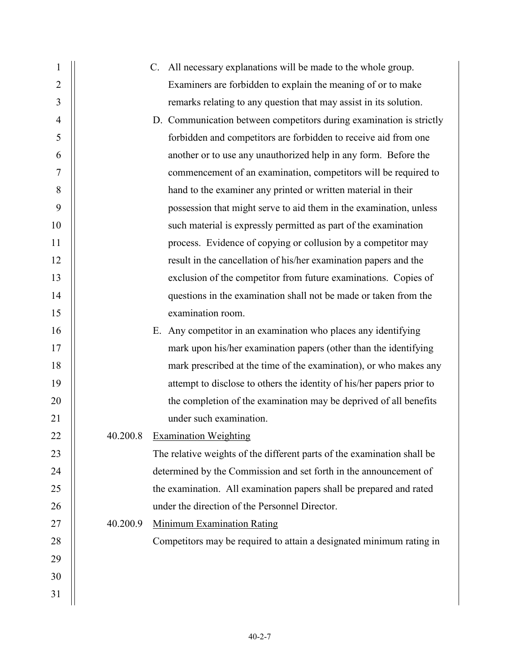| 1                |          | C. All necessary explanations will be made to the whole group.          |
|------------------|----------|-------------------------------------------------------------------------|
| $\overline{2}$   |          | Examiners are forbidden to explain the meaning of or to make            |
| 3                |          | remarks relating to any question that may assist in its solution.       |
| 4                |          | D. Communication between competitors during examination is strictly     |
| 5                |          | forbidden and competitors are forbidden to receive aid from one         |
| 6                |          | another or to use any unauthorized help in any form. Before the         |
| $\boldsymbol{7}$ |          | commencement of an examination, competitors will be required to         |
| 8                |          | hand to the examiner any printed or written material in their           |
| 9                |          | possession that might serve to aid them in the examination, unless      |
| 10               |          | such material is expressly permitted as part of the examination         |
| 11               |          | process. Evidence of copying or collusion by a competitor may           |
| 12               |          | result in the cancellation of his/her examination papers and the        |
| 13               |          | exclusion of the competitor from future examinations. Copies of         |
| 14               |          | questions in the examination shall not be made or taken from the        |
| 15               |          | examination room.                                                       |
| 16               |          | E. Any competitor in an examination who places any identifying          |
| 17               |          | mark upon his/her examination papers (other than the identifying        |
| 18               |          | mark prescribed at the time of the examination), or who makes any       |
| 19               |          | attempt to disclose to others the identity of his/her papers prior to   |
| 20               |          | the completion of the examination may be deprived of all benefits       |
| 21               |          | under such examination.                                                 |
| 22               |          | 40.200.8 Examination Weighting                                          |
| 23               |          | The relative weights of the different parts of the examination shall be |
| 24               |          | determined by the Commission and set forth in the announcement of       |
| 25               |          | the examination. All examination papers shall be prepared and rated     |
| 26               |          | under the direction of the Personnel Director.                          |
| 27               | 40.200.9 | <b>Minimum Examination Rating</b>                                       |
| 28               |          | Competitors may be required to attain a designated minimum rating in    |
| 29               |          |                                                                         |
| 30               |          |                                                                         |
| 31               |          |                                                                         |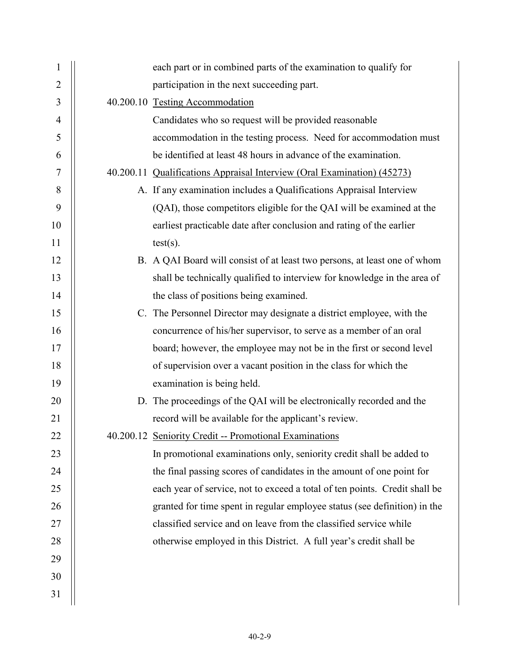| $\mathbf{1}$   | each part or in combined parts of the examination to qualify for           |
|----------------|----------------------------------------------------------------------------|
| $\overline{2}$ | participation in the next succeeding part.                                 |
| 3              | 40.200.10 Testing Accommodation                                            |
| $\overline{4}$ | Candidates who so request will be provided reasonable                      |
| 5              | accommodation in the testing process. Need for accommodation must          |
| 6              | be identified at least 48 hours in advance of the examination.             |
| 7              | 40.200.11 Qualifications Appraisal Interview (Oral Examination) (45273)    |
| 8              | A. If any examination includes a Qualifications Appraisal Interview        |
| 9              | (QAI), those competitors eligible for the QAI will be examined at the      |
| 10             | earliest practicable date after conclusion and rating of the earlier       |
| 11             | $test(s)$ .                                                                |
| 12             | B. A QAI Board will consist of at least two persons, at least one of whom  |
| 13             | shall be technically qualified to interview for knowledge in the area of   |
| 14             | the class of positions being examined.                                     |
| 15             | C. The Personnel Director may designate a district employee, with the      |
| 16             | concurrence of his/her supervisor, to serve as a member of an oral         |
| 17             | board; however, the employee may not be in the first or second level       |
| 18             | of supervision over a vacant position in the class for which the           |
| 19             | examination is being held.                                                 |
| 20             | D. The proceedings of the QAI will be electronically recorded and the      |
| 21             | record will be available for the applicant's review.                       |
| 22             | 40.200.12 Seniority Credit -- Promotional Examinations                     |
| 23             | In promotional examinations only, seniority credit shall be added to       |
| 24             | the final passing scores of candidates in the amount of one point for      |
| 25             | each year of service, not to exceed a total of ten points. Credit shall be |
| 26             | granted for time spent in regular employee status (see definition) in the  |
| 27             | classified service and on leave from the classified service while          |
| 28             | otherwise employed in this District. A full year's credit shall be         |
| 29             |                                                                            |
| 30             |                                                                            |
| 31             |                                                                            |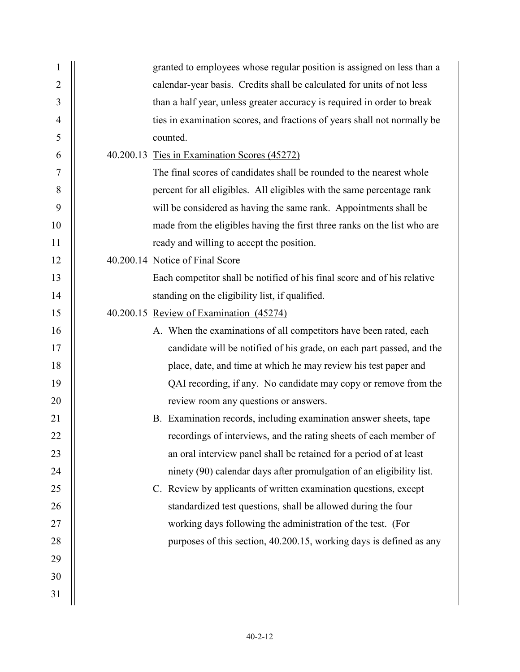| 1              | granted to employees whose regular position is assigned on less than a   |
|----------------|--------------------------------------------------------------------------|
| $\overline{2}$ | calendar-year basis. Credits shall be calculated for units of not less   |
| 3              | than a half year, unless greater accuracy is required in order to break  |
| $\overline{4}$ | ties in examination scores, and fractions of years shall not normally be |
| 5              | counted.                                                                 |
| 6              | 40.200.13 Ties in Examination Scores (45272)                             |
| 7              | The final scores of candidates shall be rounded to the nearest whole     |
| 8              | percent for all eligibles. All eligibles with the same percentage rank   |
| 9              | will be considered as having the same rank. Appointments shall be        |
| 10             | made from the eligibles having the first three ranks on the list who are |
| 11             | ready and willing to accept the position.                                |
| 12             | 40.200.14 Notice of Final Score                                          |
| 13             | Each competitor shall be notified of his final score and of his relative |
| 14             | standing on the eligibility list, if qualified.                          |
| 15             | 40.200.15 Review of Examination (45274)                                  |
| 16             | A. When the examinations of all competitors have been rated, each        |
| 17             | candidate will be notified of his grade, on each part passed, and the    |
| 18             | place, date, and time at which he may review his test paper and          |
| 19             | QAI recording, if any. No candidate may copy or remove from the          |
| 20             | review room any questions or answers.                                    |
| 21             | B. Examination records, including examination answer sheets, tape        |
| 22             | recordings of interviews, and the rating sheets of each member of        |
| 23             | an oral interview panel shall be retained for a period of at least       |
| 24             | ninety (90) calendar days after promulgation of an eligibility list.     |
| 25             | C. Review by applicants of written examination questions, except         |
| 26             | standardized test questions, shall be allowed during the four            |
| 27             | working days following the administration of the test. (For              |
| 28             | purposes of this section, 40.200.15, working days is defined as any      |
| 29             |                                                                          |
| 30             |                                                                          |
| 31             |                                                                          |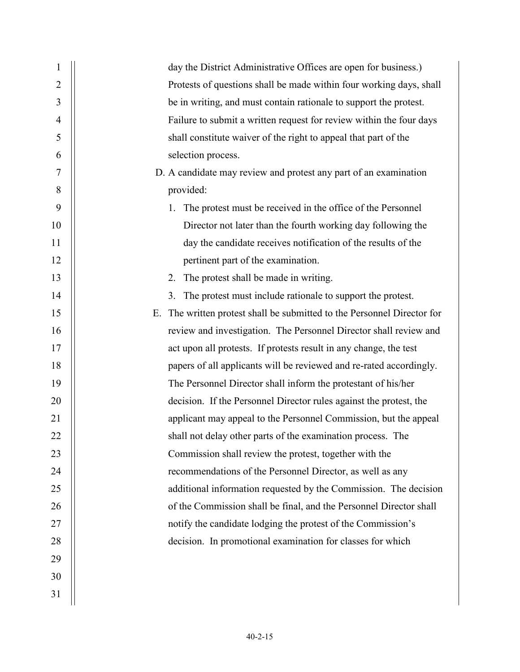| 1  | day the District Administrative Offices are open for business.)            |
|----|----------------------------------------------------------------------------|
| 2  | Protests of questions shall be made within four working days, shall        |
| 3  | be in writing, and must contain rationale to support the protest.          |
| 4  | Failure to submit a written request for review within the four days        |
| 5  | shall constitute waiver of the right to appeal that part of the            |
| 6  | selection process.                                                         |
| 7  | D. A candidate may review and protest any part of an examination           |
| 8  | provided:                                                                  |
| 9  | The protest must be received in the office of the Personnel<br>1.          |
| 10 | Director not later than the fourth working day following the               |
| 11 | day the candidate receives notification of the results of the              |
| 12 | pertinent part of the examination.                                         |
| 13 | The protest shall be made in writing.<br>2.                                |
| 14 | The protest must include rationale to support the protest.<br>3.           |
| 15 | The written protest shall be submitted to the Personnel Director for<br>Е. |
| 16 | review and investigation. The Personnel Director shall review and          |
| 17 | act upon all protests. If protests result in any change, the test          |
| 18 | papers of all applicants will be reviewed and re-rated accordingly.        |
| 19 | The Personnel Director shall inform the protestant of his/her              |
| 20 | decision. If the Personnel Director rules against the protest, the         |
| 21 | applicant may appeal to the Personnel Commission, but the appeal           |
| 22 | shall not delay other parts of the examination process. The                |
| 23 | Commission shall review the protest, together with the                     |
| 24 | recommendations of the Personnel Director, as well as any                  |
| 25 | additional information requested by the Commission. The decision           |
| 26 | of the Commission shall be final, and the Personnel Director shall         |
| 27 | notify the candidate lodging the protest of the Commission's               |
| 28 | decision. In promotional examination for classes for which                 |
| 29 |                                                                            |
| 30 |                                                                            |
| 31 |                                                                            |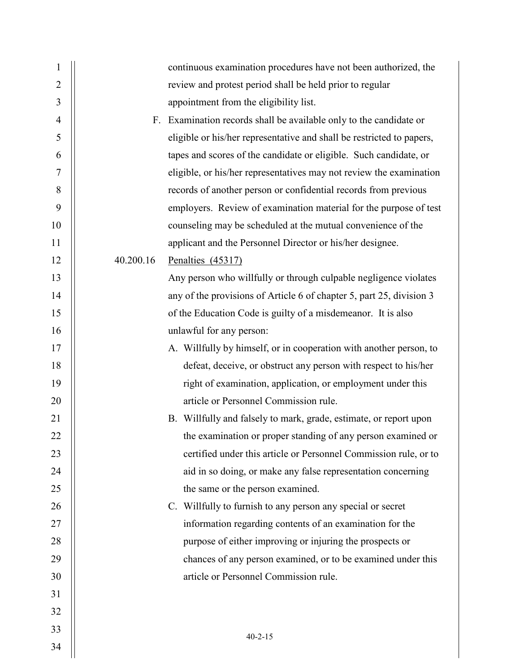| $\mathbf{1}$   |           | continuous examination procedures have not been authorized, the       |
|----------------|-----------|-----------------------------------------------------------------------|
| $\overline{2}$ |           | review and protest period shall be held prior to regular              |
| 3              |           | appointment from the eligibility list.                                |
| $\overline{4}$ |           | F. Examination records shall be available only to the candidate or    |
| 5              |           | eligible or his/her representative and shall be restricted to papers, |
| 6              |           | tapes and scores of the candidate or eligible. Such candidate, or     |
| 7              |           | eligible, or his/her representatives may not review the examination   |
| 8              |           | records of another person or confidential records from previous       |
| 9              |           | employers. Review of examination material for the purpose of test     |
| 10             |           | counseling may be scheduled at the mutual convenience of the          |
| 11             |           | applicant and the Personnel Director or his/her designee.             |
| 12             | 40.200.16 | Penalties (45317)                                                     |
| 13             |           | Any person who willfully or through culpable negligence violates      |
| 14             |           | any of the provisions of Article 6 of chapter 5, part 25, division 3  |
| 15             |           | of the Education Code is guilty of a misdemeanor. It is also          |
| 16             |           | unlawful for any person:                                              |
| 17             |           | A. Willfully by himself, or in cooperation with another person, to    |
| 18             |           | defeat, deceive, or obstruct any person with respect to his/her       |
| 19             |           | right of examination, application, or employment under this           |
| 20             |           | article or Personnel Commission rule.                                 |
| 21             |           | B. Willfully and falsely to mark, grade, estimate, or report upon     |
| 22             |           | the examination or proper standing of any person examined or          |
| 23             |           | certified under this article or Personnel Commission rule, or to      |
| 24             |           | aid in so doing, or make any false representation concerning          |
| 25             |           | the same or the person examined.                                      |
| 26             |           | C. Willfully to furnish to any person any special or secret           |
| 27             |           | information regarding contents of an examination for the              |
| 28             |           | purpose of either improving or injuring the prospects or              |
| 29             |           | chances of any person examined, or to be examined under this          |
| 30             |           | article or Personnel Commission rule.                                 |
| 31             |           |                                                                       |
| 32             |           |                                                                       |
| 33             |           | $40 - 2 - 15$                                                         |
| 34             |           |                                                                       |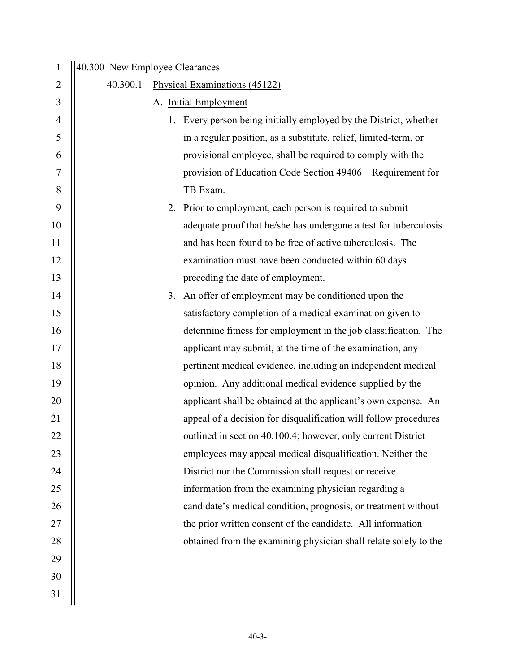| $\mathbf{1}$ | 40.300 New Employee Clearances |    |                                                                   |
|--------------|--------------------------------|----|-------------------------------------------------------------------|
| 2            | 40.300.1                       |    | Physical Examinations (45122)                                     |
| 3            |                                |    | A. Initial Employment                                             |
| 4            |                                |    | 1. Every person being initially employed by the District, whether |
| 5            |                                |    | in a regular position, as a substitute, relief, limited-term, or  |
| 6            |                                |    | provisional employee, shall be required to comply with the        |
| 7            |                                |    | provision of Education Code Section 49406 – Requirement for       |
| 8            |                                |    | TB Exam.                                                          |
| 9            |                                |    | 2. Prior to employment, each person is required to submit         |
| 10           |                                |    | adequate proof that he/she has undergone a test for tuberculosis  |
| 11           |                                |    | and has been found to be free of active tuberculosis. The         |
| 12           |                                |    | examination must have been conducted within 60 days               |
| 13           |                                |    | preceding the date of employment.                                 |
| 14           |                                | 3. | An offer of employment may be conditioned upon the                |
| 15           |                                |    | satisfactory completion of a medical examination given to         |
| 16           |                                |    | determine fitness for employment in the job classification. The   |
| 17           |                                |    | applicant may submit, at the time of the examination, any         |
| 18           |                                |    | pertinent medical evidence, including an independent medical      |
| 19           |                                |    | opinion. Any additional medical evidence supplied by the          |
| 20           |                                |    | applicant shall be obtained at the applicant's own expense. An    |
| 21           |                                |    | appeal of a decision for disqualification will follow procedures  |
| 22           |                                |    | outlined in section 40.100.4; however, only current District      |
| 23           |                                |    | employees may appeal medical disqualification. Neither the        |
| 24           |                                |    | District nor the Commission shall request or receive              |
| 25           |                                |    | information from the examining physician regarding a              |
| 26           |                                |    | candidate's medical condition, prognosis, or treatment without    |
| 27           |                                |    | the prior written consent of the candidate. All information       |
| 28           |                                |    | obtained from the examining physician shall relate solely to the  |
| 29           |                                |    |                                                                   |
| 30           |                                |    |                                                                   |
| 31           |                                |    |                                                                   |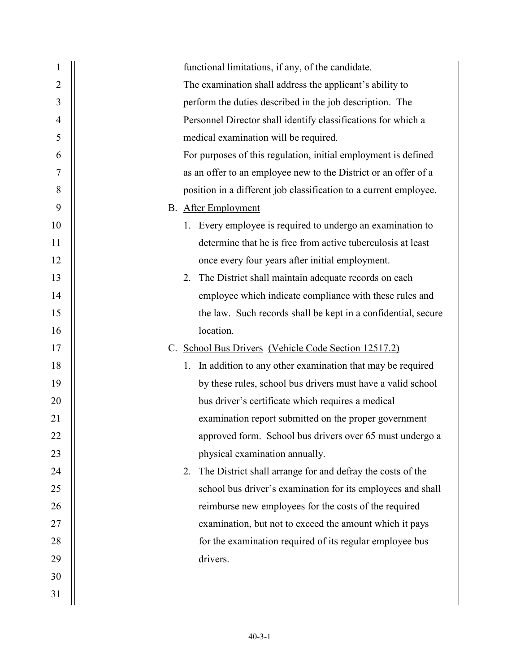| 1              | functional limitations, if any, of the candidate.                 |
|----------------|-------------------------------------------------------------------|
| $\overline{2}$ | The examination shall address the applicant's ability to          |
| 3              | perform the duties described in the job description. The          |
| 4              | Personnel Director shall identify classifications for which a     |
| 5              | medical examination will be required.                             |
| 6              | For purposes of this regulation, initial employment is defined    |
| 7              | as an offer to an employee new to the District or an offer of a   |
| 8              | position in a different job classification to a current employee. |
| 9              | <b>B.</b> After Employment                                        |
| 10             | 1. Every employee is required to undergo an examination to        |
| 11             | determine that he is free from active tuberculosis at least       |
| 12             | once every four years after initial employment.                   |
| 13             | 2. The District shall maintain adequate records on each           |
| 14             | employee which indicate compliance with these rules and           |
| 15             | the law. Such records shall be kept in a confidential, secure     |
| 16             | location.                                                         |
| 17             | C. School Bus Drivers (Vehicle Code Section 12517.2)              |
| 18             | In addition to any other examination that may be required<br>1.   |
| 19             | by these rules, school bus drivers must have a valid school       |
| 20             | bus driver's certificate which requires a medical                 |
| 21             | examination report submitted on the proper government             |
| 22             | approved form. School bus drivers over 65 must undergo a          |
| 23             | physical examination annually.                                    |
| 24             | The District shall arrange for and defray the costs of the<br>2.  |
| 25             | school bus driver's examination for its employees and shall       |
| 26             | reimburse new employees for the costs of the required             |
| 27             | examination, but not to exceed the amount which it pays           |
| 28             | for the examination required of its regular employee bus          |
| 29             | drivers.                                                          |
| 30             |                                                                   |
| 31             |                                                                   |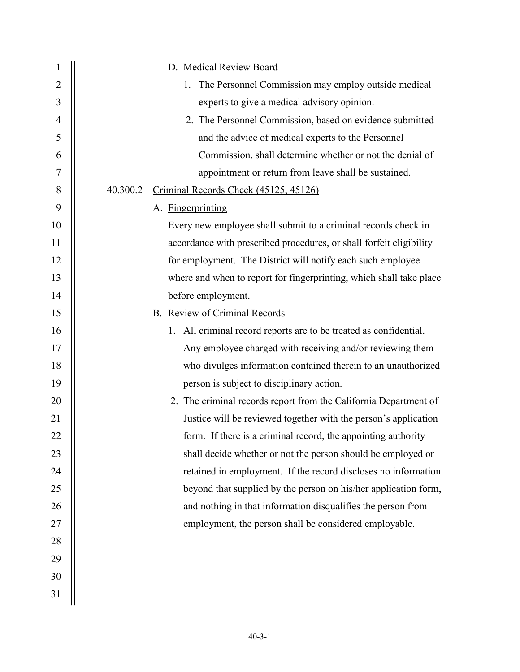| 1              | D. Medical Review Board                                             |
|----------------|---------------------------------------------------------------------|
| $\overline{2}$ | 1. The Personnel Commission may employ outside medical              |
| 3              | experts to give a medical advisory opinion.                         |
| $\overline{4}$ | 2. The Personnel Commission, based on evidence submitted            |
| 5              | and the advice of medical experts to the Personnel                  |
| 6              | Commission, shall determine whether or not the denial of            |
| 7              | appointment or return from leave shall be sustained.                |
| 8              | 40.300.2<br>Criminal Records Check (45125, 45126)                   |
| 9              | A. Fingerprinting                                                   |
| 10             | Every new employee shall submit to a criminal records check in      |
| 11             | accordance with prescribed procedures, or shall forfeit eligibility |
| 12             | for employment. The District will notify each such employee         |
| 13             | where and when to report for fingerprinting, which shall take place |
| 14             | before employment.                                                  |
| 15             | B. Review of Criminal Records                                       |
| 16             | 1. All criminal record reports are to be treated as confidential.   |
| 17             | Any employee charged with receiving and/or reviewing them           |
| 18             | who divulges information contained therein to an unauthorized       |
| 19             | person is subject to disciplinary action.                           |
| 20             | 2. The criminal records report from the California Department of    |
| 21             | Justice will be reviewed together with the person's application     |
| 22             | form. If there is a criminal record, the appointing authority       |
| 23             | shall decide whether or not the person should be employed or        |
| 24             | retained in employment. If the record discloses no information      |
| 25             | beyond that supplied by the person on his/her application form,     |
| 26             | and nothing in that information disqualifies the person from        |
| 27             | employment, the person shall be considered employable.              |
| 28             |                                                                     |
| 29             |                                                                     |
| 30             |                                                                     |
| 31             |                                                                     |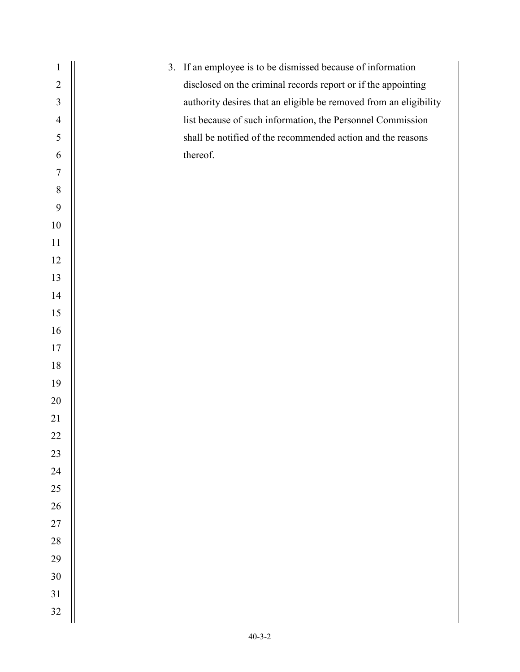1 | 3. If an employee is to be dismissed because of information 2 | disclosed on the criminal records report or if the appointing 3 | authority desires that an eligible be removed from an eligibility 4 | list because of such information, the Personnel Commission 5 S  $6 \parallel$  thereof.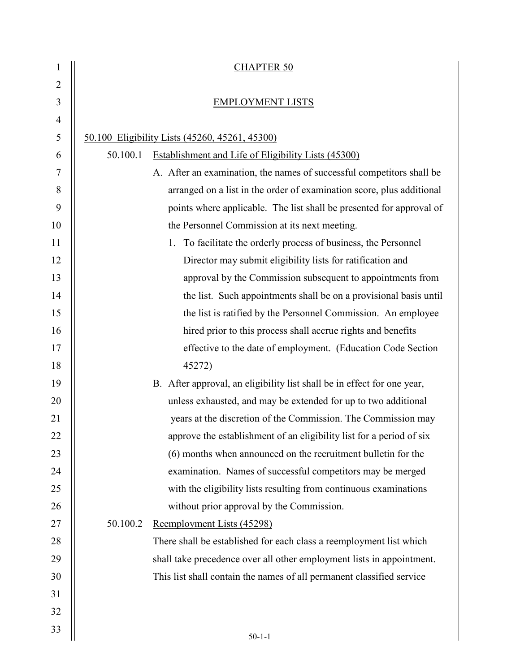| 1  |          | <b>CHAPTER 50</b>                                                       |
|----|----------|-------------------------------------------------------------------------|
| 2  |          |                                                                         |
| 3  |          | <b>EMPLOYMENT LISTS</b>                                                 |
| 4  |          |                                                                         |
| 5  |          | 50.100 Eligibility Lists (45260, 45261, 45300)                          |
| 6  | 50.100.1 | Establishment and Life of Eligibility Lists (45300)                     |
| 7  |          | A. After an examination, the names of successful competitors shall be   |
| 8  |          | arranged on a list in the order of examination score, plus additional   |
| 9  |          | points where applicable. The list shall be presented for approval of    |
| 10 |          | the Personnel Commission at its next meeting.                           |
| 11 |          | To facilitate the orderly process of business, the Personnel<br>1.      |
| 12 |          | Director may submit eligibility lists for ratification and              |
| 13 |          | approval by the Commission subsequent to appointments from              |
| 14 |          | the list. Such appointments shall be on a provisional basis until       |
| 15 |          | the list is ratified by the Personnel Commission. An employee           |
| 16 |          | hired prior to this process shall accrue rights and benefits            |
| 17 |          | effective to the date of employment. (Education Code Section            |
| 18 |          | 45272)                                                                  |
| 19 |          | B. After approval, an eligibility list shall be in effect for one year, |
| 20 |          | unless exhausted, and may be extended for up to two additional          |
| 21 |          | years at the discretion of the Commission. The Commission may           |
| 22 |          | approve the establishment of an eligibility list for a period of six    |
| 23 |          | (6) months when announced on the recruitment bulletin for the           |
| 24 |          | examination. Names of successful competitors may be merged              |
| 25 |          | with the eligibility lists resulting from continuous examinations       |
| 26 |          | without prior approval by the Commission.                               |
| 27 | 50.100.2 | Reemployment Lists (45298)                                              |
| 28 |          | There shall be established for each class a reemployment list which     |
| 29 |          | shall take precedence over all other employment lists in appointment.   |
| 30 |          | This list shall contain the names of all permanent classified service   |
| 31 |          |                                                                         |
| 32 |          |                                                                         |
| 33 |          | $50 - 1 - 1$                                                            |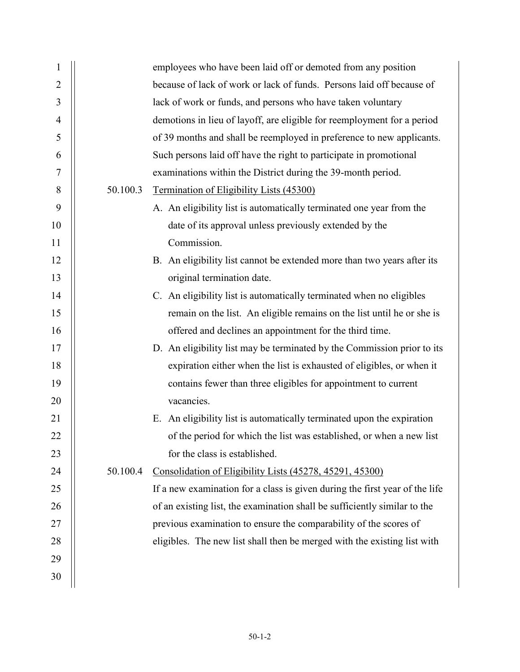| $\mathbf{1}$   |          | employees who have been laid off or demoted from any position               |
|----------------|----------|-----------------------------------------------------------------------------|
| $\overline{2}$ |          | because of lack of work or lack of funds. Persons laid off because of       |
| 3              |          | lack of work or funds, and persons who have taken voluntary                 |
| $\overline{4}$ |          | demotions in lieu of layoff, are eligible for reemployment for a period     |
| 5              |          | of 39 months and shall be reemployed in preference to new applicants.       |
| 6              |          | Such persons laid off have the right to participate in promotional          |
| 7              |          | examinations within the District during the 39-month period.                |
| 8              | 50.100.3 | Termination of Eligibility Lists (45300)                                    |
| 9              |          | A. An eligibility list is automatically terminated one year from the        |
| 10             |          | date of its approval unless previously extended by the                      |
| 11             |          | Commission.                                                                 |
| 12             |          | B. An eligibility list cannot be extended more than two years after its     |
| 13             |          | original termination date.                                                  |
| 14             |          | C. An eligibility list is automatically terminated when no eligibles        |
| 15             |          | remain on the list. An eligible remains on the list until he or she is      |
| 16             |          | offered and declines an appointment for the third time.                     |
| 17             |          | D. An eligibility list may be terminated by the Commission prior to its     |
| 18             |          | expiration either when the list is exhausted of eligibles, or when it       |
| 19             |          | contains fewer than three eligibles for appointment to current              |
| 20             |          | vacancies.                                                                  |
| 21             |          | E. An eligibility list is automatically terminated upon the expiration      |
| 22             |          | of the period for which the list was established, or when a new list        |
| 23             |          | for the class is established.                                               |
| 24             | 50.100.4 | Consolidation of Eligibility Lists (45278, 45291, 45300)                    |
| 25             |          | If a new examination for a class is given during the first year of the life |
| 26             |          | of an existing list, the examination shall be sufficiently similar to the   |
| 27             |          | previous examination to ensure the comparability of the scores of           |
| 28             |          | eligibles. The new list shall then be merged with the existing list with    |
| 29             |          |                                                                             |
| 30             |          |                                                                             |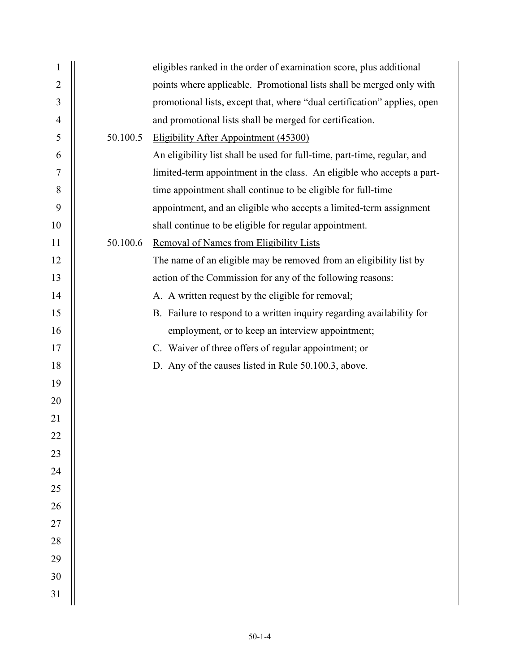| 1              |          | eligibles ranked in the order of examination score, plus additional      |
|----------------|----------|--------------------------------------------------------------------------|
| $\overline{2}$ |          | points where applicable. Promotional lists shall be merged only with     |
| 3              |          | promotional lists, except that, where "dual certification" applies, open |
| 4              |          | and promotional lists shall be merged for certification.                 |
| 5              | 50.100.5 | Eligibility After Appointment (45300)                                    |
| 6              |          | An eligibility list shall be used for full-time, part-time, regular, and |
| 7              |          | limited-term appointment in the class. An eligible who accepts a part-   |
| 8              |          | time appointment shall continue to be eligible for full-time             |
| 9              |          | appointment, and an eligible who accepts a limited-term assignment       |
| 10             |          | shall continue to be eligible for regular appointment.                   |
| 11             | 50.100.6 | Removal of Names from Eligibility Lists                                  |
| 12             |          | The name of an eligible may be removed from an eligibility list by       |
| 13             |          | action of the Commission for any of the following reasons:               |
| 14             |          | A. A written request by the eligible for removal;                        |
| 15             |          | B. Failure to respond to a written inquiry regarding availability for    |
| 16             |          | employment, or to keep an interview appointment;                         |
| 17             |          | C. Waiver of three offers of regular appointment; or                     |
| 18             |          | D. Any of the causes listed in Rule 50.100.3, above.                     |
| 19             |          |                                                                          |
| 20             |          |                                                                          |
| 21             |          |                                                                          |
| 22             |          |                                                                          |
| 23             |          |                                                                          |
| 24             |          |                                                                          |
| 25             |          |                                                                          |
| 26             |          |                                                                          |
| 27             |          |                                                                          |
| 28             |          |                                                                          |
| 29             |          |                                                                          |
| 30             |          |                                                                          |
| 31             |          |                                                                          |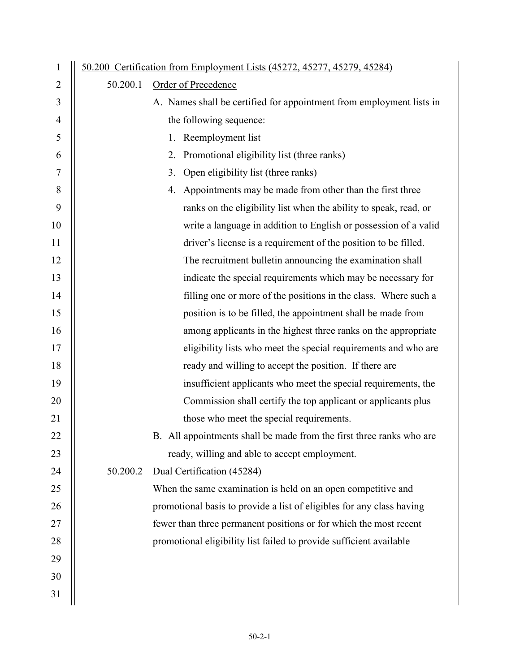| $\mathbf{1}$ |          | <u>50.200 Certification from Employment Lists (45272, 45277, 45279, 45284)</u> |
|--------------|----------|--------------------------------------------------------------------------------|
| 2            | 50.200.1 | Order of Precedence                                                            |
| 3            |          | A. Names shall be certified for appointment from employment lists in           |
| 4            |          | the following sequence:                                                        |
| 5            |          | 1. Reemployment list                                                           |
| 6            |          | 2. Promotional eligibility list (three ranks)                                  |
| 7            |          | Open eligibility list (three ranks)<br>3.                                      |
| 8            |          | 4. Appointments may be made from other than the first three                    |
| 9            |          | ranks on the eligibility list when the ability to speak, read, or              |
| 10           |          | write a language in addition to English or possession of a valid               |
| 11           |          | driver's license is a requirement of the position to be filled.                |
| 12           |          | The recruitment bulletin announcing the examination shall                      |
| 13           |          | indicate the special requirements which may be necessary for                   |
| 14           |          | filling one or more of the positions in the class. Where such a                |
| 15           |          | position is to be filled, the appointment shall be made from                   |
| 16           |          | among applicants in the highest three ranks on the appropriate                 |
| 17           |          | eligibility lists who meet the special requirements and who are                |
| 18           |          | ready and willing to accept the position. If there are                         |
| 19           |          | insufficient applicants who meet the special requirements, the                 |
| 20           |          | Commission shall certify the top applicant or applicants plus                  |
| 21           |          | those who meet the special requirements.                                       |
| 22           |          | B. All appointments shall be made from the first three ranks who are           |
| 23           |          | ready, willing and able to accept employment.                                  |
| 24           | 50.200.2 | Dual Certification (45284)                                                     |
| 25           |          | When the same examination is held on an open competitive and                   |
| 26           |          | promotional basis to provide a list of eligibles for any class having          |
| 27           |          | fewer than three permanent positions or for which the most recent              |
| 28           |          | promotional eligibility list failed to provide sufficient available            |
| 29           |          |                                                                                |
| 30           |          |                                                                                |
| 31           |          |                                                                                |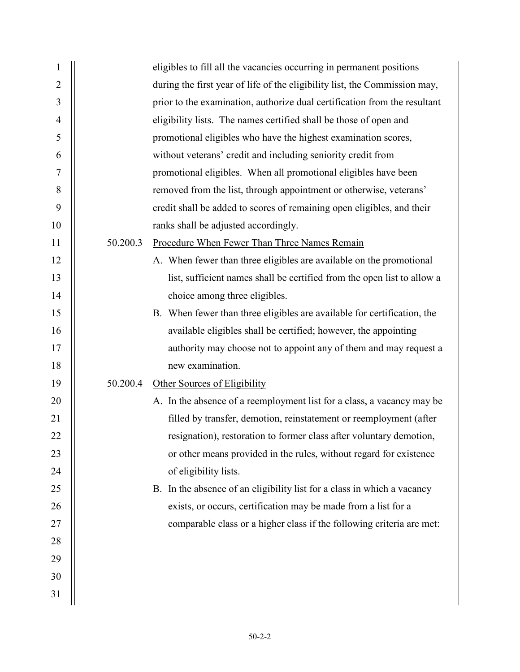| $\mathbf{1}$   |          | eligibles to fill all the vacancies occurring in permanent positions       |
|----------------|----------|----------------------------------------------------------------------------|
| $\overline{2}$ |          | during the first year of life of the eligibility list, the Commission may, |
| 3              |          | prior to the examination, authorize dual certification from the resultant  |
| $\overline{4}$ |          | eligibility lists. The names certified shall be those of open and          |
| 5              |          | promotional eligibles who have the highest examination scores,             |
| 6              |          | without veterans' credit and including seniority credit from               |
| 7              |          | promotional eligibles. When all promotional eligibles have been            |
| 8              |          | removed from the list, through appointment or otherwise, veterans'         |
| 9              |          | credit shall be added to scores of remaining open eligibles, and their     |
| 10             |          | ranks shall be adjusted accordingly.                                       |
| 11             | 50.200.3 | Procedure When Fewer Than Three Names Remain                               |
| 12             |          | A. When fewer than three eligibles are available on the promotional        |
| 13             |          | list, sufficient names shall be certified from the open list to allow a    |
| 14             |          | choice among three eligibles.                                              |
| 15             |          | B. When fewer than three eligibles are available for certification, the    |
| 16             |          | available eligibles shall be certified; however, the appointing            |
| 17             |          | authority may choose not to appoint any of them and may request a          |
| 18             |          | new examination.                                                           |
| 19             | 50.200.4 | Other Sources of Eligibility                                               |
| 20             |          | A. In the absence of a reemployment list for a class, a vacancy may be     |
| 21             |          | filled by transfer, demotion, reinstatement or reemployment (after         |
| 22             |          | resignation), restoration to former class after voluntary demotion,        |
| 23             |          | or other means provided in the rules, without regard for existence         |
| 24             |          | of eligibility lists.                                                      |
| 25             |          | B. In the absence of an eligibility list for a class in which a vacancy    |
| 26             |          | exists, or occurs, certification may be made from a list for a             |
| 27             |          | comparable class or a higher class if the following criteria are met:      |
| 28             |          |                                                                            |
| 29             |          |                                                                            |
| 30             |          |                                                                            |
| 31             |          |                                                                            |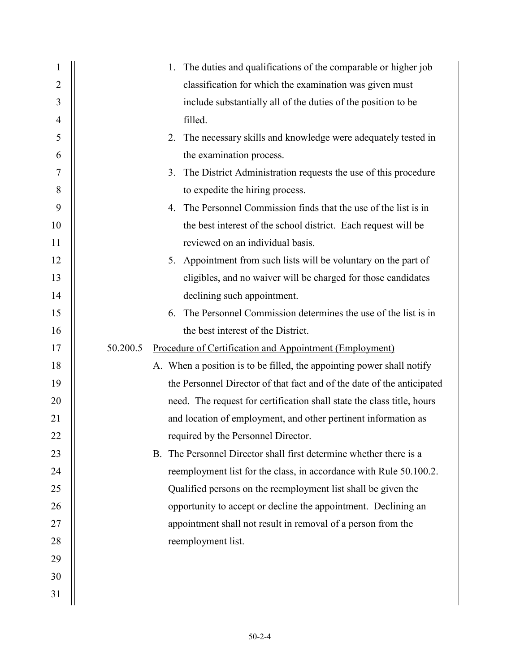| 1                | 1. The duties and qualifications of the comparable or higher job       |
|------------------|------------------------------------------------------------------------|
| $\overline{2}$   | classification for which the examination was given must                |
| 3                | include substantially all of the duties of the position to be          |
| $\overline{4}$   | filled.                                                                |
| 5                | 2. The necessary skills and knowledge were adequately tested in        |
| 6                | the examination process.                                               |
| $\boldsymbol{7}$ | The District Administration requests the use of this procedure<br>3.   |
| 8                | to expedite the hiring process.                                        |
| 9                | 4. The Personnel Commission finds that the use of the list is in       |
| 10               | the best interest of the school district. Each request will be         |
| 11               | reviewed on an individual basis.                                       |
| 12               | 5. Appointment from such lists will be voluntary on the part of        |
| 13               | eligibles, and no waiver will be charged for those candidates          |
| 14               | declining such appointment.                                            |
| 15               | The Personnel Commission determines the use of the list is in<br>6.    |
| 16               | the best interest of the District.                                     |
| 17               | 50.200.5<br>Procedure of Certification and Appointment (Employment)    |
| 18               | A. When a position is to be filled, the appointing power shall notify  |
| 19               | the Personnel Director of that fact and of the date of the anticipated |
| 20               | need. The request for certification shall state the class title, hours |
| 21               | and location of employment, and other pertinent information as         |
| 22               | required by the Personnel Director.                                    |
| 23               | B. The Personnel Director shall first determine whether there is a     |
| 24               | reemployment list for the class, in accordance with Rule 50.100.2.     |
| 25               | Qualified persons on the reemployment list shall be given the          |
| 26               | opportunity to accept or decline the appointment. Declining an         |
| 27               | appointment shall not result in removal of a person from the           |
| 28               | reemployment list.                                                     |
| 29               |                                                                        |
| 30               |                                                                        |
| 31               |                                                                        |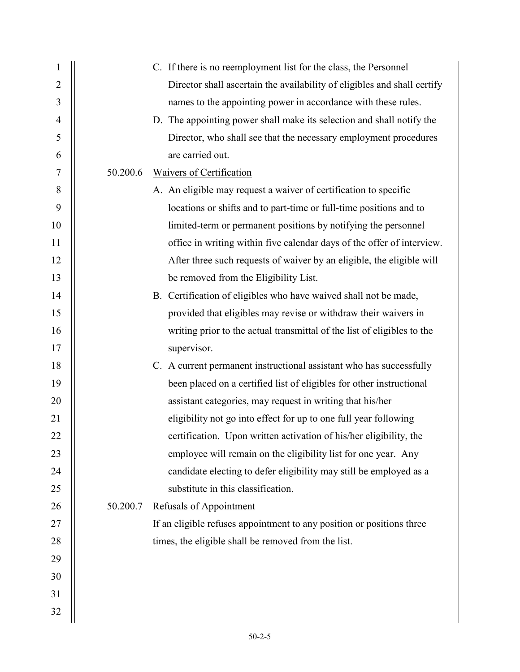| 1              |          | C. If there is no reemployment list for the class, the Personnel         |
|----------------|----------|--------------------------------------------------------------------------|
| $\overline{2}$ |          | Director shall ascertain the availability of eligibles and shall certify |
| $\mathfrak{Z}$ |          | names to the appointing power in accordance with these rules.            |
| $\overline{4}$ |          | D. The appointing power shall make its selection and shall notify the    |
| 5              |          | Director, who shall see that the necessary employment procedures         |
| 6              |          | are carried out.                                                         |
| 7              | 50.200.6 | <b>Waivers of Certification</b>                                          |
| $8\,$          |          | A. An eligible may request a waiver of certification to specific         |
| 9              |          | locations or shifts and to part-time or full-time positions and to       |
| 10             |          | limited-term or permanent positions by notifying the personnel           |
| 11             |          | office in writing within five calendar days of the offer of interview.   |
| 12             |          | After three such requests of waiver by an eligible, the eligible will    |
| 13             |          | be removed from the Eligibility List.                                    |
| 14             |          | B. Certification of eligibles who have waived shall not be made,         |
| 15             |          | provided that eligibles may revise or withdraw their waivers in          |
| 16             |          | writing prior to the actual transmittal of the list of eligibles to the  |
| 17             |          | supervisor.                                                              |
| 18             |          | C. A current permanent instructional assistant who has successfully      |
| 19             |          | been placed on a certified list of eligibles for other instructional     |
| 20             |          | assistant categories, may request in writing that his/her                |
| 21             |          | eligibility not go into effect for up to one full year following         |
| 22             |          | certification. Upon written activation of his/her eligibility, the       |
| 23             |          | employee will remain on the eligibility list for one year. Any           |
| 24             |          | candidate electing to defer eligibility may still be employed as a       |
| 25             |          | substitute in this classification.                                       |
| 26             | 50.200.7 | <b>Refusals of Appointment</b>                                           |
| 27             |          | If an eligible refuses appointment to any position or positions three    |
| 28             |          | times, the eligible shall be removed from the list.                      |
| 29             |          |                                                                          |
| 30             |          |                                                                          |
| 31             |          |                                                                          |
| 32             |          |                                                                          |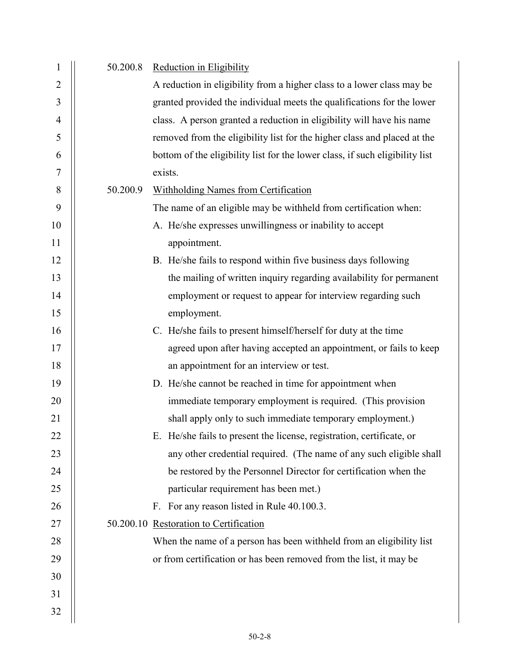| 1              | 50.200.8 | Reduction in Eligibility                                                     |
|----------------|----------|------------------------------------------------------------------------------|
| $\overline{2}$ |          | A reduction in eligibility from a higher class to a lower class may be       |
| 3              |          | granted provided the individual meets the qualifications for the lower       |
| 4              |          | class. A person granted a reduction in eligibility will have his name        |
| 5              |          | removed from the eligibility list for the higher class and placed at the     |
| 6              |          | bottom of the eligibility list for the lower class, if such eligibility list |
| 7              |          | exists.                                                                      |
| 8              | 50.200.9 | <b>Withholding Names from Certification</b>                                  |
| 9              |          | The name of an eligible may be withheld from certification when:             |
| 10             |          | A. He/she expresses unwillingness or inability to accept                     |
| 11             |          | appointment.                                                                 |
| 12             |          | B. He/she fails to respond within five business days following               |
| 13             |          | the mailing of written inquiry regarding availability for permanent          |
| 14             |          | employment or request to appear for interview regarding such                 |
| 15             |          | employment.                                                                  |
| 16             |          | C. He/she fails to present himself/herself for duty at the time              |
| 17             |          | agreed upon after having accepted an appointment, or fails to keep           |
| 18             |          | an appointment for an interview or test.                                     |
| 19             |          | D. He/she cannot be reached in time for appointment when                     |
| 20             |          | immediate temporary employment is required. (This provision                  |
| 21             |          | shall apply only to such immediate temporary employment.)                    |
| 22             |          | E. He/she fails to present the license, registration, certificate, or        |
| 23             |          | any other credential required. (The name of any such eligible shall          |
| 24             |          | be restored by the Personnel Director for certification when the             |
| 25             |          | particular requirement has been met.)                                        |
| 26             |          | F. For any reason listed in Rule 40.100.3.                                   |
| 27             |          | 50.200.10 Restoration to Certification                                       |
| 28             |          | When the name of a person has been withheld from an eligibility list         |
| 29             |          | or from certification or has been removed from the list, it may be           |
| 30             |          |                                                                              |
| 31             |          |                                                                              |
| 32             |          |                                                                              |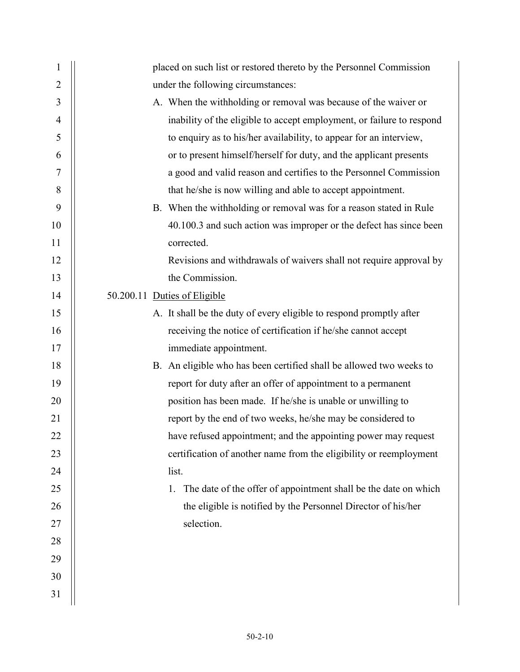| $\mathbf{1}$   | placed on such list or restored thereto by the Personnel Commission   |
|----------------|-----------------------------------------------------------------------|
| 2              | under the following circumstances:                                    |
| 3              | A. When the withholding or removal was because of the waiver or       |
| $\overline{4}$ | inability of the eligible to accept employment, or failure to respond |
| 5              | to enquiry as to his/her availability, to appear for an interview,    |
| 6              | or to present himself/herself for duty, and the applicant presents    |
| $\tau$         | a good and valid reason and certifies to the Personnel Commission     |
| 8              | that he/she is now willing and able to accept appointment.            |
| 9              | B. When the withholding or removal was for a reason stated in Rule    |
| 10             | 40.100.3 and such action was improper or the defect has since been    |
| 11             | corrected.                                                            |
| 12             | Revisions and withdrawals of waivers shall not require approval by    |
| 13             | the Commission.                                                       |
| 14             | 50.200.11 Duties of Eligible                                          |
| 15             | A. It shall be the duty of every eligible to respond promptly after   |
| 16             | receiving the notice of certification if he/she cannot accept         |
| 17             | immediate appointment.                                                |
| 18             | B. An eligible who has been certified shall be allowed two weeks to   |
| 19             | report for duty after an offer of appointment to a permanent          |
| 20             | position has been made. If he/she is unable or unwilling to           |
| 21             | report by the end of two weeks, he/she may be considered to           |
| 22             | have refused appointment; and the appointing power may request        |
| 23             | certification of another name from the eligibility or reemployment    |
| 24             | list.                                                                 |
| 25             | The date of the offer of appointment shall be the date on which<br>1. |
| 26             | the eligible is notified by the Personnel Director of his/her         |
| 27             | selection.                                                            |
| 28             |                                                                       |
| 29             |                                                                       |
| 30             |                                                                       |
| 31             |                                                                       |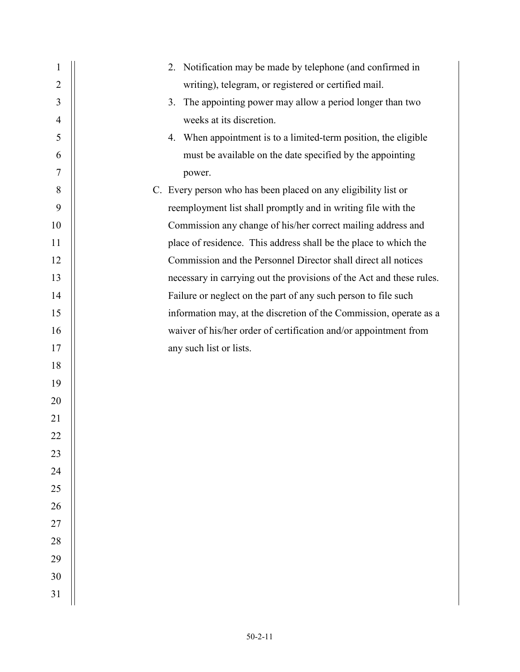| $\mathbf{1}$   | 2. Notification may be made by telephone (and confirmed in           |
|----------------|----------------------------------------------------------------------|
| $\overline{2}$ | writing), telegram, or registered or certified mail.                 |
| 3              | The appointing power may allow a period longer than two<br>3.        |
| $\overline{4}$ | weeks at its discretion.                                             |
| 5              | 4. When appointment is to a limited-term position, the eligible      |
| 6              | must be available on the date specified by the appointing            |
| 7              | power.                                                               |
| 8              | C. Every person who has been placed on any eligibility list or       |
| 9              | reemployment list shall promptly and in writing file with the        |
| 10             | Commission any change of his/her correct mailing address and         |
| 11             | place of residence. This address shall be the place to which the     |
| 12             | Commission and the Personnel Director shall direct all notices       |
| 13             | necessary in carrying out the provisions of the Act and these rules. |
| 14             | Failure or neglect on the part of any such person to file such       |
| 15             | information may, at the discretion of the Commission, operate as a   |
| 16             | waiver of his/her order of certification and/or appointment from     |
| 17             | any such list or lists.                                              |
| 18             |                                                                      |
| 19             |                                                                      |
| 20             |                                                                      |
| 21             |                                                                      |
| 22             |                                                                      |
| 23             |                                                                      |
| 24             |                                                                      |
| 25             |                                                                      |
| 26             |                                                                      |
| $27\,$         |                                                                      |
| 28             |                                                                      |
| 29             |                                                                      |
| 30             |                                                                      |
| 31             |                                                                      |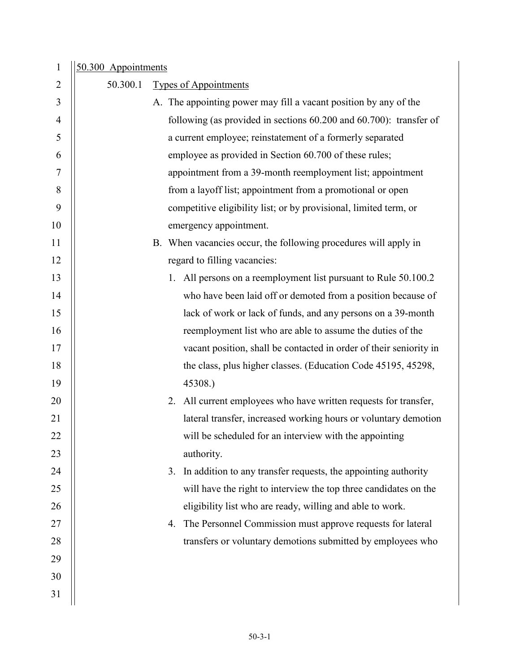| $\mathbf{1}$   | 50.300 Appointments |                                                                      |  |
|----------------|---------------------|----------------------------------------------------------------------|--|
| $\overline{2}$ | 50.300.1            | <b>Types of Appointments</b>                                         |  |
| 3              |                     | A. The appointing power may fill a vacant position by any of the     |  |
| 4              |                     | following (as provided in sections 60.200 and 60.700): transfer of   |  |
| 5              |                     | a current employee; reinstatement of a formerly separated            |  |
| 6              |                     | employee as provided in Section 60.700 of these rules;               |  |
| 7              |                     | appointment from a 39-month reemployment list; appointment           |  |
| 8              |                     | from a layoff list; appointment from a promotional or open           |  |
| 9              |                     | competitive eligibility list; or by provisional, limited term, or    |  |
| 10             |                     | emergency appointment.                                               |  |
| 11             |                     | B. When vacancies occur, the following procedures will apply in      |  |
| 12             |                     | regard to filling vacancies:                                         |  |
| 13             |                     | 1. All persons on a reemployment list pursuant to Rule 50.100.2      |  |
| 14             |                     | who have been laid off or demoted from a position because of         |  |
| 15             |                     | lack of work or lack of funds, and any persons on a 39-month         |  |
| 16             |                     | reemployment list who are able to assume the duties of the           |  |
| 17             |                     | vacant position, shall be contacted in order of their seniority in   |  |
| 18             |                     | the class, plus higher classes. (Education Code 45195, 45298,        |  |
| 19             |                     | 45308.)                                                              |  |
| 20             |                     | All current employees who have written requests for transfer,<br>2.  |  |
| 21             |                     | lateral transfer, increased working hours or voluntary demotion      |  |
| 22             |                     | will be scheduled for an interview with the appointing               |  |
| 23             |                     | authority.                                                           |  |
| 24             |                     | In addition to any transfer requests, the appointing authority<br>3. |  |
| 25             |                     | will have the right to interview the top three candidates on the     |  |
| 26             |                     | eligibility list who are ready, willing and able to work.            |  |
| 27             |                     | The Personnel Commission must approve requests for lateral<br>4.     |  |
| 28             |                     | transfers or voluntary demotions submitted by employees who          |  |
| 29             |                     |                                                                      |  |
| 30             |                     |                                                                      |  |
| 31             |                     |                                                                      |  |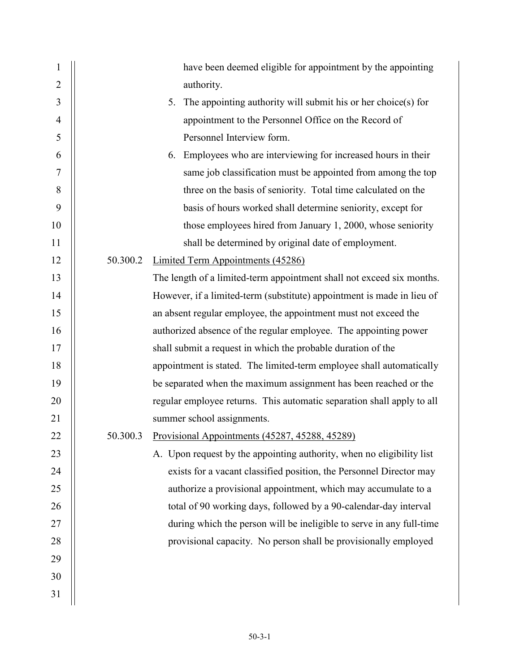| $\mathbf{1}$   |          | have been deemed eligible for appointment by the appointing            |
|----------------|----------|------------------------------------------------------------------------|
| $\overline{2}$ |          | authority.                                                             |
| 3              |          | The appointing authority will submit his or her choice(s) for<br>5.    |
| $\overline{4}$ |          | appointment to the Personnel Office on the Record of                   |
| 5              |          | Personnel Interview form.                                              |
| 6              |          | Employees who are interviewing for increased hours in their<br>6.      |
| 7              |          | same job classification must be appointed from among the top           |
| 8              |          | three on the basis of seniority. Total time calculated on the          |
| 9              |          | basis of hours worked shall determine seniority, except for            |
| 10             |          | those employees hired from January 1, 2000, whose seniority            |
| 11             |          | shall be determined by original date of employment.                    |
| 12             | 50.300.2 | <b>Limited Term Appointments (45286)</b>                               |
| 13             |          | The length of a limited-term appointment shall not exceed six months.  |
| 14             |          | However, if a limited-term (substitute) appointment is made in lieu of |
| 15             |          | an absent regular employee, the appointment must not exceed the        |
| 16             |          | authorized absence of the regular employee. The appointing power       |
| 17             |          | shall submit a request in which the probable duration of the           |
| 18             |          | appointment is stated. The limited-term employee shall automatically   |
| 19             |          | be separated when the maximum assignment has been reached or the       |
| 20             |          | regular employee returns. This automatic separation shall apply to all |
| 21             |          | summer school assignments.                                             |
| 22             |          | 50.300.3 Provisional Appointments (45287, 45288, 45289)                |
| 23             |          | A. Upon request by the appointing authority, when no eligibility list  |
| 24             |          | exists for a vacant classified position, the Personnel Director may    |
| 25             |          | authorize a provisional appointment, which may accumulate to a         |
| 26             |          | total of 90 working days, followed by a 90-calendar-day interval       |
| 27             |          | during which the person will be ineligible to serve in any full-time   |
| 28             |          | provisional capacity. No person shall be provisionally employed        |
| 29             |          |                                                                        |
| 30             |          |                                                                        |
| 31             |          |                                                                        |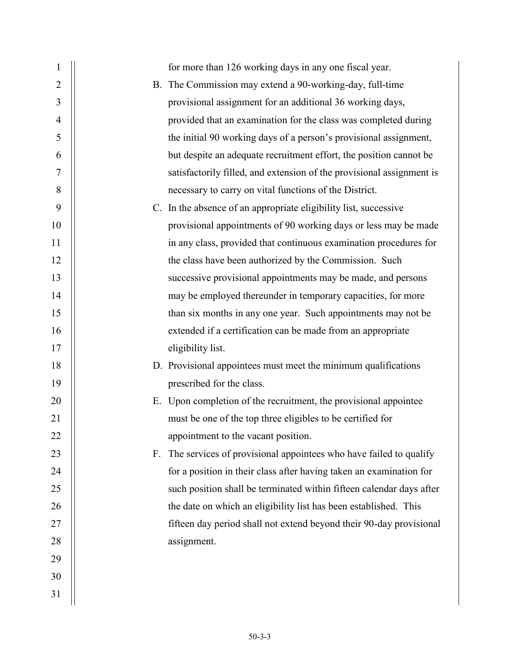| 1              |    | for more than 126 working days in any one fiscal year.                |
|----------------|----|-----------------------------------------------------------------------|
| $\overline{2}$ |    | B. The Commission may extend a 90-working-day, full-time              |
| 3              |    | provisional assignment for an additional 36 working days,             |
| $\overline{4}$ |    | provided that an examination for the class was completed during       |
| 5              |    | the initial 90 working days of a person's provisional assignment,     |
| 6              |    | but despite an adequate recruitment effort, the position cannot be    |
| 7              |    | satisfactorily filled, and extension of the provisional assignment is |
| $8\,$          |    | necessary to carry on vital functions of the District.                |
| 9              |    | C. In the absence of an appropriate eligibility list, successive      |
| 10             |    | provisional appointments of 90 working days or less may be made       |
| 11             |    | in any class, provided that continuous examination procedures for     |
| 12             |    | the class have been authorized by the Commission. Such                |
| 13             |    | successive provisional appointments may be made, and persons          |
| 14             |    | may be employed thereunder in temporary capacities, for more          |
| 15             |    | than six months in any one year. Such appointments may not be         |
| 16             |    | extended if a certification can be made from an appropriate           |
| 17             |    | eligibility list.                                                     |
| 18             |    | D. Provisional appointees must meet the minimum qualifications        |
| 19             |    | prescribed for the class.                                             |
| 20             |    | E. Upon completion of the recruitment, the provisional appointee      |
| 21             |    | must be one of the top three eligibles to be certified for            |
| 22             |    | appointment to the vacant position.                                   |
| 23             | F. | The services of provisional appointees who have failed to qualify     |
| 24             |    | for a position in their class after having taken an examination for   |
| 25             |    | such position shall be terminated within fifteen calendar days after  |
| 26             |    | the date on which an eligibility list has been established. This      |
| 27             |    | fifteen day period shall not extend beyond their 90-day provisional   |
| 28             |    | assignment.                                                           |
| 29             |    |                                                                       |
| 30             |    |                                                                       |
| 31             |    |                                                                       |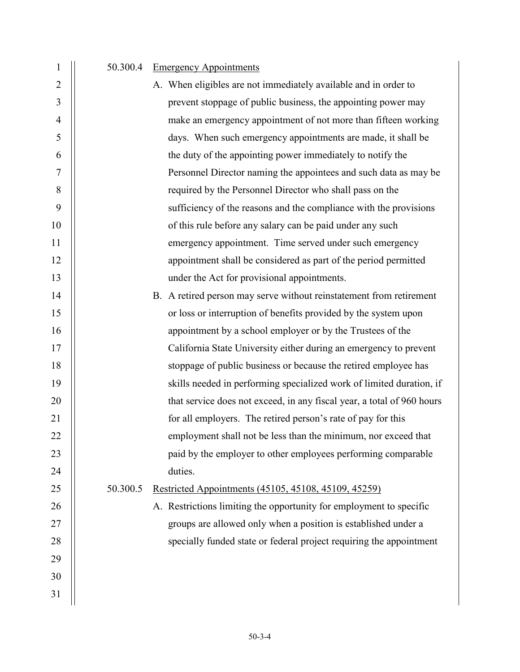## 1 | 50.300.4 Emergency Appointments

| $\overline{2}$ | A. When eligibles are not immediately available and in order to         |
|----------------|-------------------------------------------------------------------------|
| 3              | prevent stoppage of public business, the appointing power may           |
| $\overline{4}$ | make an emergency appointment of not more than fifteen working          |
| 5              | days. When such emergency appointments are made, it shall be            |
| 6              | the duty of the appointing power immediately to notify the              |
| 7              | Personnel Director naming the appointees and such data as may be        |
| 8              | required by the Personnel Director who shall pass on the                |
| 9              | sufficiency of the reasons and the compliance with the provisions       |
| 10             | of this rule before any salary can be paid under any such               |
| 11             | emergency appointment. Time served under such emergency                 |
| 12             | appointment shall be considered as part of the period permitted         |
| 13             | under the Act for provisional appointments.                             |
| 14             | B. A retired person may serve without reinstatement from retirement     |
| 15             | or loss or interruption of benefits provided by the system upon         |
| 16             | appointment by a school employer or by the Trustees of the              |
| 17             | California State University either during an emergency to prevent       |
| 18             | stoppage of public business or because the retired employee has         |
| 19             | skills needed in performing specialized work of limited duration, if    |
| 20             | that service does not exceed, in any fiscal year, a total of 960 hours  |
| 21             | for all employers. The retired person's rate of pay for this            |
| 22             | employment shall not be less than the minimum, nor exceed that          |
| 23             | paid by the employer to other employees performing comparable           |
| 24             | duties.                                                                 |
| 25             | 50.300.5<br><u>Restricted Appointments (45105, 45108, 45109, 45259)</u> |
| 26             | A. Restrictions limiting the opportunity for employment to specific     |
| 27             | groups are allowed only when a position is established under a          |
| 28             | specially funded state or federal project requiring the appointment     |
| 29             |                                                                         |
| 30             |                                                                         |
| 31             |                                                                         |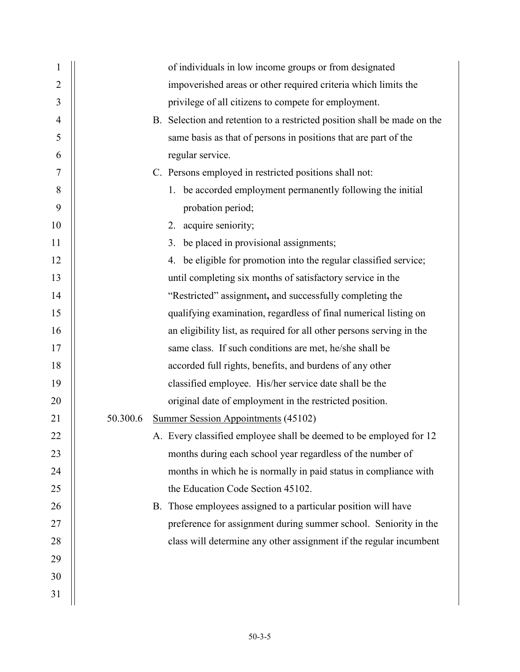| 1              | of individuals in low income groups or from designated                   |
|----------------|--------------------------------------------------------------------------|
| $\overline{2}$ | impoverished areas or other required criteria which limits the           |
| 3              | privilege of all citizens to compete for employment.                     |
| $\overline{4}$ | B. Selection and retention to a restricted position shall be made on the |
| 5              | same basis as that of persons in positions that are part of the          |
| 6              | regular service.                                                         |
| 7              | C. Persons employed in restricted positions shall not:                   |
| 8              | 1. be accorded employment permanently following the initial              |
| 9              | probation period;                                                        |
| 10             | 2. acquire seniority;                                                    |
| 11             | 3. be placed in provisional assignments;                                 |
| 12             | 4. be eligible for promotion into the regular classified service;        |
| 13             | until completing six months of satisfactory service in the               |
| 14             | "Restricted" assignment, and successfully completing the                 |
| 15             | qualifying examination, regardless of final numerical listing on         |
| 16             | an eligibility list, as required for all other persons serving in the    |
| 17             | same class. If such conditions are met, he/she shall be                  |
| 18             | accorded full rights, benefits, and burdens of any other                 |
| 19             | classified employee. His/her service date shall be the                   |
| 20             | original date of employment in the restricted position.                  |
| 21             | 50.300.6<br>Summer Session Appointments (45102)                          |
| 22             | A. Every classified employee shall be deemed to be employed for 12       |
| 23             | months during each school year regardless of the number of               |
| 24             | months in which he is normally in paid status in compliance with         |
| 25             | the Education Code Section 45102.                                        |
| 26             | B. Those employees assigned to a particular position will have           |
| 27             | preference for assignment during summer school. Seniority in the         |
| 28             | class will determine any other assignment if the regular incumbent       |
| 29             |                                                                          |
| 30             |                                                                          |
| 31             |                                                                          |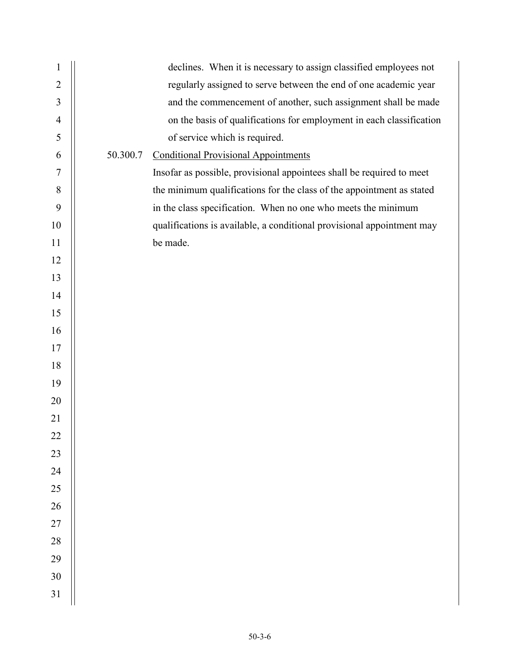| $\mathbf{1}$   |          | declines. When it is necessary to assign classified employees not      |
|----------------|----------|------------------------------------------------------------------------|
| $\overline{2}$ |          | regularly assigned to serve between the end of one academic year       |
| 3              |          | and the commencement of another, such assignment shall be made         |
| $\overline{4}$ |          | on the basis of qualifications for employment in each classification   |
| 5              |          | of service which is required.                                          |
| 6              | 50.300.7 | <b>Conditional Provisional Appointments</b>                            |
| 7              |          | Insofar as possible, provisional appointees shall be required to meet  |
| 8              |          | the minimum qualifications for the class of the appointment as stated  |
| 9              |          | in the class specification. When no one who meets the minimum          |
| 10             |          | qualifications is available, a conditional provisional appointment may |
| 11             |          | be made.                                                               |
| 12             |          |                                                                        |
| 13             |          |                                                                        |
| 14             |          |                                                                        |
| 15             |          |                                                                        |
| 16             |          |                                                                        |
| 17             |          |                                                                        |
| 18             |          |                                                                        |
| 19             |          |                                                                        |
| 20             |          |                                                                        |
| 21             |          |                                                                        |
| 22             |          |                                                                        |
| 23             |          |                                                                        |
| 24             |          |                                                                        |
| 25             |          |                                                                        |
| 26             |          |                                                                        |
| $27\,$         |          |                                                                        |
| $28\,$         |          |                                                                        |
| 29             |          |                                                                        |
| 30             |          |                                                                        |
| 31             |          |                                                                        |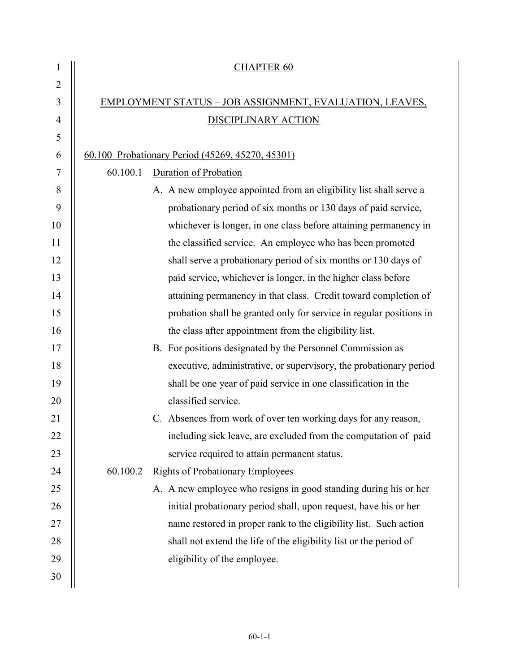| 1              | <b>CHAPTER 60</b>                                                   |  |
|----------------|---------------------------------------------------------------------|--|
| $\overline{2}$ |                                                                     |  |
| 3              | EMPLOYMENT STATUS - JOB ASSIGNMENT, EVALUATION, LEAVES,             |  |
| 4              | DISCIPLINARY ACTION                                                 |  |
| 5              |                                                                     |  |
| 6              | 60.100 Probationary Period (45269, 45270, 45301)                    |  |
| 7              | 60.100.1<br>Duration of Probation                                   |  |
| 8              | A. A new employee appointed from an eligibility list shall serve a  |  |
| 9              | probationary period of six months or 130 days of paid service,      |  |
| 10             | whichever is longer, in one class before attaining permanency in    |  |
| 11             | the classified service. An employee who has been promoted           |  |
| 12             | shall serve a probationary period of six months or 130 days of      |  |
| 13             | paid service, whichever is longer, in the higher class before       |  |
| 14             | attaining permanency in that class. Credit toward completion of     |  |
| 15             | probation shall be granted only for service in regular positions in |  |
| 16             | the class after appointment from the eligibility list.              |  |
| 17             | B. For positions designated by the Personnel Commission as          |  |
| 18             | executive, administrative, or supervisory, the probationary period  |  |
| 19             | shall be one year of paid service in one classification in the      |  |
| 20             | classified service.                                                 |  |
| 21             | C. Absences from work of over ten working days for any reason,      |  |
| 22             | including sick leave, are excluded from the computation of paid     |  |
| 23             | service required to attain permanent status.                        |  |
| 24             | 60.100.2<br><b>Rights of Probationary Employees</b>                 |  |
| 25             | A. A new employee who resigns in good standing during his or her    |  |
| 26             | initial probationary period shall, upon request, have his or her    |  |
| 27             | name restored in proper rank to the eligibility list. Such action   |  |
| 28             | shall not extend the life of the eligibility list or the period of  |  |
| 29             | eligibility of the employee.                                        |  |
| 30             |                                                                     |  |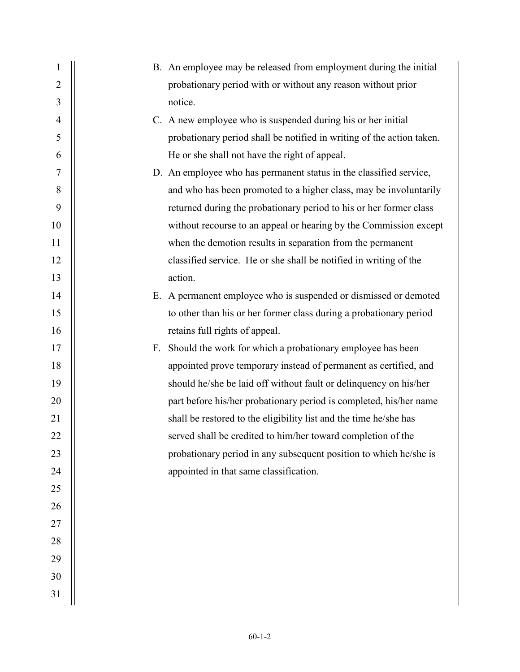| 1              |    | B. An employee may be released from employment during the initial     |
|----------------|----|-----------------------------------------------------------------------|
| $\overline{2}$ |    | probationary period with or without any reason without prior          |
| 3              |    | notice.                                                               |
| $\overline{4}$ |    | C. A new employee who is suspended during his or her initial          |
| 5              |    | probationary period shall be notified in writing of the action taken. |
| 6              |    | He or she shall not have the right of appeal.                         |
| 7              |    | D. An employee who has permanent status in the classified service,    |
| 8              |    | and who has been promoted to a higher class, may be involuntarily     |
| 9              |    | returned during the probationary period to his or her former class    |
| 10             |    | without recourse to an appeal or hearing by the Commission except     |
| 11             |    | when the demotion results in separation from the permanent            |
| 12             |    | classified service. He or she shall be notified in writing of the     |
| 13             |    | action.                                                               |
| 14             |    | E. A permanent employee who is suspended or dismissed or demoted      |
| 15             |    | to other than his or her former class during a probationary period    |
| 16             |    | retains full rights of appeal.                                        |
| 17             | F. | Should the work for which a probationary employee has been            |
| 18             |    | appointed prove temporary instead of permanent as certified, and      |
| 19             |    | should he/she be laid off without fault or delinquency on his/her     |
| 20             |    | part before his/her probationary period is completed, his/her name    |
| 21             |    | shall be restored to the eligibility list and the time he/she has     |
| 22             |    | served shall be credited to him/her toward completion of the          |
| 23             |    | probationary period in any subsequent position to which he/she is     |
| 24             |    | appointed in that same classification.                                |
| 25             |    |                                                                       |
| 26             |    |                                                                       |
| 27             |    |                                                                       |
| 28             |    |                                                                       |
| 29             |    |                                                                       |
| 30             |    |                                                                       |
| 31             |    |                                                                       |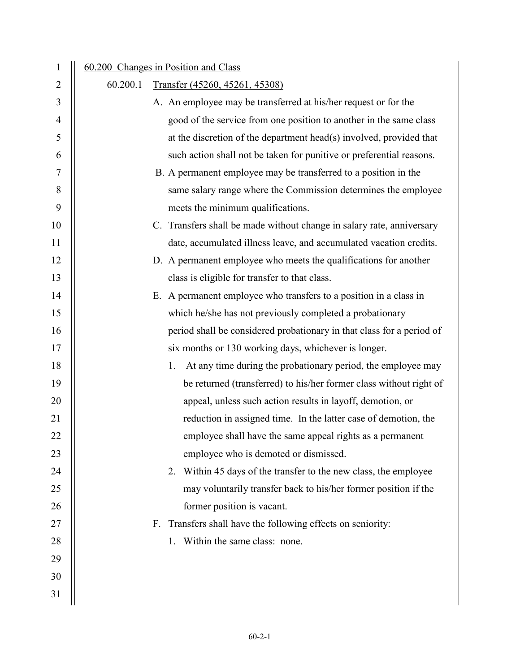| 1              |          | 60.200 Changes in Position and Class                                  |
|----------------|----------|-----------------------------------------------------------------------|
| 2              | 60.200.1 | Transfer (45260, 45261, 45308)                                        |
| 3              |          | A. An employee may be transferred at his/her request or for the       |
| $\overline{4}$ |          | good of the service from one position to another in the same class    |
| 5              |          | at the discretion of the department head(s) involved, provided that   |
| 6              |          | such action shall not be taken for punitive or preferential reasons.  |
| 7              |          | B. A permanent employee may be transferred to a position in the       |
| 8              |          | same salary range where the Commission determines the employee        |
| 9              |          | meets the minimum qualifications.                                     |
| 10             |          | C. Transfers shall be made without change in salary rate, anniversary |
| 11             |          | date, accumulated illness leave, and accumulated vacation credits.    |
| 12             |          | D. A permanent employee who meets the qualifications for another      |
| 13             |          | class is eligible for transfer to that class.                         |
| 14             |          | E. A permanent employee who transfers to a position in a class in     |
| 15             |          | which he/she has not previously completed a probationary              |
| 16             |          | period shall be considered probationary in that class for a period of |
| 17             |          | six months or 130 working days, whichever is longer.                  |
| 18             |          | At any time during the probationary period, the employee may<br>1.    |
| 19             |          | be returned (transferred) to his/her former class without right of    |
| 20             |          | appeal, unless such action results in layoff, demotion, or            |
| 21             |          | reduction in assigned time. In the latter case of demotion, the       |
| 22             |          | employee shall have the same appeal rights as a permanent             |
| 23             |          | employee who is demoted or dismissed.                                 |
| 24             |          | 2. Within 45 days of the transfer to the new class, the employee      |
| 25             |          | may voluntarily transfer back to his/her former position if the       |
| 26             |          | former position is vacant.                                            |
| 27             |          | F. Transfers shall have the following effects on seniority:           |
| 28             |          | 1. Within the same class: none.                                       |
| 29             |          |                                                                       |
| 30             |          |                                                                       |
| 31             |          |                                                                       |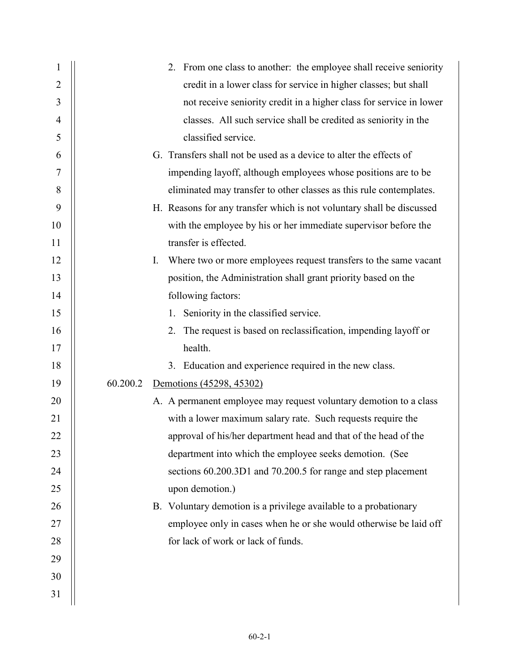| $\mathbf 1$    | 2. From one class to another: the employee shall receive seniority     |
|----------------|------------------------------------------------------------------------|
| $\overline{2}$ | credit in a lower class for service in higher classes; but shall       |
| 3              | not receive seniority credit in a higher class for service in lower    |
| $\overline{4}$ | classes. All such service shall be credited as seniority in the        |
| 5              | classified service.                                                    |
| 6              | G. Transfers shall not be used as a device to alter the effects of     |
| $\tau$         | impending layoff, although employees whose positions are to be         |
| 8              | eliminated may transfer to other classes as this rule contemplates.    |
| 9              | H. Reasons for any transfer which is not voluntary shall be discussed  |
| 10             | with the employee by his or her immediate supervisor before the        |
| 11             | transfer is effected.                                                  |
| 12             | Where two or more employees request transfers to the same vacant<br>I. |
| 13             | position, the Administration shall grant priority based on the         |
| 14             | following factors:                                                     |
| 15             | 1. Seniority in the classified service.                                |
| 16             | 2. The request is based on reclassification, impending layoff or       |
| 17             | health.                                                                |
| 18             | 3. Education and experience required in the new class.                 |
| 19             | 60.200.2<br>Demotions (45298, 45302)                                   |
| 20             | A. A permanent employee may request voluntary demotion to a class      |
| 21             | with a lower maximum salary rate. Such requests require the            |
| 22             | approval of his/her department head and that of the head of the        |
| 23             | department into which the employee seeks demotion. (See                |
| 24             | sections 60.200.3D1 and 70.200.5 for range and step placement          |
| 25             | upon demotion.)                                                        |
| 26             | B. Voluntary demotion is a privilege available to a probationary       |
| 27             | employee only in cases when he or she would otherwise be laid off      |
| 28             | for lack of work or lack of funds.                                     |
| 29             |                                                                        |
| 30             |                                                                        |
| 31             |                                                                        |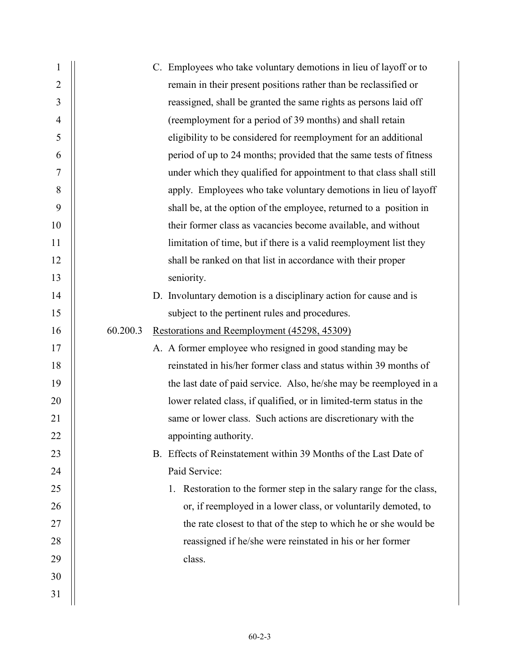| $\mathbf{1}$   | C. Employees who take voluntary demotions in lieu of layoff or to    |
|----------------|----------------------------------------------------------------------|
| $\overline{2}$ | remain in their present positions rather than be reclassified or     |
| 3              | reassigned, shall be granted the same rights as persons laid off     |
| $\overline{4}$ | (reemployment for a period of 39 months) and shall retain            |
| 5              | eligibility to be considered for reemployment for an additional      |
| 6              | period of up to 24 months; provided that the same tests of fitness   |
| 7              | under which they qualified for appointment to that class shall still |
| 8              | apply. Employees who take voluntary demotions in lieu of layoff      |
| 9              | shall be, at the option of the employee, returned to a position in   |
| 10             | their former class as vacancies become available, and without        |
| 11             | limitation of time, but if there is a valid reemployment list they   |
| 12             | shall be ranked on that list in accordance with their proper         |
| 13             | seniority.                                                           |
| 14             | D. Involuntary demotion is a disciplinary action for cause and is    |
| 15             | subject to the pertinent rules and procedures.                       |
| 16             | 60.200.3<br>Restorations and Reemployment (45298, 45309)             |
| 17             | A. A former employee who resigned in good standing may be            |
| 18             | reinstated in his/her former class and status within 39 months of    |
| 19             | the last date of paid service. Also, he/she may be reemployed in a   |
| 20             | lower related class, if qualified, or in limited-term status in the  |
| 21             | same or lower class. Such actions are discretionary with the         |
| 22             | appointing authority.                                                |
| 23             | B. Effects of Reinstatement within 39 Months of the Last Date of     |
| 24             | Paid Service:                                                        |
| 25             | 1. Restoration to the former step in the salary range for the class, |
| 26             | or, if reemployed in a lower class, or voluntarily demoted, to       |
| 27             | the rate closest to that of the step to which he or she would be     |
| 28             | reassigned if he/she were reinstated in his or her former            |
| 29             | class.                                                               |
| 30             |                                                                      |
| 31             |                                                                      |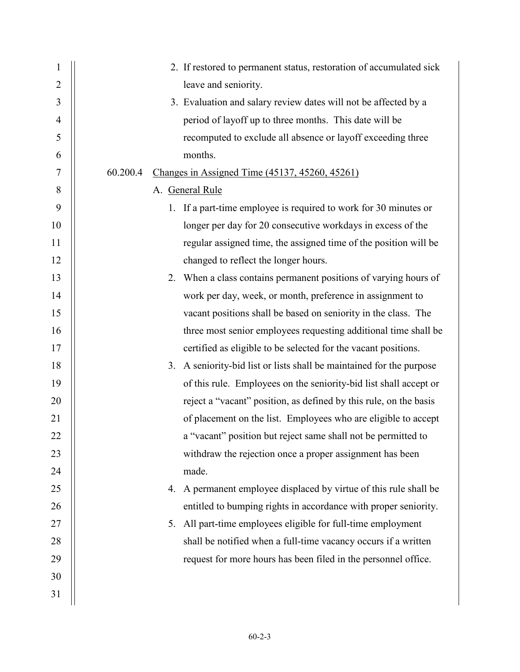| $\mathbf{1}$   | 2. If restored to permanent status, restoration of accumulated sick     |
|----------------|-------------------------------------------------------------------------|
| $\overline{2}$ | leave and seniority.                                                    |
| 3              | 3. Evaluation and salary review dates will not be affected by a         |
| $\overline{4}$ | period of layoff up to three months. This date will be                  |
| 5              | recomputed to exclude all absence or layoff exceeding three             |
| 6              | months.                                                                 |
| 7              | 60.200.4<br>Changes in Assigned Time (45137, 45260, 45261)              |
| 8              | A. General Rule                                                         |
| 9              | 1. If a part-time employee is required to work for 30 minutes or        |
| 10             | longer per day for 20 consecutive workdays in excess of the             |
| 11             | regular assigned time, the assigned time of the position will be        |
| 12             | changed to reflect the longer hours.                                    |
| 13             | 2. When a class contains permanent positions of varying hours of        |
| 14             | work per day, week, or month, preference in assignment to               |
| 15             | vacant positions shall be based on seniority in the class. The          |
| 16             | three most senior employees requesting additional time shall be         |
| 17             | certified as eligible to be selected for the vacant positions.          |
| 18             | A seniority-bid list or lists shall be maintained for the purpose<br>3. |
| 19             | of this rule. Employees on the seniority-bid list shall accept or       |
| 20             | reject a "vacant" position, as defined by this rule, on the basis       |
| 21             | of placement on the list. Employees who are eligible to accept          |
| 22             | a "vacant" position but reject same shall not be permitted to           |
| 23             | withdraw the rejection once a proper assignment has been                |
| 24             | made.                                                                   |
| 25             | 4. A permanent employee displaced by virtue of this rule shall be       |
| 26             | entitled to bumping rights in accordance with proper seniority.         |
| 27             | 5. All part-time employees eligible for full-time employment            |
| 28             | shall be notified when a full-time vacancy occurs if a written          |
| 29             | request for more hours has been filed in the personnel office.          |
| 30             |                                                                         |
| 31             |                                                                         |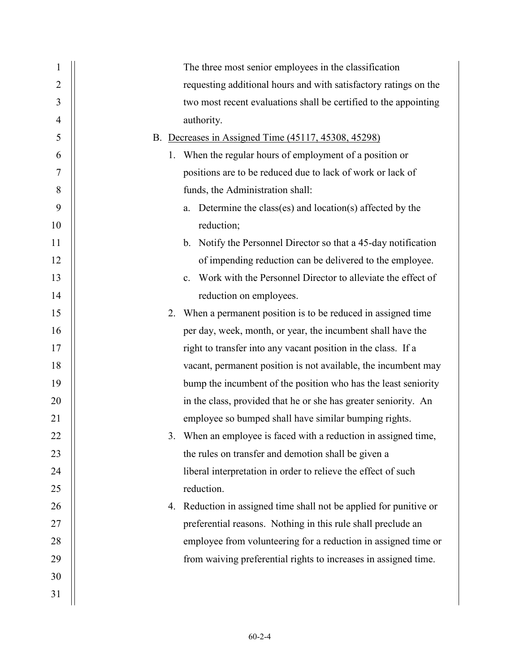| 1              | The three most senior employees in the classification                         |
|----------------|-------------------------------------------------------------------------------|
| $\overline{2}$ | requesting additional hours and with satisfactory ratings on the              |
| 3              | two most recent evaluations shall be certified to the appointing              |
| 4              | authority.                                                                    |
| 5              | B. Decreases in Assigned Time (45117, 45308, 45298)                           |
| 6              | 1. When the regular hours of employment of a position or                      |
| 7              | positions are to be reduced due to lack of work or lack of                    |
| 8              | funds, the Administration shall:                                              |
| 9              | Determine the class(es) and location(s) affected by the<br>a.                 |
| 10             | reduction;                                                                    |
| 11             | Notify the Personnel Director so that a 45-day notification<br>$\mathbf{b}$ . |
| 12             | of impending reduction can be delivered to the employee.                      |
| 13             | Work with the Personnel Director to alleviate the effect of<br>$\mathbf{c}$ . |
| 14             | reduction on employees.                                                       |
| 15             | 2. When a permanent position is to be reduced in assigned time                |
| 16             | per day, week, month, or year, the incumbent shall have the                   |
| 17             | right to transfer into any vacant position in the class. If a                 |
| 18             | vacant, permanent position is not available, the incumbent may                |
| 19             | bump the incumbent of the position who has the least seniority                |
| 20             | in the class, provided that he or she has greater seniority. An               |
| 21             | employee so bumped shall have similar bumping rights.                         |
| 22             | When an employee is faced with a reduction in assigned time,                  |
| 23             | the rules on transfer and demotion shall be given a                           |
| 24             | liberal interpretation in order to relieve the effect of such                 |
| 25             | reduction.                                                                    |
| 26             | 4. Reduction in assigned time shall not be applied for punitive or            |
| 27             | preferential reasons. Nothing in this rule shall preclude an                  |
| 28             | employee from volunteering for a reduction in assigned time or                |
| 29             | from waiving preferential rights to increases in assigned time.               |
| 30             |                                                                               |
| 31             |                                                                               |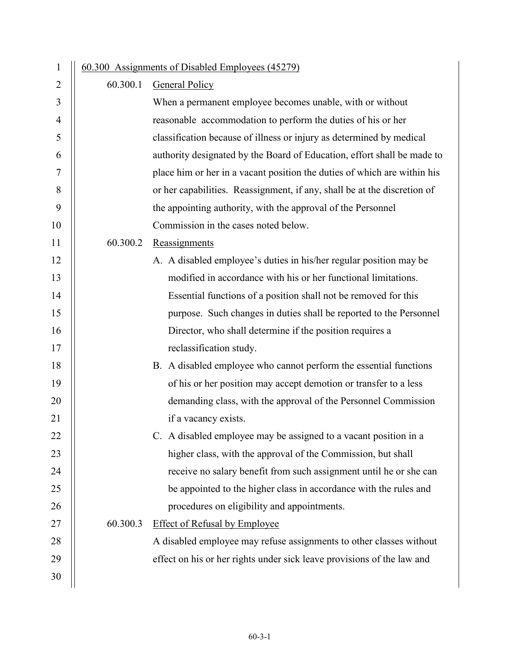| $\mathbf{1}$   |          | 60.300 Assignments of Disabled Employees (45279)                         |
|----------------|----------|--------------------------------------------------------------------------|
| $\overline{2}$ | 60.300.1 | <b>General Policy</b>                                                    |
| 3              |          | When a permanent employee becomes unable, with or without                |
| $\overline{4}$ |          | reasonable accommodation to perform the duties of his or her             |
| 5              |          | classification because of illness or injury as determined by medical     |
| 6              |          | authority designated by the Board of Education, effort shall be made to  |
| 7              |          | place him or her in a vacant position the duties of which are within his |
| 8              |          | or her capabilities. Reassignment, if any, shall be at the discretion of |
| 9              |          | the appointing authority, with the approval of the Personnel             |
| 10             |          | Commission in the cases noted below.                                     |
| 11             | 60.300.2 | Reassignments                                                            |
| 12             |          | A. A disabled employee's duties in his/her regular position may be       |
| 13             |          | modified in accordance with his or her functional limitations.           |
| 14             |          | Essential functions of a position shall not be removed for this          |
| 15             |          | purpose. Such changes in duties shall be reported to the Personnel       |
| 16             |          | Director, who shall determine if the position requires a                 |
| 17             |          | reclassification study.                                                  |
| 18             |          | B. A disabled employee who cannot perform the essential functions        |
| 19             |          | of his or her position may accept demotion or transfer to a less         |
| 20             |          | demanding class, with the approval of the Personnel Commission           |
| 21             |          | if a vacancy exists.                                                     |
| 22             |          | C. A disabled employee may be assigned to a vacant position in a         |
| 23             |          | higher class, with the approval of the Commission, but shall             |
| 24             |          | receive no salary benefit from such assignment until he or she can       |
| 25             |          | be appointed to the higher class in accordance with the rules and        |
| 26             |          | procedures on eligibility and appointments.                              |
| 27             | 60.300.3 | <b>Effect of Refusal by Employee</b>                                     |
| 28             |          | A disabled employee may refuse assignments to other classes without      |
| 29             |          | effect on his or her rights under sick leave provisions of the law and   |
| 30             |          |                                                                          |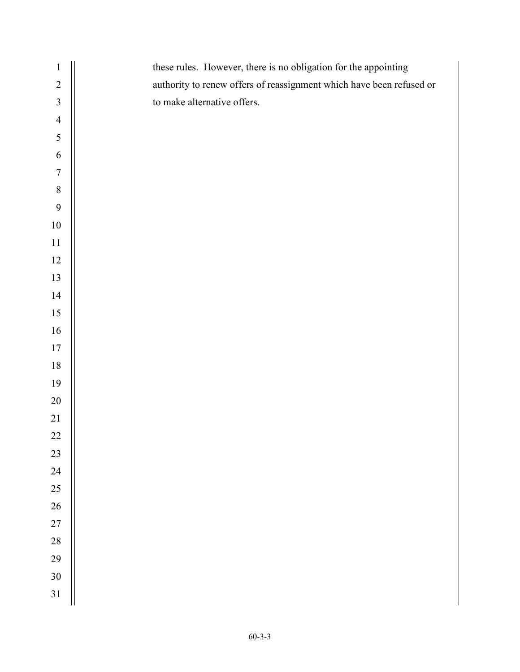| $\mathbf{1}$     | these rules. However, there is no obligation for the appointing      |
|------------------|----------------------------------------------------------------------|
| $\sqrt{2}$       | authority to renew offers of reassignment which have been refused or |
| $\mathfrak{Z}$   | to make alternative offers.                                          |
| $\overline{4}$   |                                                                      |
| 5                |                                                                      |
| 6                |                                                                      |
| $\boldsymbol{7}$ |                                                                      |
| $\,8\,$          |                                                                      |
| 9                |                                                                      |
| $10\,$           |                                                                      |
| $11\,$           |                                                                      |
| $12\,$           |                                                                      |
| 13               |                                                                      |
| $14$             |                                                                      |
| $15\,$           |                                                                      |
| 16               |                                                                      |
| $17\,$           |                                                                      |
| $18\,$           |                                                                      |
| 19               |                                                                      |
| $20\,$           |                                                                      |
| 21               |                                                                      |
| $22\,$           |                                                                      |
| 23               |                                                                      |
| 24               |                                                                      |
| 25               |                                                                      |
| $26\,$           |                                                                      |
| $27\,$           |                                                                      |
| $28\,$           |                                                                      |
| 29               |                                                                      |
| $30\,$           |                                                                      |
| 31               |                                                                      |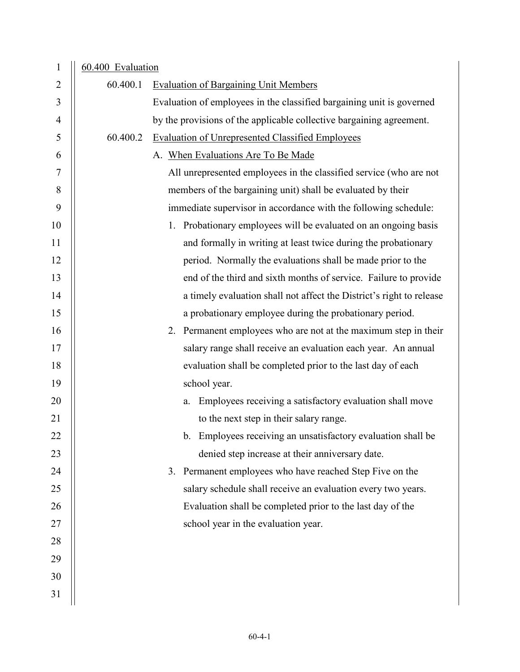| $\mathbf{1}$   | 60.400 Evaluation |                                                                       |
|----------------|-------------------|-----------------------------------------------------------------------|
| $\overline{2}$ | 60.400.1          | <b>Evaluation of Bargaining Unit Members</b>                          |
| 3              |                   | Evaluation of employees in the classified bargaining unit is governed |
| $\overline{4}$ |                   | by the provisions of the applicable collective bargaining agreement.  |
| 5              | 60.400.2          | <b>Evaluation of Unrepresented Classified Employees</b>               |
| 6              |                   | A. When Evaluations Are To Be Made                                    |
| 7              |                   | All unrepresented employees in the classified service (who are not    |
| 8              |                   | members of the bargaining unit) shall be evaluated by their           |
| 9              |                   | immediate supervisor in accordance with the following schedule:       |
| 10             |                   | 1. Probationary employees will be evaluated on an ongoing basis       |
| 11             |                   | and formally in writing at least twice during the probationary        |
| 12             |                   | period. Normally the evaluations shall be made prior to the           |
| 13             |                   | end of the third and sixth months of service. Failure to provide      |
| 14             |                   | a timely evaluation shall not affect the District's right to release  |
| 15             |                   | a probationary employee during the probationary period.               |
| 16             |                   | 2. Permanent employees who are not at the maximum step in their       |
| 17             |                   | salary range shall receive an evaluation each year. An annual         |
| 18             |                   | evaluation shall be completed prior to the last day of each           |
| 19             |                   | school year.                                                          |
| 20             |                   | Employees receiving a satisfactory evaluation shall move<br>a.        |
| 21             |                   | to the next step in their salary range.                               |
| 22             |                   | b. Employees receiving an unsatisfactory evaluation shall be          |
| 23             |                   | denied step increase at their anniversary date.                       |
| 24             |                   | 3. Permanent employees who have reached Step Five on the              |
| 25             |                   | salary schedule shall receive an evaluation every two years.          |
| 26             |                   | Evaluation shall be completed prior to the last day of the            |
| 27             |                   | school year in the evaluation year.                                   |
| 28             |                   |                                                                       |
| 29             |                   |                                                                       |
| 30             |                   |                                                                       |
| 31             |                   |                                                                       |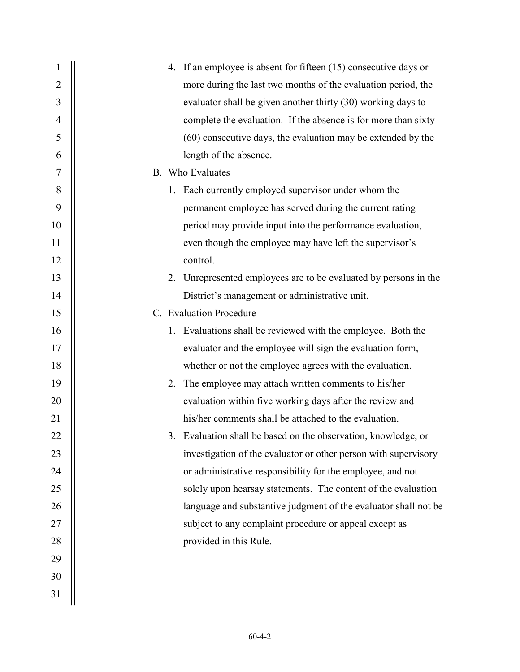| 1              | 4. If an employee is absent for fifteen (15) consecutive days or |
|----------------|------------------------------------------------------------------|
| $\overline{2}$ | more during the last two months of the evaluation period, the    |
| 3              | evaluator shall be given another thirty (30) working days to     |
| 4              | complete the evaluation. If the absence is for more than sixty   |
| 5              | (60) consecutive days, the evaluation may be extended by the     |
| 6              | length of the absence.                                           |
| 7              | B. Who Evaluates                                                 |
| 8              | 1. Each currently employed supervisor under whom the             |
| 9              | permanent employee has served during the current rating          |
| 10             | period may provide input into the performance evaluation,        |
| 11             | even though the employee may have left the supervisor's          |
| 12             | control.                                                         |
| 13             | 2. Unrepresented employees are to be evaluated by persons in the |
| 14             | District's management or administrative unit.                    |
| 15             | C. Evaluation Procedure                                          |
| 16             | 1. Evaluations shall be reviewed with the employee. Both the     |
| 17             | evaluator and the employee will sign the evaluation form,        |
| 18             | whether or not the employee agrees with the evaluation.          |
| 19             | 2. The employee may attach written comments to his/her           |
| 20             | evaluation within five working days after the review and         |
| 21             | his/her comments shall be attached to the evaluation.            |
| 22             | 3. Evaluation shall be based on the observation, knowledge, or   |
| 23             | investigation of the evaluator or other person with supervisory  |
| 24             | or administrative responsibility for the employee, and not       |
| 25             | solely upon hearsay statements. The content of the evaluation    |
| 26             | language and substantive judgment of the evaluator shall not be  |
| 27             | subject to any complaint procedure or appeal except as           |
| 28             | provided in this Rule.                                           |
| 29             |                                                                  |
| 30             |                                                                  |
| 31             |                                                                  |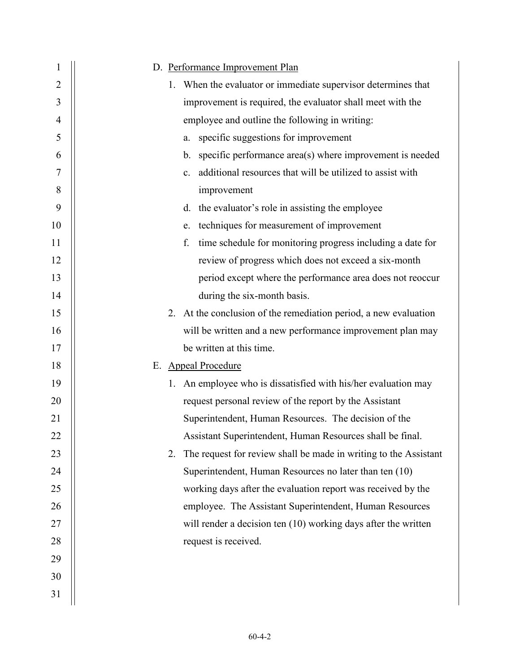| 1              | D. Performance Improvement Plan                                        |
|----------------|------------------------------------------------------------------------|
| $\overline{2}$ | 1. When the evaluator or immediate supervisor determines that          |
| 3              | improvement is required, the evaluator shall meet with the             |
| $\overline{4}$ | employee and outline the following in writing:                         |
| 5              | specific suggestions for improvement<br>a.                             |
| 6              | b. specific performance area(s) where improvement is needed            |
| 7              | additional resources that will be utilized to assist with<br>c.        |
| 8              | improvement                                                            |
| 9              | d. the evaluator's role in assisting the employee                      |
| 10             | techniques for measurement of improvement<br>e.                        |
| 11             | time schedule for monitoring progress including a date for<br>f.       |
| 12             | review of progress which does not exceed a six-month                   |
| 13             | period except where the performance area does not reoccur              |
| 14             | during the six-month basis.                                            |
| 15             | 2. At the conclusion of the remediation period, a new evaluation       |
| 16             | will be written and a new performance improvement plan may             |
| 17             | be written at this time.                                               |
| 18             | E. Appeal Procedure                                                    |
| 19             | 1. An employee who is dissatisfied with his/her evaluation may         |
| 20             | request personal review of the report by the Assistant                 |
| 21             | Superintendent, Human Resources. The decision of the                   |
| 22             | Assistant Superintendent, Human Resources shall be final.              |
| 23             | The request for review shall be made in writing to the Assistant<br>2. |
| 24             | Superintendent, Human Resources no later than ten (10)                 |
| 25             | working days after the evaluation report was received by the           |
| 26             | employee. The Assistant Superintendent, Human Resources                |
| 27             | will render a decision ten $(10)$ working days after the written       |
| 28             | request is received.                                                   |
| 29             |                                                                        |
| 30             |                                                                        |
| 31             |                                                                        |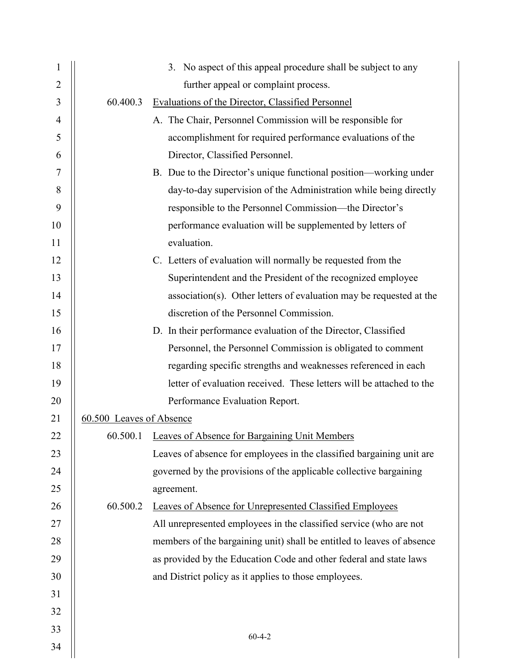| $\mathbf{1}$ |                          | 3. No aspect of this appeal procedure shall be subject to any          |
|--------------|--------------------------|------------------------------------------------------------------------|
| 2            |                          | further appeal or complaint process.                                   |
| 3            | 60.400.3                 | Evaluations of the Director, Classified Personnel                      |
| 4            |                          | A. The Chair, Personnel Commission will be responsible for             |
| 5            |                          | accomplishment for required performance evaluations of the             |
| 6            |                          | Director, Classified Personnel.                                        |
| 7            |                          | B. Due to the Director's unique functional position—working under      |
| 8            |                          | day-to-day supervision of the Administration while being directly      |
| 9            |                          | responsible to the Personnel Commission—the Director's                 |
| 10           |                          | performance evaluation will be supplemented by letters of              |
| 11           |                          | evaluation.                                                            |
| 12           |                          | C. Letters of evaluation will normally be requested from the           |
| 13           |                          | Superintendent and the President of the recognized employee            |
| 14           |                          | association(s). Other letters of evaluation may be requested at the    |
| 15           |                          | discretion of the Personnel Commission.                                |
| 16           |                          | D. In their performance evaluation of the Director, Classified         |
| 17           |                          | Personnel, the Personnel Commission is obligated to comment            |
| 18           |                          | regarding specific strengths and weaknesses referenced in each         |
| 19           |                          | letter of evaluation received. These letters will be attached to the   |
| 20           |                          | Performance Evaluation Report.                                         |
| 21           | 60.500 Leaves of Absence |                                                                        |
| 22           |                          | 60.500.1 Leaves of Absence for Bargaining Unit Members                 |
| 23           |                          | Leaves of absence for employees in the classified bargaining unit are  |
| 24           |                          | governed by the provisions of the applicable collective bargaining     |
| 25           |                          | agreement.                                                             |
| 26           | 60.500.2                 | Leaves of Absence for Unrepresented Classified Employees               |
| 27           |                          | All unrepresented employees in the classified service (who are not     |
| 28           |                          | members of the bargaining unit) shall be entitled to leaves of absence |
| 29           |                          | as provided by the Education Code and other federal and state laws     |
| 30           |                          | and District policy as it applies to those employees.                  |
| 31           |                          |                                                                        |
| 32           |                          |                                                                        |
| 33           |                          | $60 - 4 - 2$                                                           |
| 34           |                          |                                                                        |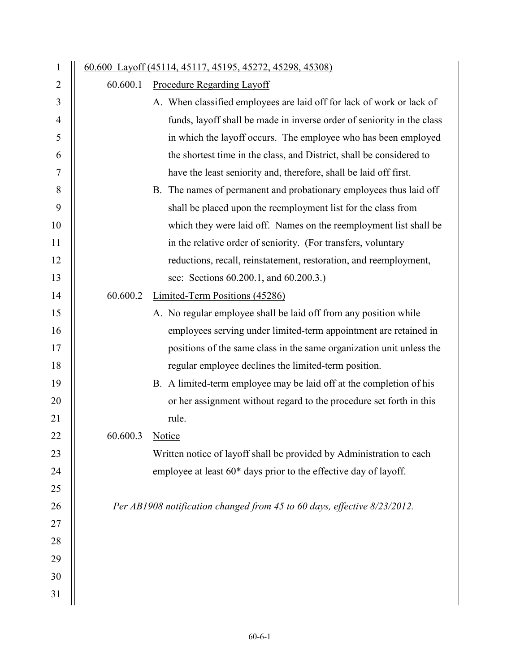| 1              |                 | 60.600 Layoff (45114, 45117, 45195, 45272, 45298, 45308)                 |
|----------------|-----------------|--------------------------------------------------------------------------|
| 2              | 60.600.1        | <b>Procedure Regarding Layoff</b>                                        |
| 3              |                 | A. When classified employees are laid off for lack of work or lack of    |
| $\overline{4}$ |                 | funds, layoff shall be made in inverse order of seniority in the class   |
| 5              |                 | in which the layoff occurs. The employee who has been employed           |
| 6              |                 | the shortest time in the class, and District, shall be considered to     |
| 7              |                 | have the least seniority and, therefore, shall be laid off first.        |
| 8              |                 | B. The names of permanent and probationary employees thus laid off       |
| 9              |                 | shall be placed upon the reemployment list for the class from            |
| 10             |                 | which they were laid off. Names on the reemployment list shall be        |
| 11             |                 | in the relative order of seniority. (For transfers, voluntary            |
| 12             |                 | reductions, recall, reinstatement, restoration, and reemployment,        |
| 13             |                 | see: Sections 60.200.1, and 60.200.3.)                                   |
| 14             | 60.600.2        | Limited-Term Positions (45286)                                           |
| 15             |                 | A. No regular employee shall be laid off from any position while         |
| 16             |                 | employees serving under limited-term appointment are retained in         |
| 17             |                 | positions of the same class in the same organization unit unless the     |
| 18             |                 | regular employee declines the limited-term position.                     |
| 19             |                 | B. A limited-term employee may be laid off at the completion of his      |
| 20             |                 | or her assignment without regard to the procedure set forth in this      |
| 21             |                 | rule.                                                                    |
| 22             | 60.600.3 Notice |                                                                          |
| 23             |                 | Written notice of layoff shall be provided by Administration to each     |
| 24             |                 | employee at least 60* days prior to the effective day of layoff.         |
| 25             |                 |                                                                          |
| 26             |                 | Per AB1908 notification changed from 45 to 60 days, effective 8/23/2012. |
| 27             |                 |                                                                          |
| 28             |                 |                                                                          |
| 29             |                 |                                                                          |
| 30             |                 |                                                                          |
| 31             |                 |                                                                          |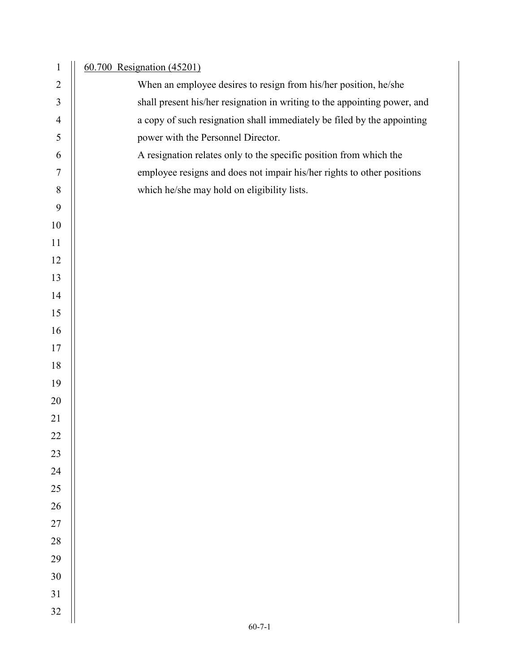| $\mathbf{1}$   | 60.700 Resignation (45201)                                                |
|----------------|---------------------------------------------------------------------------|
| $\overline{2}$ | When an employee desires to resign from his/her position, he/she          |
| $\mathfrak{Z}$ | shall present his/her resignation in writing to the appointing power, and |
| $\overline{4}$ | a copy of such resignation shall immediately be filed by the appointing   |
| $\mathfrak s$  | power with the Personnel Director.                                        |
| 6              | A resignation relates only to the specific position from which the        |
| $\overline{7}$ | employee resigns and does not impair his/her rights to other positions    |
| $8\,$          | which he/she may hold on eligibility lists.                               |
| 9              |                                                                           |
| 10             |                                                                           |
| 11             |                                                                           |
| 12             |                                                                           |
| 13             |                                                                           |
| 14             |                                                                           |
| 15             |                                                                           |
| 16             |                                                                           |
| 17             |                                                                           |
| 18             |                                                                           |
| 19             |                                                                           |
| $20\,$         |                                                                           |
| 21             |                                                                           |
| 22             |                                                                           |
| 23             |                                                                           |
| 24             |                                                                           |
| $25\,$         |                                                                           |
| $26\,$         |                                                                           |
| $27\,$         |                                                                           |
| $28\,$         |                                                                           |
| 29             |                                                                           |
| 30             |                                                                           |
| 31             |                                                                           |
| 32             |                                                                           |
|                | $60 - 7 - 1$                                                              |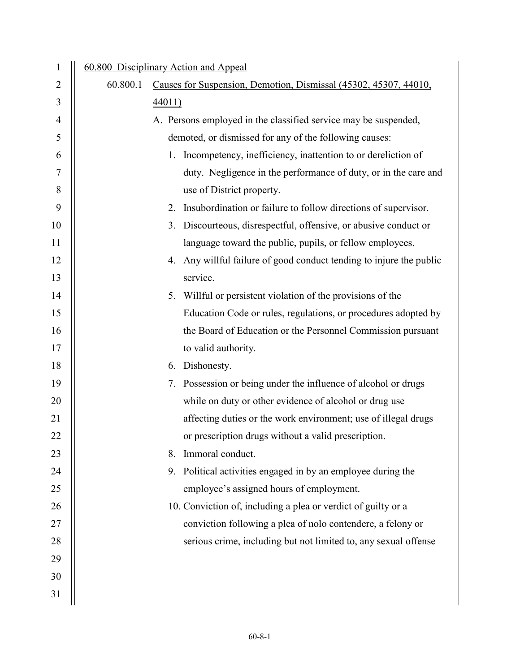| $\mathbf{1}$   |          | 60.800 Disciplinary Action and Appeal                                |
|----------------|----------|----------------------------------------------------------------------|
| $\overline{2}$ | 60.800.1 | Causes for Suspension, Demotion, Dismissal (45302, 45307, 44010,     |
| 3              |          | 44011)                                                               |
| $\overline{4}$ |          | A. Persons employed in the classified service may be suspended,      |
| 5              |          | demoted, or dismissed for any of the following causes:               |
| 6              |          | Incompetency, inefficiency, inattention to or dereliction of<br>1.   |
| 7              |          | duty. Negligence in the performance of duty, or in the care and      |
| 8              |          | use of District property.                                            |
| 9              |          | Insubordination or failure to follow directions of supervisor.<br>2. |
| 10             |          | Discourteous, disrespectful, offensive, or abusive conduct or<br>3.  |
| 11             |          | language toward the public, pupils, or fellow employees.             |
| 12             |          | 4. Any willful failure of good conduct tending to injure the public  |
| 13             |          | service.                                                             |
| 14             |          | 5. Willful or persistent violation of the provisions of the          |
| 15             |          | Education Code or rules, regulations, or procedures adopted by       |
| 16             |          | the Board of Education or the Personnel Commission pursuant          |
| 17             |          | to valid authority.                                                  |
| 18             |          | 6. Dishonesty.                                                       |
| 19             |          | 7. Possession or being under the influence of alcohol or drugs       |
| 20             |          | while on duty or other evidence of alcohol or drug use               |
| 21             |          | affecting duties or the work environment; use of illegal drugs       |
| 22             |          | or prescription drugs without a valid prescription.                  |
| 23             |          | Immoral conduct.<br>8.                                               |
| 24             |          | Political activities engaged in by an employee during the<br>9.      |
| 25             |          | employee's assigned hours of employment.                             |
| 26             |          | 10. Conviction of, including a plea or verdict of guilty or a        |
| 27             |          | conviction following a plea of nolo contendere, a felony or          |
| 28             |          | serious crime, including but not limited to, any sexual offense      |
| 29             |          |                                                                      |
| 30             |          |                                                                      |
| 31             |          |                                                                      |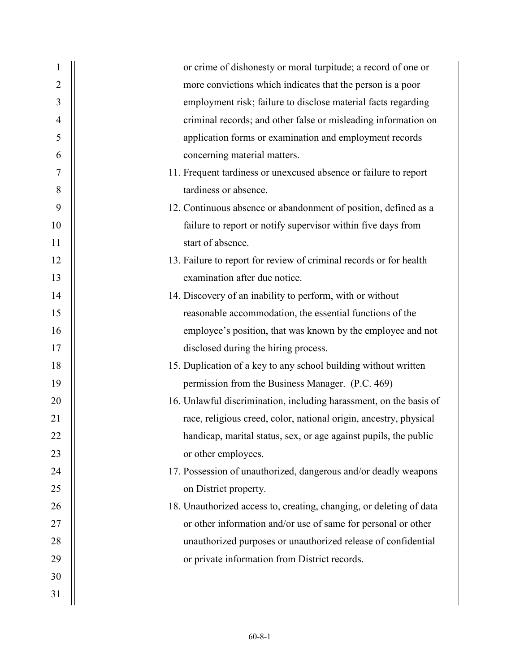| 1              | or crime of dishonesty or moral turpitude; a record of one or       |
|----------------|---------------------------------------------------------------------|
| $\overline{2}$ | more convictions which indicates that the person is a poor          |
| 3              | employment risk; failure to disclose material facts regarding       |
| 4              | criminal records; and other false or misleading information on      |
| 5              | application forms or examination and employment records             |
| 6              | concerning material matters.                                        |
| 7              | 11. Frequent tardiness or unexcused absence or failure to report    |
| 8              | tardiness or absence.                                               |
| 9              | 12. Continuous absence or abandonment of position, defined as a     |
| 10             | failure to report or notify supervisor within five days from        |
| 11             | start of absence.                                                   |
| 12             | 13. Failure to report for review of criminal records or for health  |
| 13             | examination after due notice.                                       |
| 14             | 14. Discovery of an inability to perform, with or without           |
| 15             | reasonable accommodation, the essential functions of the            |
| 16             | employee's position, that was known by the employee and not         |
| 17             | disclosed during the hiring process.                                |
| 18             | 15. Duplication of a key to any school building without written     |
| 19             | permission from the Business Manager. (P.C. 469)                    |
| 20             | 16. Unlawful discrimination, including harassment, on the basis of  |
| 21             | race, religious creed, color, national origin, ancestry, physical   |
| 22             | handicap, marital status, sex, or age against pupils, the public    |
| 23             | or other employees.                                                 |
| 24             | 17. Possession of unauthorized, dangerous and/or deadly weapons     |
| 25             | on District property.                                               |
| 26             | 18. Unauthorized access to, creating, changing, or deleting of data |
| 27             | or other information and/or use of same for personal or other       |
| 28             | unauthorized purposes or unauthorized release of confidential       |
| 29             | or private information from District records.                       |
| 30             |                                                                     |
| 31             |                                                                     |
|                |                                                                     |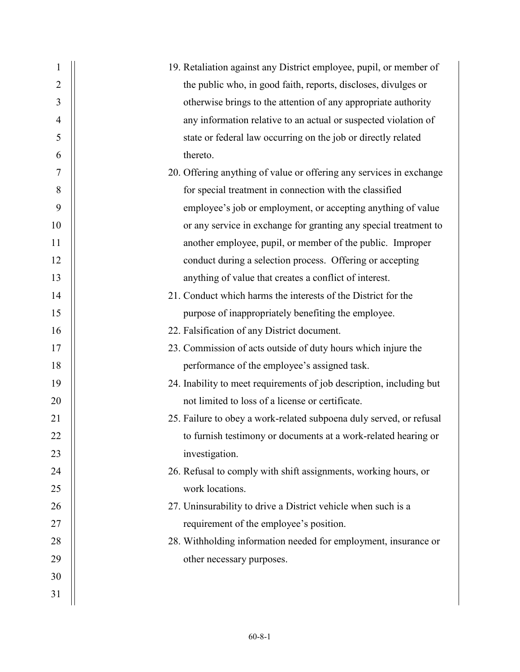| 1              | 19. Retaliation against any District employee, pupil, or member of   |
|----------------|----------------------------------------------------------------------|
| $\overline{2}$ | the public who, in good faith, reports, discloses, divulges or       |
| 3              | otherwise brings to the attention of any appropriate authority       |
| 4              | any information relative to an actual or suspected violation of      |
| 5              | state or federal law occurring on the job or directly related        |
| 6              | thereto.                                                             |
| 7              | 20. Offering anything of value or offering any services in exchange  |
| 8              | for special treatment in connection with the classified              |
| 9              | employee's job or employment, or accepting anything of value         |
| 10             | or any service in exchange for granting any special treatment to     |
| 11             | another employee, pupil, or member of the public. Improper           |
| 12             | conduct during a selection process. Offering or accepting            |
| 13             | anything of value that creates a conflict of interest.               |
| 14             | 21. Conduct which harms the interests of the District for the        |
| 15             | purpose of inappropriately benefiting the employee.                  |
| 16             | 22. Falsification of any District document.                          |
| 17             | 23. Commission of acts outside of duty hours which injure the        |
| 18             | performance of the employee's assigned task.                         |
| 19             | 24. Inability to meet requirements of job description, including but |
| 20             | not limited to loss of a license or certificate.                     |
| 21             | 25. Failure to obey a work-related subpoena duly served, or refusal  |
| 22             | to furnish testimony or documents at a work-related hearing or       |
| 23             | investigation.                                                       |
| 24             | 26. Refusal to comply with shift assignments, working hours, or      |
| 25             | work locations.                                                      |
| 26             | 27. Uninsurability to drive a District vehicle when such is a        |
| 27             | requirement of the employee's position.                              |
| 28             | 28. Withholding information needed for employment, insurance or      |
| 29             | other necessary purposes.                                            |
| 30             |                                                                      |
| 31             |                                                                      |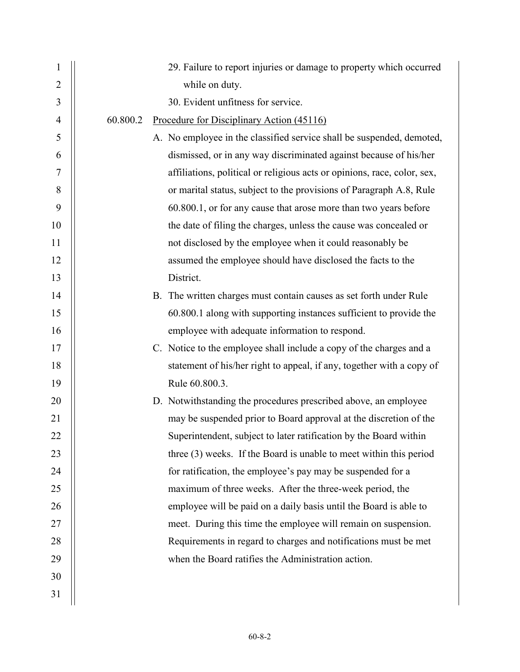| $\mathbf{1}$   | 29. Failure to report injuries or damage to property which occurred      |
|----------------|--------------------------------------------------------------------------|
| $\overline{2}$ | while on duty.                                                           |
| 3              | 30. Evident unfitness for service.                                       |
| $\overline{4}$ | 60.800.2<br>Procedure for Disciplinary Action (45116)                    |
| 5              | A. No employee in the classified service shall be suspended, demoted,    |
| 6              | dismissed, or in any way discriminated against because of his/her        |
| 7              | affiliations, political or religious acts or opinions, race, color, sex, |
| 8              | or marital status, subject to the provisions of Paragraph A.8, Rule      |
| 9              | 60.800.1, or for any cause that arose more than two years before         |
| 10             | the date of filing the charges, unless the cause was concealed or        |
| 11             | not disclosed by the employee when it could reasonably be                |
| 12             | assumed the employee should have disclosed the facts to the              |
| 13             | District.                                                                |
| 14             | B. The written charges must contain causes as set forth under Rule       |
| 15             | 60.800.1 along with supporting instances sufficient to provide the       |
| 16             | employee with adequate information to respond.                           |
| 17             | C. Notice to the employee shall include a copy of the charges and a      |
| 18             | statement of his/her right to appeal, if any, together with a copy of    |
| 19             | Rule 60.800.3.                                                           |
| 20             | D. Notwithstanding the procedures prescribed above, an employee          |
| 21             | may be suspended prior to Board approval at the discretion of the        |
| 22             | Superintendent, subject to later ratification by the Board within        |
| 23             | three (3) weeks. If the Board is unable to meet within this period       |
| 24             | for ratification, the employee's pay may be suspended for a              |
| 25             | maximum of three weeks. After the three-week period, the                 |
| 26             | employee will be paid on a daily basis until the Board is able to        |
| 27             | meet. During this time the employee will remain on suspension.           |
| 28             | Requirements in regard to charges and notifications must be met          |
| 29             | when the Board ratifies the Administration action.                       |
| 30             |                                                                          |
| 31             |                                                                          |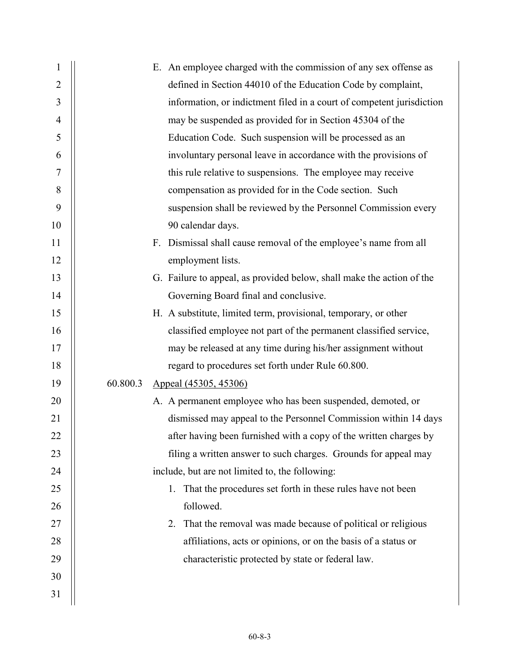| $\mathbf{1}$   | E. An employee charged with the commission of any sex offense as             |  |  |
|----------------|------------------------------------------------------------------------------|--|--|
| $\overline{2}$ | defined in Section 44010 of the Education Code by complaint,                 |  |  |
| 3              | information, or indictment filed in a court of competent jurisdiction        |  |  |
| $\overline{4}$ | may be suspended as provided for in Section 45304 of the                     |  |  |
| 5              | Education Code. Such suspension will be processed as an                      |  |  |
| 6              | involuntary personal leave in accordance with the provisions of              |  |  |
| 7              | this rule relative to suspensions. The employee may receive                  |  |  |
| 8              | compensation as provided for in the Code section. Such                       |  |  |
| 9              | suspension shall be reviewed by the Personnel Commission every               |  |  |
| 10             | 90 calendar days.                                                            |  |  |
| 11             | Dismissal shall cause removal of the employee's name from all<br>$F_{\cdot}$ |  |  |
| 12             | employment lists.                                                            |  |  |
| 13             | G. Failure to appeal, as provided below, shall make the action of the        |  |  |
| 14             | Governing Board final and conclusive.                                        |  |  |
| 15             | H. A substitute, limited term, provisional, temporary, or other              |  |  |
| 16             | classified employee not part of the permanent classified service,            |  |  |
| 17             | may be released at any time during his/her assignment without                |  |  |
| 18             | regard to procedures set forth under Rule 60.800.                            |  |  |
| 19             | 60.800.3<br>Appeal (45305, 45306)                                            |  |  |
| 20             | A. A permanent employee who has been suspended, demoted, or                  |  |  |
| 21             | dismissed may appeal to the Personnel Commission within 14 days              |  |  |
| 22             | after having been furnished with a copy of the written charges by            |  |  |
| 23             | filing a written answer to such charges. Grounds for appeal may              |  |  |
| 24             | include, but are not limited to, the following:                              |  |  |
| 25             | 1. That the procedures set forth in these rules have not been                |  |  |
| 26             | followed.                                                                    |  |  |
| 27             | That the removal was made because of political or religious<br>2.            |  |  |
| 28             | affiliations, acts or opinions, or on the basis of a status or               |  |  |
| 29             | characteristic protected by state or federal law.                            |  |  |
| 30             |                                                                              |  |  |
| 31             |                                                                              |  |  |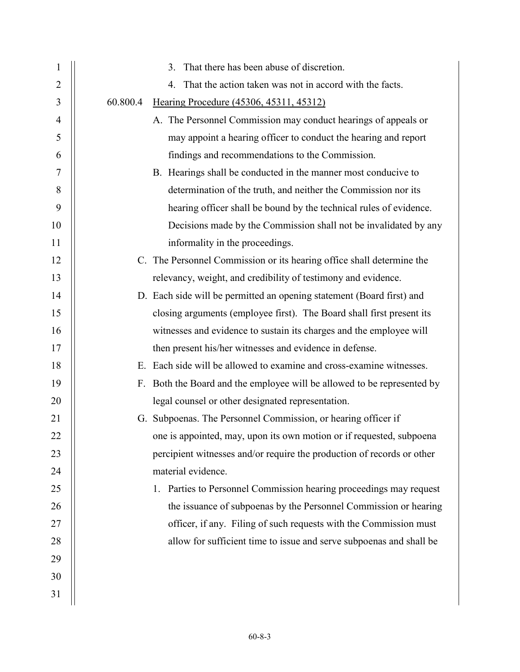| $\mathbf{1}$   |          | 3. That there has been abuse of discretion.                             |
|----------------|----------|-------------------------------------------------------------------------|
| $\overline{2}$ |          | That the action taken was not in accord with the facts.<br>4.           |
| 3              | 60.800.4 | Hearing Procedure (45306, 45311, 45312)                                 |
| $\overline{4}$ |          | A. The Personnel Commission may conduct hearings of appeals or          |
| 5              |          | may appoint a hearing officer to conduct the hearing and report         |
| 6              |          | findings and recommendations to the Commission.                         |
| 7              |          | B. Hearings shall be conducted in the manner most conducive to          |
| $8\,$          |          | determination of the truth, and neither the Commission nor its          |
| 9              |          | hearing officer shall be bound by the technical rules of evidence.      |
| 10             |          | Decisions made by the Commission shall not be invalidated by any        |
| 11             |          | informality in the proceedings.                                         |
| 12             |          | C. The Personnel Commission or its hearing office shall determine the   |
| 13             |          | relevancy, weight, and credibility of testimony and evidence.           |
| 14             |          | D. Each side will be permitted an opening statement (Board first) and   |
| 15             |          | closing arguments (employee first). The Board shall first present its   |
| 16             |          | witnesses and evidence to sustain its charges and the employee will     |
| 17             |          | then present his/her witnesses and evidence in defense.                 |
| 18             |          | E. Each side will be allowed to examine and cross-examine witnesses.    |
| 19             |          | F. Both the Board and the employee will be allowed to be represented by |
| 20             |          | legal counsel or other designated representation.                       |
| 21             |          | G. Subpoenas. The Personnel Commission, or hearing officer if           |
| 22             |          | one is appointed, may, upon its own motion or if requested, subpoena    |
| 23             |          | percipient witnesses and/or require the production of records or other  |
| 24             |          | material evidence.                                                      |
| 25             |          | 1. Parties to Personnel Commission hearing proceedings may request      |
| 26             |          | the issuance of subpoenas by the Personnel Commission or hearing        |
| 27             |          | officer, if any. Filing of such requests with the Commission must       |
| 28             |          | allow for sufficient time to issue and serve subpoenas and shall be     |
| 29             |          |                                                                         |
| 30             |          |                                                                         |
| 31             |          |                                                                         |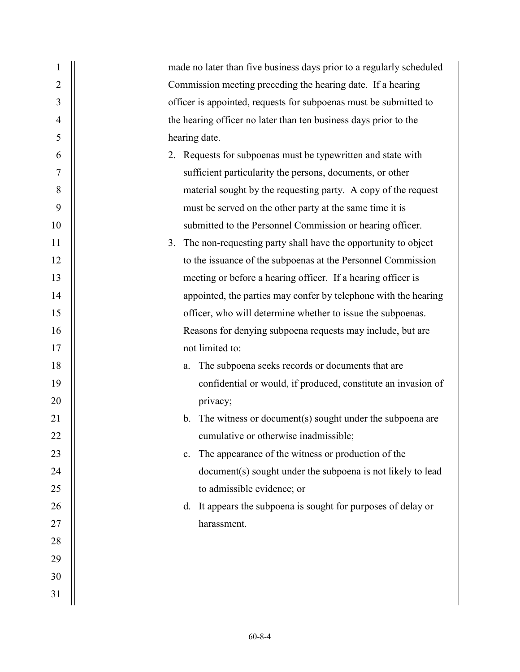| 1              | made no later than five business days prior to a regularly scheduled       |
|----------------|----------------------------------------------------------------------------|
| $\overline{2}$ | Commission meeting preceding the hearing date. If a hearing                |
| 3              | officer is appointed, requests for subpoenas must be submitted to          |
| $\overline{4}$ | the hearing officer no later than ten business days prior to the           |
| 5              | hearing date.                                                              |
| 6              | 2. Requests for subpoenas must be typewritten and state with               |
| 7              | sufficient particularity the persons, documents, or other                  |
| 8              | material sought by the requesting party. A copy of the request             |
| 9              | must be served on the other party at the same time it is                   |
| 10             | submitted to the Personnel Commission or hearing officer.                  |
| 11             | The non-requesting party shall have the opportunity to object<br>3.        |
| 12             | to the issuance of the subpoenas at the Personnel Commission               |
| 13             | meeting or before a hearing officer. If a hearing officer is               |
| 14             | appointed, the parties may confer by telephone with the hearing            |
| 15             | officer, who will determine whether to issue the subpoenas.                |
| 16             | Reasons for denying subpoena requests may include, but are                 |
| 17             | not limited to:                                                            |
| 18             | The subpoena seeks records or documents that are<br>a.                     |
| 19             | confidential or would, if produced, constitute an invasion of              |
| 20             | privacy;                                                                   |
| 21             | The witness or document(s) sought under the subpoena are<br>$\mathbf{b}$ . |
| 22             | cumulative or otherwise inadmissible;                                      |
| 23             | The appearance of the witness or production of the<br>c.                   |
| 24             | document(s) sought under the subpoena is not likely to lead                |
| 25             | to admissible evidence; or                                                 |
| 26             | d. It appears the subpoena is sought for purposes of delay or              |
| 27             | harassment.                                                                |
| 28             |                                                                            |
| 29             |                                                                            |
| 30             |                                                                            |
| 31             |                                                                            |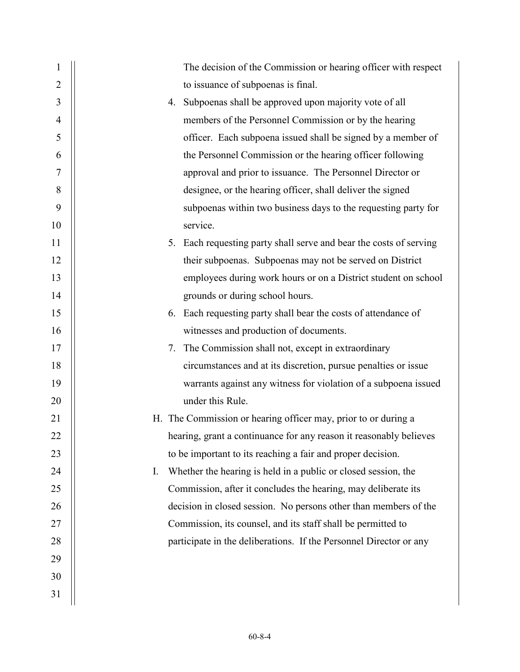| $\mathbf{1}$   | The decision of the Commission or hearing officer with respect        |
|----------------|-----------------------------------------------------------------------|
| $\overline{2}$ | to issuance of subpoenas is final.                                    |
| 3              | 4. Subpoenas shall be approved upon majority vote of all              |
| $\overline{4}$ | members of the Personnel Commission or by the hearing                 |
| 5              | officer. Each subpoena issued shall be signed by a member of          |
| 6              | the Personnel Commission or the hearing officer following             |
| 7              | approval and prior to issuance. The Personnel Director or             |
| 8              | designee, or the hearing officer, shall deliver the signed            |
| 9              | subpoenas within two business days to the requesting party for        |
| 10             | service.                                                              |
| 11             | Each requesting party shall serve and bear the costs of serving<br>5. |
| 12             | their subpoenas. Subpoenas may not be served on District              |
| 13             | employees during work hours or on a District student on school        |
| 14             | grounds or during school hours.                                       |
| 15             | 6. Each requesting party shall bear the costs of attendance of        |
| 16             | witnesses and production of documents.                                |
| 17             | The Commission shall not, except in extraordinary<br>7.               |
| 18             | circumstances and at its discretion, pursue penalties or issue        |
| 19             | warrants against any witness for violation of a subpoena issued       |
| 20             | under this Rule.                                                      |
| 21             | H. The Commission or hearing officer may, prior to or during a        |
| 22             | hearing, grant a continuance for any reason it reasonably believes    |
| 23             | to be important to its reaching a fair and proper decision.           |
| 24             | Whether the hearing is held in a public or closed session, the<br>I.  |
| 25             | Commission, after it concludes the hearing, may deliberate its        |
| 26             | decision in closed session. No persons other than members of the      |
| 27             | Commission, its counsel, and its staff shall be permitted to          |
| 28             | participate in the deliberations. If the Personnel Director or any    |
| 29             |                                                                       |
| 30             |                                                                       |
| 31             |                                                                       |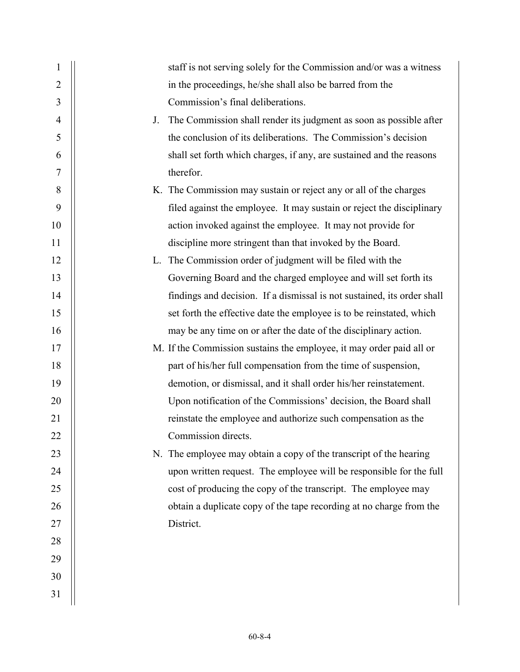| $\mathbf{1}$   |    | staff is not serving solely for the Commission and/or was a witness     |
|----------------|----|-------------------------------------------------------------------------|
| $\overline{2}$ |    | in the proceedings, he/she shall also be barred from the                |
| 3              |    | Commission's final deliberations.                                       |
| $\overline{4}$ | J. | The Commission shall render its judgment as soon as possible after      |
| 5              |    | the conclusion of its deliberations. The Commission's decision          |
| 6              |    | shall set forth which charges, if any, are sustained and the reasons    |
| 7              |    | therefor.                                                               |
| 8              |    | K. The Commission may sustain or reject any or all of the charges       |
| 9              |    | filed against the employee. It may sustain or reject the disciplinary   |
| 10             |    | action invoked against the employee. It may not provide for             |
| 11             |    | discipline more stringent than that invoked by the Board.               |
| 12             |    | L. The Commission order of judgment will be filed with the              |
| 13             |    | Governing Board and the charged employee and will set forth its         |
| 14             |    | findings and decision. If a dismissal is not sustained, its order shall |
| 15             |    | set forth the effective date the employee is to be reinstated, which    |
| 16             |    | may be any time on or after the date of the disciplinary action.        |
| 17             |    | M. If the Commission sustains the employee, it may order paid all or    |
| 18             |    | part of his/her full compensation from the time of suspension,          |
| 19             |    | demotion, or dismissal, and it shall order his/her reinstatement.       |
| 20             |    | Upon notification of the Commissions' decision, the Board shall         |
| 21             |    | reinstate the employee and authorize such compensation as the           |
| 22             |    | Commission directs.                                                     |
| 23             |    | N. The employee may obtain a copy of the transcript of the hearing      |
| 24             |    | upon written request. The employee will be responsible for the full     |
| 25             |    | cost of producing the copy of the transcript. The employee may          |
| 26             |    | obtain a duplicate copy of the tape recording at no charge from the     |
| 27             |    | District.                                                               |
| 28             |    |                                                                         |
| 29             |    |                                                                         |
| 30             |    |                                                                         |
| 31             |    |                                                                         |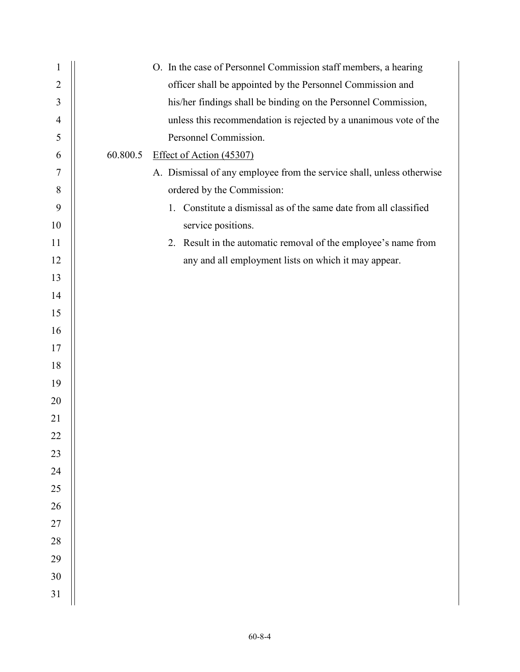| 1              | O. In the case of Personnel Commission staff members, a hearing       |
|----------------|-----------------------------------------------------------------------|
| $\overline{2}$ | officer shall be appointed by the Personnel Commission and            |
| 3              | his/her findings shall be binding on the Personnel Commission,        |
| $\overline{4}$ | unless this recommendation is rejected by a unanimous vote of the     |
| 5              | Personnel Commission.                                                 |
| 6              | 60.800.5<br>Effect of Action (45307)                                  |
| 7              | A. Dismissal of any employee from the service shall, unless otherwise |
| $\,8\,$        | ordered by the Commission:                                            |
| 9              | 1. Constitute a dismissal as of the same date from all classified     |
| 10             | service positions.                                                    |
| 11             | 2. Result in the automatic removal of the employee's name from        |
| 12             | any and all employment lists on which it may appear.                  |
| 13             |                                                                       |
| 14             |                                                                       |
| 15             |                                                                       |
| 16             |                                                                       |
| 17             |                                                                       |
| 18             |                                                                       |
| 19             |                                                                       |
| 20             |                                                                       |
| 21             |                                                                       |
| 22             |                                                                       |
| 23             |                                                                       |
| 24             |                                                                       |
| 25             |                                                                       |
| 26             |                                                                       |
| $27\,$         |                                                                       |
| 28             |                                                                       |
| 29             |                                                                       |
| 30             |                                                                       |
| 31             |                                                                       |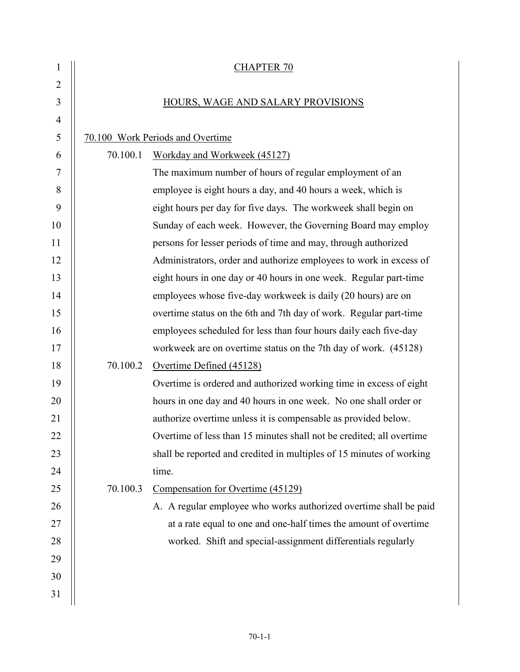| 1              |                                   | <b>CHAPTER 70</b>                                                    |  |  |
|----------------|-----------------------------------|----------------------------------------------------------------------|--|--|
| $\overline{2}$ |                                   |                                                                      |  |  |
| 3              | HOURS, WAGE AND SALARY PROVISIONS |                                                                      |  |  |
| $\overline{4}$ |                                   |                                                                      |  |  |
| 5              |                                   | 70.100 Work Periods and Overtime                                     |  |  |
| 6              | 70.100.1                          | Workday and Workweek (45127)                                         |  |  |
| 7              |                                   | The maximum number of hours of regular employment of an              |  |  |
| 8              |                                   | employee is eight hours a day, and 40 hours a week, which is         |  |  |
| 9              |                                   | eight hours per day for five days. The workweek shall begin on       |  |  |
| 10             |                                   | Sunday of each week. However, the Governing Board may employ         |  |  |
| 11             |                                   | persons for lesser periods of time and may, through authorized       |  |  |
| 12             |                                   | Administrators, order and authorize employees to work in excess of   |  |  |
| 13             |                                   | eight hours in one day or 40 hours in one week. Regular part-time    |  |  |
| 14             |                                   | employees whose five-day workweek is daily (20 hours) are on         |  |  |
| 15             |                                   | overtime status on the 6th and 7th day of work. Regular part-time    |  |  |
| 16             |                                   | employees scheduled for less than four hours daily each five-day     |  |  |
| 17             |                                   | workweek are on overtime status on the 7th day of work. (45128)      |  |  |
| 18             | 70.100.2                          | Overtime Defined (45128)                                             |  |  |
| 19             |                                   | Overtime is ordered and authorized working time in excess of eight   |  |  |
| 20             |                                   | hours in one day and 40 hours in one week. No one shall order or     |  |  |
| 21             |                                   | authorize overtime unless it is compensable as provided below.       |  |  |
| 22             |                                   | Overtime of less than 15 minutes shall not be credited; all overtime |  |  |
| 23             |                                   | shall be reported and credited in multiples of 15 minutes of working |  |  |
| 24             |                                   | time.                                                                |  |  |
| 25             | 70.100.3                          | Compensation for Overtime (45129)                                    |  |  |
| 26             |                                   | A. A regular employee who works authorized overtime shall be paid    |  |  |
| 27             |                                   | at a rate equal to one and one-half times the amount of overtime     |  |  |
| 28             |                                   | worked. Shift and special-assignment differentials regularly         |  |  |
| 29             |                                   |                                                                      |  |  |
| 30             |                                   |                                                                      |  |  |
| 31             |                                   |                                                                      |  |  |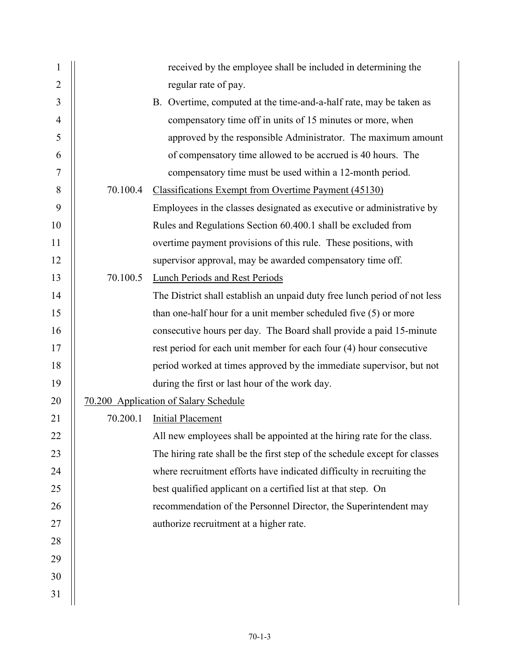| $\mathbf{1}$   |          | received by the employee shall be included in determining the              |
|----------------|----------|----------------------------------------------------------------------------|
| 2              |          | regular rate of pay.                                                       |
| 3              |          | B. Overtime, computed at the time-and-a-half rate, may be taken as         |
| $\overline{4}$ |          | compensatory time off in units of 15 minutes or more, when                 |
| 5              |          | approved by the responsible Administrator. The maximum amount              |
| 6              |          | of compensatory time allowed to be accrued is 40 hours. The                |
| $\tau$         |          | compensatory time must be used within a 12-month period.                   |
| 8              | 70.100.4 | <b>Classifications Exempt from Overtime Payment (45130)</b>                |
| 9              |          | Employees in the classes designated as executive or administrative by      |
| 10             |          | Rules and Regulations Section 60.400.1 shall be excluded from              |
| 11             |          | overtime payment provisions of this rule. These positions, with            |
| 12             |          | supervisor approval, may be awarded compensatory time off.                 |
| 13             | 70.100.5 | Lunch Periods and Rest Periods                                             |
| 14             |          | The District shall establish an unpaid duty free lunch period of not less  |
| 15             |          | than one-half hour for a unit member scheduled five (5) or more            |
| 16             |          | consecutive hours per day. The Board shall provide a paid 15-minute        |
| 17             |          | rest period for each unit member for each four (4) hour consecutive        |
| 18             |          | period worked at times approved by the immediate supervisor, but not       |
| 19             |          | during the first or last hour of the work day.                             |
| 20             |          | 70.200 Application of Salary Schedule                                      |
| 21             | 70.200.1 | <b>Initial Placement</b>                                                   |
| 22             |          | All new employees shall be appointed at the hiring rate for the class.     |
| 23             |          | The hiring rate shall be the first step of the schedule except for classes |
| 24             |          | where recruitment efforts have indicated difficulty in recruiting the      |
| 25             |          | best qualified applicant on a certified list at that step. On              |
| 26             |          | recommendation of the Personnel Director, the Superintendent may           |
| 27             |          | authorize recruitment at a higher rate.                                    |
| 28             |          |                                                                            |
| 29             |          |                                                                            |
| 30             |          |                                                                            |
| 31             |          |                                                                            |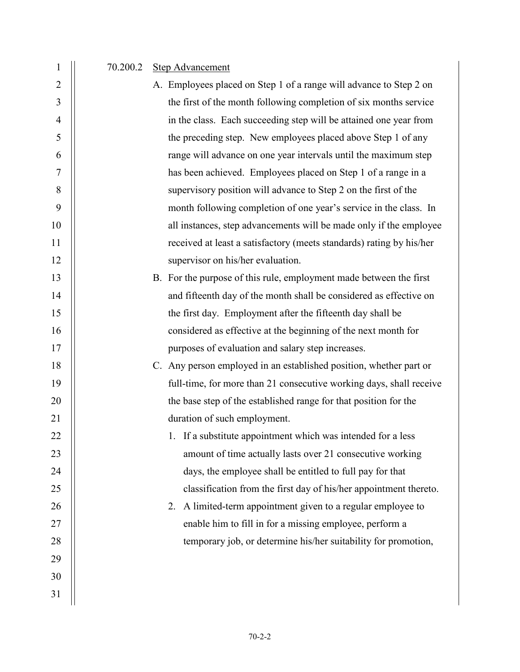1 70.200.2 Step Advancement

29

30

31

- 2 A. Employees placed on Step 1 of a range will advance to Step 2 on 3 | the first of the month following completion of six months service 4 in the class. Each succeeding step will be attained one year from 5 | the preceding step. New employees placed above Step 1 of any 6 range will advance on one year intervals until the maximum step 7 has been achieved. Employees placed on Step 1 of a range in a 8 | supervisory position will advance to Step 2 on the first of the 9 || month following completion of one year's service in the class. In 10 || all instances, step advancements will be made only if the employee 11 | received at least a satisfactory (meets standards) rating by his/her 12 | supervisor on his/her evaluation.
- 13 | B. For the purpose of this rule, employment made between the first 14 and fifteenth day of the month shall be considered as effective on 15 | the first day. Employment after the fifteenth day shall be 16 | considered as effective at the beginning of the next month for 17 || purposes of evaluation and salary step increases.
- 18 | C. Any person employed in an established position, whether part or 19 | full-time, for more than 21 consecutive working days, shall receive 20 | the base step of the established range for that position for the 21 | duration of such employment.
- 22 1. If a substitute appointment which was intended for a less 23 amount of time actually lasts over 21 consecutive working 24 **days**, the employee shall be entitled to full pay for that 25 **classification from the first day of his/her appointment thereto.**
- 26 | 26 | 2. A limited-term appointment given to a regular employee to 27 || 28 | temporary job, or determine his/her suitability for promotion,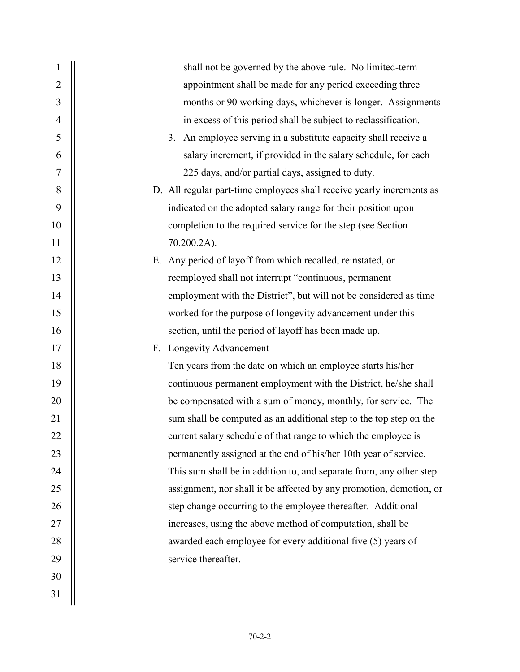| 1              | shall not be governed by the above rule. No limited-term              |
|----------------|-----------------------------------------------------------------------|
| $\overline{2}$ | appointment shall be made for any period exceeding three              |
| 3              | months or 90 working days, whichever is longer. Assignments           |
| $\overline{4}$ | in excess of this period shall be subject to reclassification.        |
| 5              | 3. An employee serving in a substitute capacity shall receive a       |
| 6              | salary increment, if provided in the salary schedule, for each        |
| 7              | 225 days, and/or partial days, assigned to duty.                      |
| 8              | D. All regular part-time employees shall receive yearly increments as |
| 9              | indicated on the adopted salary range for their position upon         |
| 10             | completion to the required service for the step (see Section          |
| 11             | 70.200.2A).                                                           |
| 12             | E. Any period of layoff from which recalled, reinstated, or           |
| 13             | reemployed shall not interrupt "continuous, permanent                 |
| 14             | employment with the District", but will not be considered as time     |
| 15             | worked for the purpose of longevity advancement under this            |
| 16             | section, until the period of layoff has been made up.                 |
| 17             | F. Longevity Advancement                                              |
| 18             | Ten years from the date on which an employee starts his/her           |
| 19             | continuous permanent employment with the District, he/she shall       |
| 20             | be compensated with a sum of money, monthly, for service. The         |
| 21             | sum shall be computed as an additional step to the top step on the    |
| 22             | current salary schedule of that range to which the employee is        |
| 23             | permanently assigned at the end of his/her 10th year of service.      |
| 24             | This sum shall be in addition to, and separate from, any other step   |
| 25             | assignment, nor shall it be affected by any promotion, demotion, or   |
| 26             | step change occurring to the employee thereafter. Additional          |
| 27             | increases, using the above method of computation, shall be            |
| 28             | awarded each employee for every additional five (5) years of          |
| 29             | service thereafter.                                                   |
| 30             |                                                                       |
| 31             |                                                                       |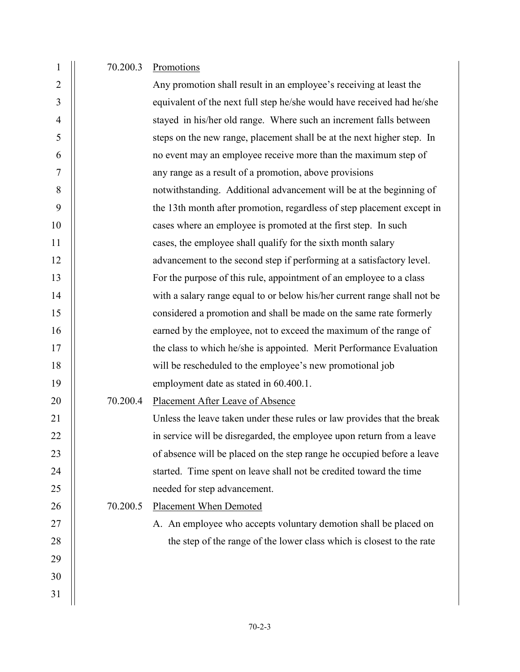## 1 | 70.200.3 Promotions

| $\overline{2}$ |          | Any promotion shall result in an employee's receiving at least the       |
|----------------|----------|--------------------------------------------------------------------------|
| 3              |          | equivalent of the next full step he/she would have received had he/she   |
| $\overline{4}$ |          | stayed in his/her old range. Where such an increment falls between       |
| 5              |          | steps on the new range, placement shall be at the next higher step. In   |
| 6              |          | no event may an employee receive more than the maximum step of           |
| 7              |          | any range as a result of a promotion, above provisions                   |
| 8              |          | notwithstanding. Additional advancement will be at the beginning of      |
| 9              |          | the 13th month after promotion, regardless of step placement except in   |
| 10             |          | cases where an employee is promoted at the first step. In such           |
| 11             |          | cases, the employee shall qualify for the sixth month salary             |
| 12             |          | advancement to the second step if performing at a satisfactory level.    |
| 13             |          | For the purpose of this rule, appointment of an employee to a class      |
| 14             |          | with a salary range equal to or below his/her current range shall not be |
| 15             |          | considered a promotion and shall be made on the same rate formerly       |
| 16             |          | earned by the employee, not to exceed the maximum of the range of        |
| 17             |          | the class to which he/she is appointed. Merit Performance Evaluation     |
| 18             |          | will be rescheduled to the employee's new promotional job                |
| 19             |          | employment date as stated in 60.400.1.                                   |
| 20             | 70.200.4 | Placement After Leave of Absence                                         |
| 21             |          | Unless the leave taken under these rules or law provides that the break  |
| 22             |          | in service will be disregarded, the employee upon return from a leave    |
| 23             |          | of absence will be placed on the step range he occupied before a leave   |
| 24             |          | started. Time spent on leave shall not be credited toward the time       |
| 25             |          | needed for step advancement.                                             |
| 26             | 70.200.5 | <b>Placement When Demoted</b>                                            |
| 27             |          | A. An employee who accepts voluntary demotion shall be placed on         |
| 28             |          | the step of the range of the lower class which is closest to the rate    |
| 29             |          |                                                                          |
| 30             |          |                                                                          |
| 31             |          |                                                                          |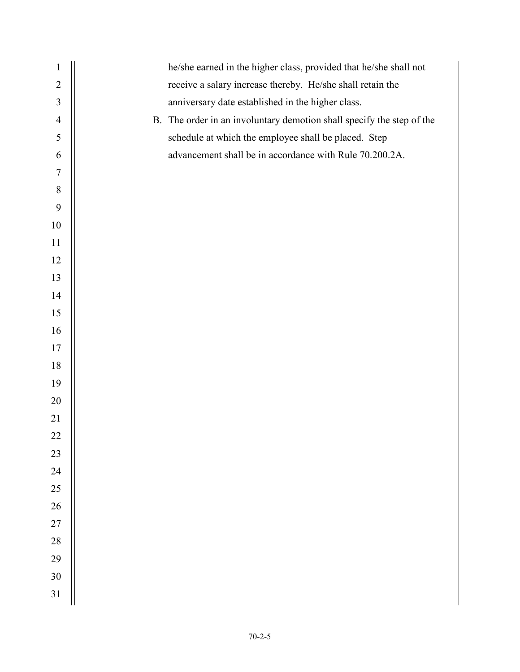| $\mathbf{1}$   | he/she earned in the higher class, provided that he/she shall not     |  |  |
|----------------|-----------------------------------------------------------------------|--|--|
| $\overline{2}$ | receive a salary increase thereby. He/she shall retain the            |  |  |
| $\mathfrak{Z}$ | anniversary date established in the higher class.                     |  |  |
| $\overline{4}$ | B. The order in an involuntary demotion shall specify the step of the |  |  |
| 5              | schedule at which the employee shall be placed. Step                  |  |  |
| 6              | advancement shall be in accordance with Rule 70.200.2A.               |  |  |
| 7              |                                                                       |  |  |
| $8\,$          |                                                                       |  |  |
| 9              |                                                                       |  |  |
| 10             |                                                                       |  |  |
| 11             |                                                                       |  |  |
| 12             |                                                                       |  |  |
| 13             |                                                                       |  |  |
| 14             |                                                                       |  |  |
| 15             |                                                                       |  |  |
| 16             |                                                                       |  |  |
| 17             |                                                                       |  |  |
| 18             |                                                                       |  |  |
| 19             |                                                                       |  |  |
| 20             |                                                                       |  |  |
| 21             |                                                                       |  |  |
| 22             |                                                                       |  |  |
| 23             |                                                                       |  |  |
| 24             |                                                                       |  |  |
| 25             |                                                                       |  |  |
| 26             |                                                                       |  |  |
| 27             |                                                                       |  |  |
| 28             |                                                                       |  |  |
| 29             |                                                                       |  |  |
| 30             |                                                                       |  |  |
| 31             |                                                                       |  |  |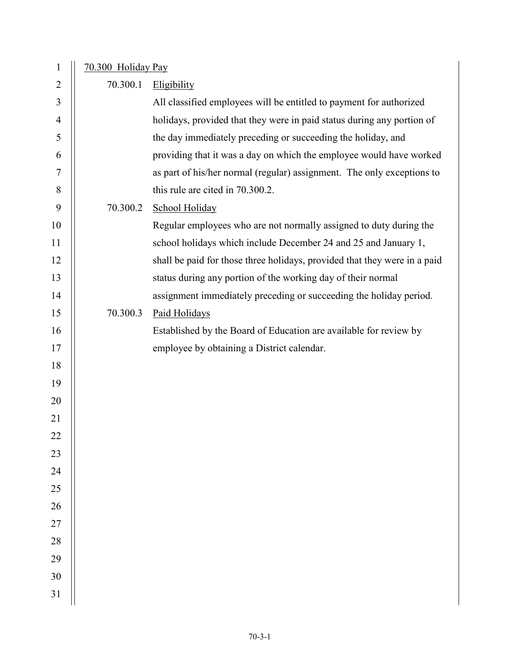| $\mathbf{1}$   | 70.300 Holiday Pay |                                                                           |  |
|----------------|--------------------|---------------------------------------------------------------------------|--|
| $\overline{2}$ | 70.300.1           | Eligibility                                                               |  |
| 3              |                    | All classified employees will be entitled to payment for authorized       |  |
| $\overline{4}$ |                    | holidays, provided that they were in paid status during any portion of    |  |
| 5              |                    | the day immediately preceding or succeeding the holiday, and              |  |
| 6              |                    | providing that it was a day on which the employee would have worked       |  |
| 7              |                    | as part of his/her normal (regular) assignment. The only exceptions to    |  |
| 8              |                    | this rule are cited in 70.300.2.                                          |  |
| 9              | 70.300.2           | School Holiday                                                            |  |
| 10             |                    | Regular employees who are not normally assigned to duty during the        |  |
| 11             |                    | school holidays which include December 24 and 25 and January 1,           |  |
| 12             |                    | shall be paid for those three holidays, provided that they were in a paid |  |
| 13             |                    | status during any portion of the working day of their normal              |  |
| 14             |                    | assignment immediately preceding or succeeding the holiday period.        |  |
| 15             | 70.300.3           | Paid Holidays                                                             |  |
| 16             |                    | Established by the Board of Education are available for review by         |  |
| 17             |                    | employee by obtaining a District calendar.                                |  |
| 18             |                    |                                                                           |  |
| 19             |                    |                                                                           |  |
| 20             |                    |                                                                           |  |
| 21             |                    |                                                                           |  |
| 22             |                    |                                                                           |  |
| 23             |                    |                                                                           |  |
| 24             |                    |                                                                           |  |
| 25             |                    |                                                                           |  |
| 26             |                    |                                                                           |  |
| 27             |                    |                                                                           |  |
| 28             |                    |                                                                           |  |
| 29             |                    |                                                                           |  |
| 30             |                    |                                                                           |  |
| 31             |                    |                                                                           |  |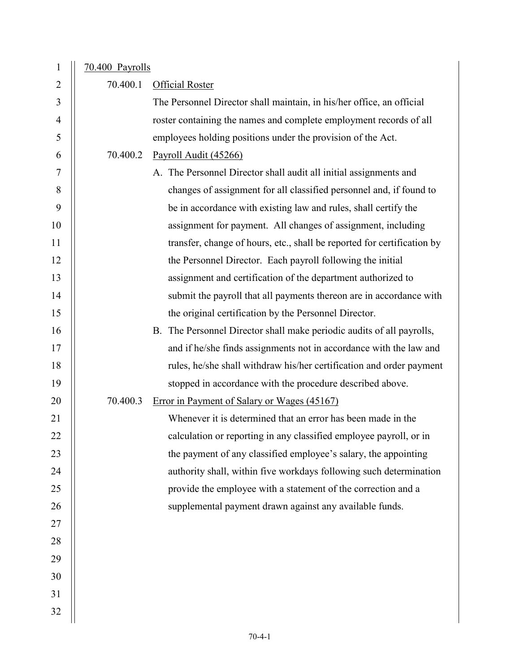| $\mathbf{1}$   | 70.400 Payrolls |                                                                         |
|----------------|-----------------|-------------------------------------------------------------------------|
| $\overline{2}$ | 70.400.1        | <b>Official Roster</b>                                                  |
| 3              |                 | The Personnel Director shall maintain, in his/her office, an official   |
| $\overline{4}$ |                 | roster containing the names and complete employment records of all      |
| 5              |                 | employees holding positions under the provision of the Act.             |
| 6              | 70.400.2        | Payroll Audit (45266)                                                   |
| 7              |                 | A. The Personnel Director shall audit all initial assignments and       |
| 8              |                 | changes of assignment for all classified personnel and, if found to     |
| 9              |                 | be in accordance with existing law and rules, shall certify the         |
| 10             |                 | assignment for payment. All changes of assignment, including            |
| 11             |                 | transfer, change of hours, etc., shall be reported for certification by |
| 12             |                 | the Personnel Director. Each payroll following the initial              |
| 13             |                 | assignment and certification of the department authorized to            |
| 14             |                 | submit the payroll that all payments thereon are in accordance with     |
| 15             |                 | the original certification by the Personnel Director.                   |
| 16             |                 | B. The Personnel Director shall make periodic audits of all payrolls,   |
| 17             |                 | and if he/she finds assignments not in accordance with the law and      |
| 18             |                 | rules, he/she shall withdraw his/her certification and order payment    |
| 19             |                 | stopped in accordance with the procedure described above.               |
| 20             | 70.400.3        | Error in Payment of Salary or Wages (45167)                             |
| 21             |                 | Whenever it is determined that an error has been made in the            |
| 22             |                 | calculation or reporting in any classified employee payroll, or in      |
| 23             |                 | the payment of any classified employee's salary, the appointing         |
| 24             |                 | authority shall, within five workdays following such determination      |
| 25             |                 | provide the employee with a statement of the correction and a           |
| 26             |                 | supplemental payment drawn against any available funds.                 |
| 27             |                 |                                                                         |
| 28             |                 |                                                                         |
| 29             |                 |                                                                         |
| 30             |                 |                                                                         |
| 31             |                 |                                                                         |
| 32             |                 |                                                                         |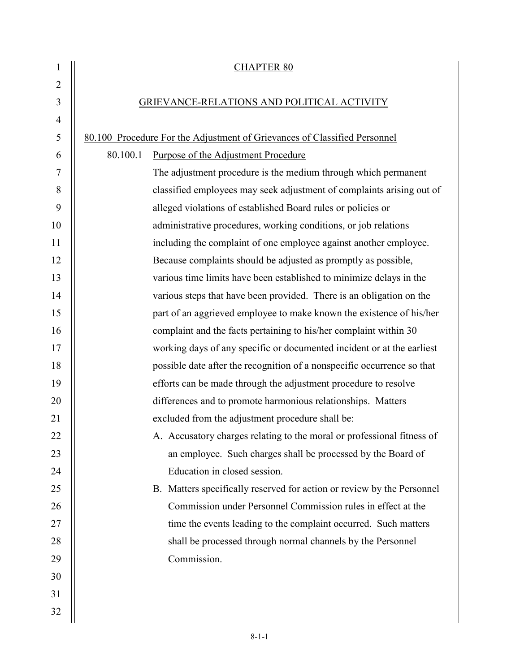| $\mathbf{1}$   |                                            | <b>CHAPTER 80</b>                                                         |  |
|----------------|--------------------------------------------|---------------------------------------------------------------------------|--|
| $\overline{2}$ |                                            |                                                                           |  |
| 3              | GRIEVANCE-RELATIONS AND POLITICAL ACTIVITY |                                                                           |  |
| $\overline{4}$ |                                            |                                                                           |  |
| $\mathfrak{S}$ |                                            | 80.100 Procedure For the Adjustment of Grievances of Classified Personnel |  |
| 6              | 80.100.1                                   | Purpose of the Adjustment Procedure                                       |  |
| 7              |                                            | The adjustment procedure is the medium through which permanent            |  |
| 8              |                                            | classified employees may seek adjustment of complaints arising out of     |  |
| 9              |                                            | alleged violations of established Board rules or policies or              |  |
| 10             |                                            | administrative procedures, working conditions, or job relations           |  |
| 11             |                                            | including the complaint of one employee against another employee.         |  |
| 12             |                                            | Because complaints should be adjusted as promptly as possible,            |  |
| 13             |                                            | various time limits have been established to minimize delays in the       |  |
| 14             |                                            | various steps that have been provided. There is an obligation on the      |  |
| 15             |                                            | part of an aggrieved employee to make known the existence of his/her      |  |
| 16             |                                            | complaint and the facts pertaining to his/her complaint within 30         |  |
| 17             |                                            | working days of any specific or documented incident or at the earliest    |  |
| 18             |                                            | possible date after the recognition of a nonspecific occurrence so that   |  |
| 19             |                                            | efforts can be made through the adjustment procedure to resolve           |  |
| 20             |                                            | differences and to promote harmonious relationships. Matters              |  |
| 21             |                                            | excluded from the adjustment procedure shall be:                          |  |
| 22             |                                            | A. Accusatory charges relating to the moral or professional fitness of    |  |
| 23             |                                            | an employee. Such charges shall be processed by the Board of              |  |
| 24             |                                            | Education in closed session.                                              |  |
| 25             |                                            | B. Matters specifically reserved for action or review by the Personnel    |  |
| 26             |                                            | Commission under Personnel Commission rules in effect at the              |  |
| 27             |                                            | time the events leading to the complaint occurred. Such matters           |  |
| 28             |                                            | shall be processed through normal channels by the Personnel               |  |
| 29             |                                            | Commission.                                                               |  |
| 30             |                                            |                                                                           |  |
| 31             |                                            |                                                                           |  |
| 32             |                                            |                                                                           |  |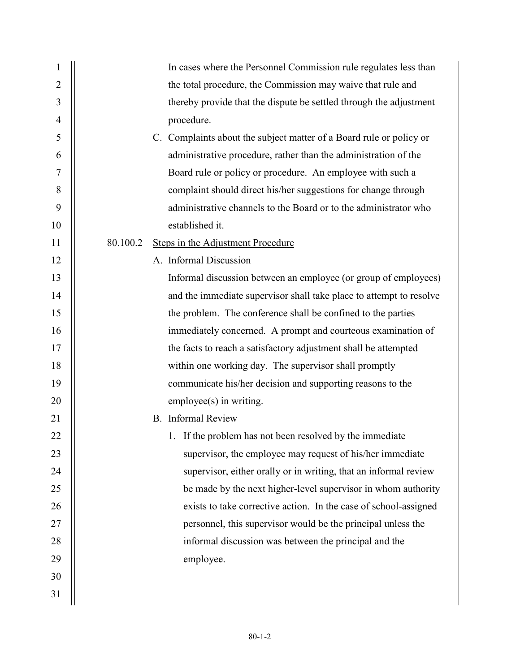| 1              | In cases where the Personnel Commission rule regulates less than    |
|----------------|---------------------------------------------------------------------|
| $\overline{2}$ | the total procedure, the Commission may waive that rule and         |
| 3              | thereby provide that the dispute be settled through the adjustment  |
| 4              | procedure.                                                          |
| 5              | C. Complaints about the subject matter of a Board rule or policy or |
| 6              | administrative procedure, rather than the administration of the     |
| 7              | Board rule or policy or procedure. An employee with such a          |
| 8              | complaint should direct his/her suggestions for change through      |
| 9              | administrative channels to the Board or to the administrator who    |
| 10             | established it.                                                     |
| 11             | 80.100.2<br><b>Steps in the Adjustment Procedure</b>                |
| 12             | A. Informal Discussion                                              |
| 13             | Informal discussion between an employee (or group of employees)     |
| 14             | and the immediate supervisor shall take place to attempt to resolve |
| 15             | the problem. The conference shall be confined to the parties        |
| 16             | immediately concerned. A prompt and courteous examination of        |
| 17             | the facts to reach a satisfactory adjustment shall be attempted     |
| 18             | within one working day. The supervisor shall promptly               |
| 19             | communicate his/her decision and supporting reasons to the          |
| 20             | employee(s) in writing.                                             |
| 21             | <b>B.</b> Informal Review                                           |
| 22             | 1. If the problem has not been resolved by the immediate            |
| 23             | supervisor, the employee may request of his/her immediate           |
| 24             | supervisor, either orally or in writing, that an informal review    |
| 25             | be made by the next higher-level supervisor in whom authority       |
| 26             | exists to take corrective action. In the case of school-assigned    |
| 27             | personnel, this supervisor would be the principal unless the        |
| 28             | informal discussion was between the principal and the               |
| 29             | employee.                                                           |
| 30             |                                                                     |
| 31             |                                                                     |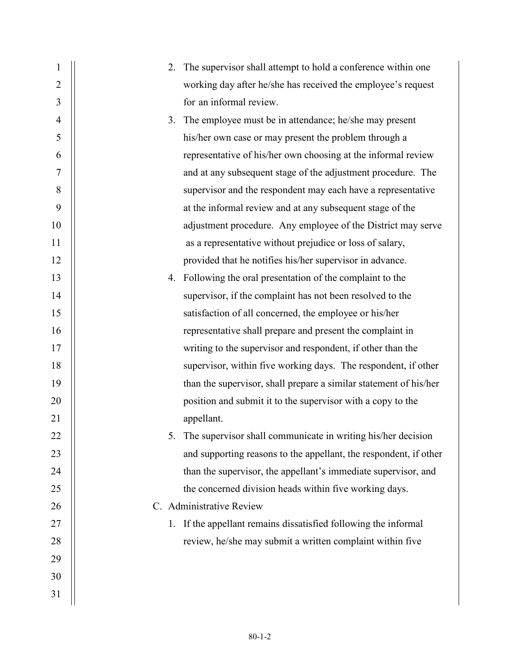| 1              | 2. | The supervisor shall attempt to hold a conference within one      |
|----------------|----|-------------------------------------------------------------------|
| $\overline{2}$ |    | working day after he/she has received the employee's request      |
| 3              |    | for an informal review.                                           |
| $\overline{4}$ |    | 3. The employee must be in attendance; he/she may present         |
| 5              |    | his/her own case or may present the problem through a             |
| 6              |    | representative of his/her own choosing at the informal review     |
| 7              |    | and at any subsequent stage of the adjustment procedure. The      |
| 8              |    | supervisor and the respondent may each have a representative      |
| 9              |    | at the informal review and at any subsequent stage of the         |
| 10             |    | adjustment procedure. Any employee of the District may serve      |
| 11             |    | as a representative without prejudice or loss of salary,          |
| 12             |    | provided that he notifies his/her supervisor in advance.          |
| 13             |    | 4. Following the oral presentation of the complaint to the        |
| 14             |    | supervisor, if the complaint has not been resolved to the         |
| 15             |    | satisfaction of all concerned, the employee or his/her            |
| 16             |    | representative shall prepare and present the complaint in         |
| 17             |    | writing to the supervisor and respondent, if other than the       |
| 18             |    | supervisor, within five working days. The respondent, if other    |
| 19             |    | than the supervisor, shall prepare a similar statement of his/her |
| 20             |    | position and submit it to the supervisor with a copy to the       |
| 21             |    | appellant.                                                        |
| 22             |    | The supervisor shall communicate in writing his/her decision      |
| 23             |    | and supporting reasons to the appellant, the respondent, if other |
| 24             |    | than the supervisor, the appellant's immediate supervisor, and    |
| 25             |    | the concerned division heads within five working days.            |
| 26             |    | C. Administrative Review                                          |
| 27             | 1. | If the appellant remains dissatisfied following the informal      |
| 28             |    | review, he/she may submit a written complaint within five         |
| 29             |    |                                                                   |
| 30             |    |                                                                   |
| 31             |    |                                                                   |
|                |    |                                                                   |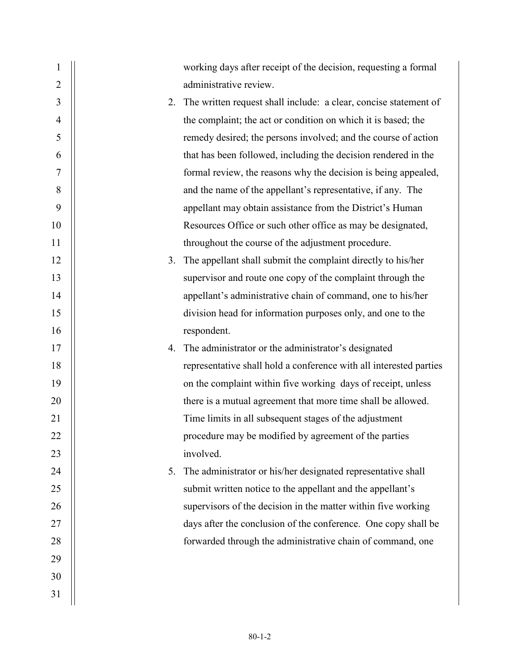| 1              |    | working days after receipt of the decision, requesting a formal    |
|----------------|----|--------------------------------------------------------------------|
| $\overline{2}$ |    | administrative review.                                             |
| 3              | 2. | The written request shall include: a clear, concise statement of   |
| 4              |    | the complaint; the act or condition on which it is based; the      |
| 5              |    | remedy desired; the persons involved; and the course of action     |
| 6              |    | that has been followed, including the decision rendered in the     |
| 7              |    | formal review, the reasons why the decision is being appealed,     |
| 8              |    | and the name of the appellant's representative, if any. The        |
| 9              |    | appellant may obtain assistance from the District's Human          |
| 10             |    | Resources Office or such other office as may be designated,        |
| 11             |    | throughout the course of the adjustment procedure.                 |
| 12             | 3. | The appellant shall submit the complaint directly to his/her       |
| 13             |    | supervisor and route one copy of the complaint through the         |
| 14             |    | appellant's administrative chain of command, one to his/her        |
| 15             |    | division head for information purposes only, and one to the        |
| 16             |    | respondent.                                                        |
| 17             | 4. | The administrator or the administrator's designated                |
| 18             |    | representative shall hold a conference with all interested parties |
| 19             |    | on the complaint within five working days of receipt, unless       |
| 20             |    | there is a mutual agreement that more time shall be allowed.       |
| 21             |    | Time limits in all subsequent stages of the adjustment             |
| 22             |    | procedure may be modified by agreement of the parties              |
| 23             |    | involved.                                                          |
| 24             | 5. | The administrator or his/her designated representative shall       |
| 25             |    | submit written notice to the appellant and the appellant's         |
| 26             |    | supervisors of the decision in the matter within five working      |
| 27             |    | days after the conclusion of the conference. One copy shall be     |
| 28             |    | forwarded through the administrative chain of command, one         |
| 29             |    |                                                                    |
| 30             |    |                                                                    |
| 31             |    |                                                                    |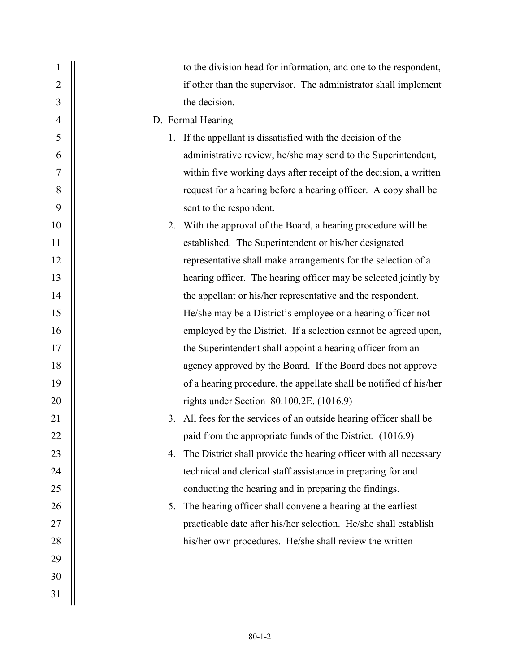| $\mathbf 1$    | to the division head for information, and one to the respondent,        |
|----------------|-------------------------------------------------------------------------|
| $\overline{2}$ | if other than the supervisor. The administrator shall implement         |
| 3              | the decision.                                                           |
| $\overline{4}$ | D. Formal Hearing                                                       |
| 5              | 1. If the appellant is dissatisfied with the decision of the            |
| 6              | administrative review, he/she may send to the Superintendent,           |
| 7              | within five working days after receipt of the decision, a written       |
| 8              | request for a hearing before a hearing officer. A copy shall be         |
| 9              | sent to the respondent.                                                 |
| 10             | 2. With the approval of the Board, a hearing procedure will be          |
| 11             | established. The Superintendent or his/her designated                   |
| 12             | representative shall make arrangements for the selection of a           |
| 13             | hearing officer. The hearing officer may be selected jointly by         |
| 14             | the appellant or his/her representative and the respondent.             |
| 15             | He/she may be a District's employee or a hearing officer not            |
| 16             | employed by the District. If a selection cannot be agreed upon,         |
| 17             | the Superintendent shall appoint a hearing officer from an              |
| 18             | agency approved by the Board. If the Board does not approve             |
| 19             | of a hearing procedure, the appellate shall be notified of his/her      |
| 20             | rights under Section 80.100.2E. (1016.9)                                |
| 21             | All fees for the services of an outside hearing officer shall be<br>3.  |
| 22             | paid from the appropriate funds of the District. (1016.9)               |
| 23             | The District shall provide the hearing officer with all necessary<br>4. |
| 24             | technical and clerical staff assistance in preparing for and            |
| 25             | conducting the hearing and in preparing the findings.                   |
| 26             | The hearing officer shall convene a hearing at the earliest<br>5.       |
| 27             | practicable date after his/her selection. He/she shall establish        |
| 28             | his/her own procedures. He/she shall review the written                 |
| 29             |                                                                         |
| 30             |                                                                         |
| 31             |                                                                         |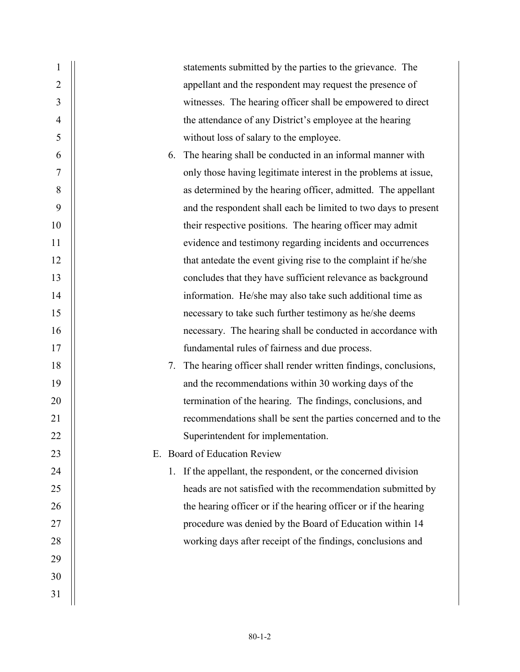| 1              | statements submitted by the parties to the grievance. The             |
|----------------|-----------------------------------------------------------------------|
| $\overline{2}$ | appellant and the respondent may request the presence of              |
| 3              | witnesses. The hearing officer shall be empowered to direct           |
| 4              | the attendance of any District's employee at the hearing              |
| 5              | without loss of salary to the employee.                               |
| 6              | The hearing shall be conducted in an informal manner with<br>6.       |
| 7              | only those having legitimate interest in the problems at issue,       |
| 8              | as determined by the hearing officer, admitted. The appellant         |
| 9              | and the respondent shall each be limited to two days to present       |
| 10             | their respective positions. The hearing officer may admit             |
| 11             | evidence and testimony regarding incidents and occurrences            |
| 12             | that antedate the event giving rise to the complaint if he/she        |
| 13             | concludes that they have sufficient relevance as background           |
| 14             | information. He/she may also take such additional time as             |
| 15             | necessary to take such further testimony as he/she deems              |
| 16             | necessary. The hearing shall be conducted in accordance with          |
| 17             | fundamental rules of fairness and due process.                        |
| 18             | The hearing officer shall render written findings, conclusions,<br>7. |
| 19             | and the recommendations within 30 working days of the                 |
| 20             | termination of the hearing. The findings, conclusions, and            |
| 21             | recommendations shall be sent the parties concerned and to the        |
| 22             | Superintendent for implementation.                                    |
| 23             | E. Board of Education Review                                          |
| 24             | If the appellant, the respondent, or the concerned division<br>1.     |
| 25             | heads are not satisfied with the recommendation submitted by          |
| 26             | the hearing officer or if the hearing officer or if the hearing       |
| 27             | procedure was denied by the Board of Education within 14              |
| 28             | working days after receipt of the findings, conclusions and           |
| 29             |                                                                       |
| 30             |                                                                       |
| 31             |                                                                       |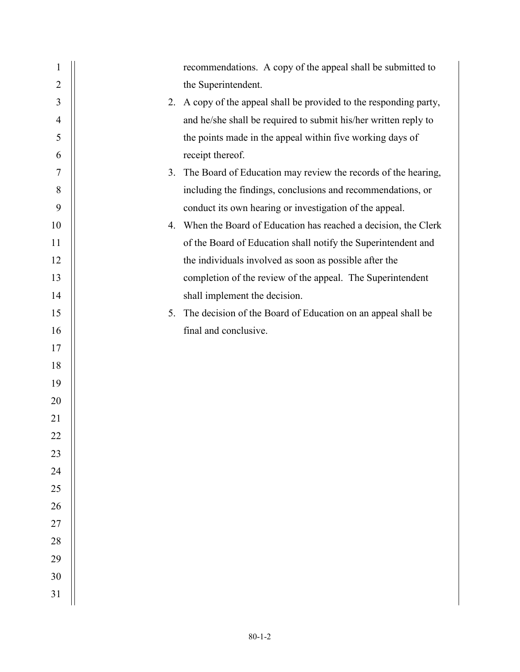| $\mathbf{1}$   |    | recommendations. A copy of the appeal shall be submitted to      |
|----------------|----|------------------------------------------------------------------|
| $\overline{2}$ |    | the Superintendent.                                              |
| 3              | 2. | A copy of the appeal shall be provided to the responding party,  |
| $\overline{4}$ |    | and he/she shall be required to submit his/her written reply to  |
| 5              |    | the points made in the appeal within five working days of        |
| 6              |    | receipt thereof.                                                 |
| $\tau$         | 3. | The Board of Education may review the records of the hearing,    |
| 8              |    | including the findings, conclusions and recommendations, or      |
| 9              |    | conduct its own hearing or investigation of the appeal.          |
| 10             |    | 4. When the Board of Education has reached a decision, the Clerk |
| 11             |    | of the Board of Education shall notify the Superintendent and    |
| 12             |    | the individuals involved as soon as possible after the           |
| 13             |    | completion of the review of the appeal. The Superintendent       |
| 14             |    | shall implement the decision.                                    |
| 15             | 5. | The decision of the Board of Education on an appeal shall be     |
| 16             |    | final and conclusive.                                            |
| 17             |    |                                                                  |
| 18             |    |                                                                  |
| 19             |    |                                                                  |
| 20             |    |                                                                  |
| 21             |    |                                                                  |
| 22             |    |                                                                  |
| 23             |    |                                                                  |
| 24             |    |                                                                  |
| 25             |    |                                                                  |
| 26             |    |                                                                  |
| $27\,$         |    |                                                                  |
| 28             |    |                                                                  |
| 29             |    |                                                                  |
| 30             |    |                                                                  |
| 31             |    |                                                                  |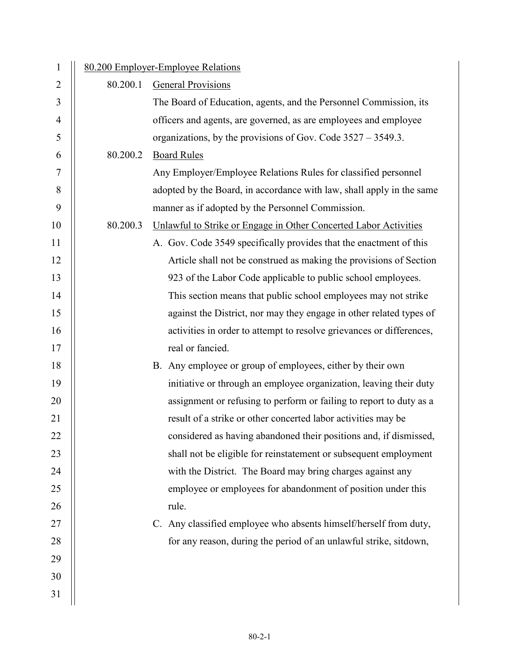| $\mathbf{1}$   | 80.200 Employer-Employee Relations |                                                                       |  |
|----------------|------------------------------------|-----------------------------------------------------------------------|--|
| 2              | 80.200.1                           | <b>General Provisions</b>                                             |  |
| 3              |                                    | The Board of Education, agents, and the Personnel Commission, its     |  |
| $\overline{4}$ |                                    | officers and agents, are governed, as are employees and employee      |  |
| 5              |                                    | organizations, by the provisions of Gov. Code $3527 - 3549.3$ .       |  |
| 6              | 80.200.2                           | <b>Board Rules</b>                                                    |  |
| $\overline{7}$ |                                    | Any Employer/Employee Relations Rules for classified personnel        |  |
| 8              |                                    | adopted by the Board, in accordance with law, shall apply in the same |  |
| 9              |                                    | manner as if adopted by the Personnel Commission.                     |  |
| 10             | 80.200.3                           | Unlawful to Strike or Engage in Other Concerted Labor Activities      |  |
| 11             |                                    | A. Gov. Code 3549 specifically provides that the enactment of this    |  |
| 12             |                                    | Article shall not be construed as making the provisions of Section    |  |
| 13             |                                    | 923 of the Labor Code applicable to public school employees.          |  |
| 14             |                                    | This section means that public school employees may not strike        |  |
| 15             |                                    | against the District, nor may they engage in other related types of   |  |
| 16             |                                    | activities in order to attempt to resolve grievances or differences,  |  |
| 17             |                                    | real or fancied.                                                      |  |
| 18             |                                    | B. Any employee or group of employees, either by their own            |  |
| 19             |                                    | initiative or through an employee organization, leaving their duty    |  |
| 20             |                                    | assignment or refusing to perform or failing to report to duty as a   |  |
| 21             |                                    | result of a strike or other concerted labor activities may be         |  |
| 22             |                                    | considered as having abandoned their positions and, if dismissed,     |  |
| 23             |                                    | shall not be eligible for reinstatement or subsequent employment      |  |
| 24             |                                    | with the District. The Board may bring charges against any            |  |
| 25             |                                    | employee or employees for abandonment of position under this          |  |
| 26             |                                    | rule.                                                                 |  |
| 27             |                                    | C. Any classified employee who absents himself/herself from duty,     |  |
| 28             |                                    | for any reason, during the period of an unlawful strike, sitdown,     |  |
| 29             |                                    |                                                                       |  |
| 30             |                                    |                                                                       |  |
| 31             |                                    |                                                                       |  |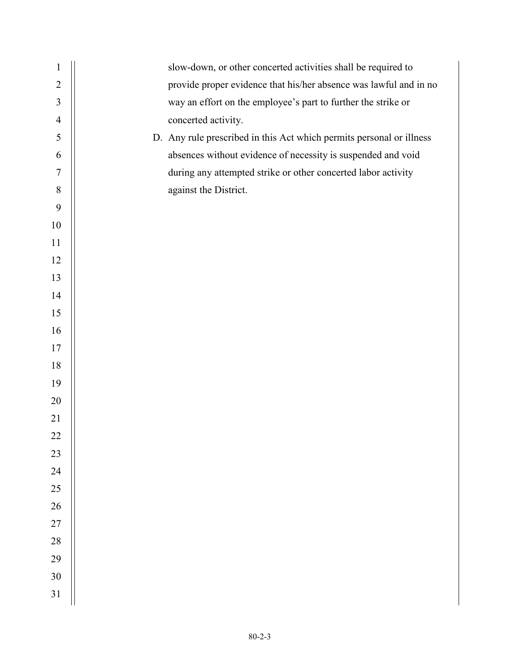| $\mathbf{1}$   | slow-down, or other concerted activities shall be required to        |
|----------------|----------------------------------------------------------------------|
| $\overline{2}$ | provide proper evidence that his/her absence was lawful and in no    |
| 3              | way an effort on the employee's part to further the strike or        |
| $\overline{4}$ | concerted activity.                                                  |
| 5              | D. Any rule prescribed in this Act which permits personal or illness |
| 6              | absences without evidence of necessity is suspended and void         |
| 7              | during any attempted strike or other concerted labor activity        |
| 8              | against the District.                                                |
| 9              |                                                                      |
| 10             |                                                                      |
| 11             |                                                                      |
| 12             |                                                                      |
| 13             |                                                                      |
| 14             |                                                                      |
| 15             |                                                                      |
| 16             |                                                                      |
| 17             |                                                                      |
| 18             |                                                                      |
| 19             |                                                                      |
| 20             |                                                                      |
| 21             |                                                                      |
| 22             |                                                                      |
| 23             |                                                                      |
| 24             |                                                                      |
| 25             |                                                                      |
| 26             |                                                                      |
| $27\,$         |                                                                      |
| $28\,$         |                                                                      |
| 29             |                                                                      |
| 30             |                                                                      |
| 31             |                                                                      |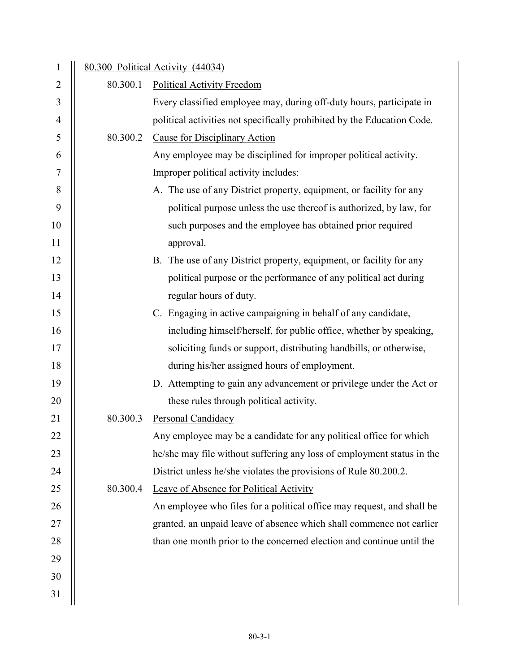| $\mathbf{1}$   |          | 80.300 Political Activity (44034)                                       |
|----------------|----------|-------------------------------------------------------------------------|
| $\overline{2}$ | 80.300.1 | <b>Political Activity Freedom</b>                                       |
| 3              |          | Every classified employee may, during off-duty hours, participate in    |
| $\overline{4}$ |          | political activities not specifically prohibited by the Education Code. |
| 5              | 80.300.2 | <b>Cause for Disciplinary Action</b>                                    |
| 6              |          | Any employee may be disciplined for improper political activity.        |
| $\tau$         |          | Improper political activity includes:                                   |
| 8              |          | A. The use of any District property, equipment, or facility for any     |
| 9              |          | political purpose unless the use thereof is authorized, by law, for     |
| 10             |          | such purposes and the employee has obtained prior required              |
| 11             |          | approval.                                                               |
| 12             |          | B. The use of any District property, equipment, or facility for any     |
| 13             |          | political purpose or the performance of any political act during        |
| 14             |          | regular hours of duty.                                                  |
| 15             |          | C. Engaging in active campaigning in behalf of any candidate,           |
| 16             |          | including himself/herself, for public office, whether by speaking,      |
| 17             |          | soliciting funds or support, distributing handbills, or otherwise,      |
| 18             |          | during his/her assigned hours of employment.                            |
| 19             |          | D. Attempting to gain any advancement or privilege under the Act or     |
| 20             |          | these rules through political activity.                                 |
| 21             | 80.300.3 | Personal Candidacy                                                      |
| 22             |          | Any employee may be a candidate for any political office for which      |
| 23             |          | he/she may file without suffering any loss of employment status in the  |
| 24             |          | District unless he/she violates the provisions of Rule 80.200.2.        |
| 25             | 80.300.4 | Leave of Absence for Political Activity                                 |
| 26             |          | An employee who files for a political office may request, and shall be  |
| 27             |          | granted, an unpaid leave of absence which shall commence not earlier    |
| 28             |          | than one month prior to the concerned election and continue until the   |
| 29             |          |                                                                         |
| 30             |          |                                                                         |
| 31             |          |                                                                         |